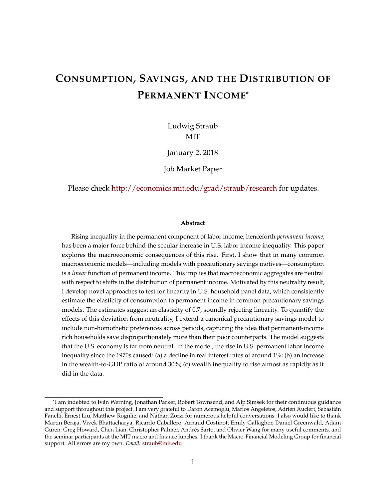# **CONSUMPTION, SAVINGS, AND THE DISTRIBUTION OF PERMANENT INCOME**\*

Ludwig Straub **MIT** 

January 2, 2018

Job Market Paper

Please check <http://economics.mit.edu/grad/straub/research> for updates.

#### **Abstract**

Rising inequality in the permanent component of labor income, henceforth *permanent income*, has been a major force behind the secular increase in U.S. labor income inequality. This paper explores the macroeconomic consequences of this rise. First, I show that in many common macroeconomic models—including models with precautionary savings motives—consumption is a *linear* function of permanent income. This implies that macroeconomic aggregates are neutral with respect to shifts in the distribution of permanent income. Motivated by this neutrality result, I develop novel approaches to test for linearity in U.S. household panel data, which consistently estimate the elasticity of consumption to permanent income in common precautionary savings models. The estimates suggest an elasticity of 0.7, soundly rejecting linearity. To quantify the effects of this deviation from neutrality, I extend a canonical precautionary savings model to include non-homothetic preferences across periods, capturing the idea that permanent-income rich households save disproportionately more than their poor counterparts. The model suggests that the U.S. economy is far from neutral. In the model, the rise in U.S. permanent labor income inequality since the 1970s caused: (a) a decline in real interest rates of around 1%; (b) an increase in the wealth-to-GDP ratio of around 30%; (c) wealth inequality to rise almost as rapidly as it did in the data.

<sup>\*</sup>I am indebted to Ivan Werning, Jonathan Parker, Robert Townsend, and Alp Simsek for their continuous guidance ´ and support throughout this project. I am very grateful to Daron Acemoglu, Marios Angeletos, Adrien Auclert, Sebastian´ Fanelli, Ernest Liu, Matthew Rognlie, and Nathan Zorzi for numerous helpful conversations. I also would like to thank Martin Beraja, Vivek Bhattacharya, Ricardo Caballero, Arnaud Costinot, Emily Gallagher, Daniel Greenwald, Adam Guren, Greg Howard, Chen Lian, Christopher Palmer, Andres Sarto, and Olivier Wang for many useful comments, and ´ the seminar participants at the MIT macro and finance lunches. I thank the Macro-Financial Modeling Group for financial support. All errors are my own. *Email:* [straub@mit.edu](mailto:straub@mit.edu)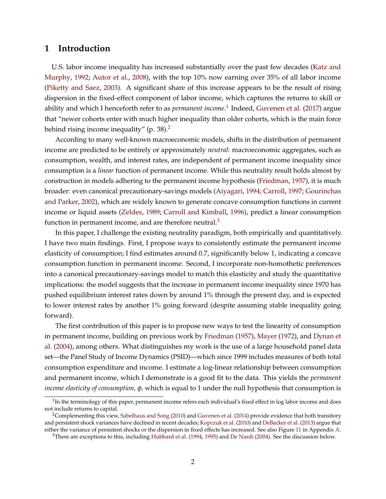# **1 Introduction**

U.S. labor income inequality has increased substantially over the past few decades [\(Katz and](#page-53-0) [Murphy,](#page-53-0) [1992;](#page-53-0) [Autor et al.,](#page-50-0) [2008\)](#page-50-0), with the top 10% now earning over 35% of all labor income [\(Piketty and Saez,](#page-55-0) [2003\)](#page-55-0). A significant share of this increase appears to be the result of rising dispersion in the fixed-effect component of labor income, which captures the returns to skill or ability and which I henceforth refer to as *permanent income*. [1](#page-1-0) Indeed, [Guvenen et al.](#page-52-0) [\(2017\)](#page-52-0) argue that "newer cohorts enter with much higher inequality than older cohorts, which is the main force behind rising income inequality" (p. 38). $<sup>2</sup>$  $<sup>2</sup>$  $<sup>2</sup>$ </sup>

According to many well-known macroeconomic models, shifts in the distribution of permanent income are predicted to be entirely or approximately *neutral*: macroeconomic aggregates, such as consumption, wealth, and interest rates, are independent of permanent income inequality since consumption is a *linear* function of permanent income. While this neutrality result holds almost by construction in models adhering to the permanent income hypothesis [\(Friedman,](#page-52-1) [1957\)](#page-52-1), it is much broader: even canonical precautionary-savings models [\(Aiyagari,](#page-49-0) [1994;](#page-49-0) [Carroll,](#page-50-1) [1997;](#page-50-1) [Gourinchas](#page-52-2) [and Parker,](#page-52-2) [2002\)](#page-52-2), which are widely known to generate concave consumption functions in current income or liquid assets [\(Zeldes,](#page-56-0) [1989;](#page-56-0) [Carroll and Kimball,](#page-51-0) [1996\)](#page-51-0), predict a linear consumption function in permanent income, and are therefore neutral. $3$ 

In this paper, I challenge the existing neutrality paradigm, both empirically and quantitatively. I have two main findings. First, I propose ways to consistently estimate the permanent income elasticity of consumption; I find estimates around 0.7, significantly below 1, indicating a concave consumption function in permanent income. Second, I incorporate non-homothetic preferences into a canonical precautionary-savings model to match this elasticity and study the quantitative implications: the model suggests that the increase in permanent income inequality since 1970 has pushed equilibrium interest rates down by around 1% through the present day, and is expected to lower interest rates by another 1% going forward (despite assuming stable inequality going forward).

The first contribution of this paper is to propose new ways to test the linearity of consumption in permanent income, building on previous work by [Friedman](#page-52-1) [\(1957\)](#page-52-1), [Mayer](#page-54-0) [\(1972\)](#page-54-0), and [Dynan et](#page-51-1) [al.](#page-51-1) [\(2004\)](#page-51-1), among others. What distinguishes my work is the use of a large household panel data set—the Panel Study of Income Dynamics (PSID)—which since 1999 includes measures of both total consumption expenditure and income. I estimate a log-linear relationship between consumption and permanent income, which I demonstrate is a good fit to the data. This yields the *permanent income elasticity of consumption, φ,* which is equal to 1 under the null hypothesis that consumption is

<span id="page-1-0"></span> $^1$ In the terminology of this paper, permanent income refers each individual's fixed effect in log labor income and does not include returns to capital.

<span id="page-1-1"></span><sup>&</sup>lt;sup>2</sup>Complementing this view, [Sabelhaus and Song](#page-55-1) [\(2010\)](#page-55-1) and [Guvenen et al.](#page-52-3) [\(2014\)](#page-52-3) provide evidence that both transitory and persistent shock variances have declined in recent decades; [Kopczuk et al.](#page-54-1) [\(2010\)](#page-54-1) and [DeBacker et al.](#page-51-2) [\(2013\)](#page-51-2) argue that either the variance of persistent shocks or the dispersion in fixed effects has increased. See also Figure [11](#page-57-0) in Appendix [A.](#page-57-1)

<span id="page-1-2"></span><sup>3</sup>There are exceptions to this, including [Hubbard et al.](#page-53-1) [\(1994,](#page-53-1) [1995\)](#page-53-2) and [De Nardi](#page-51-3) [\(2004\)](#page-51-3). See the discussion below.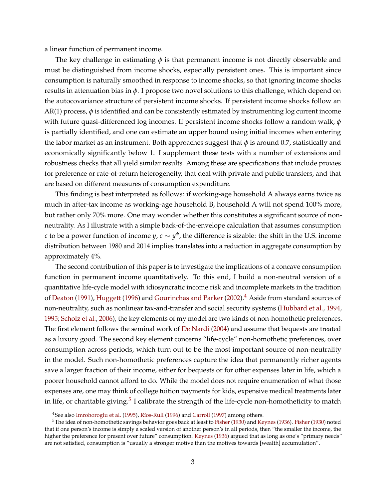a linear function of permanent income.

The key challenge in estimating  $\phi$  is that permanent income is not directly observable and must be distinguished from income shocks, especially persistent ones. This is important since consumption is naturally smoothed in response to income shocks, so that ignoring income shocks results in attenuation bias in *φ*. I propose two novel solutions to this challenge, which depend on the autocovariance structure of persistent income shocks. If persistent income shocks follow an  $AR(1)$  process,  $\phi$  is identified and can be consistently estimated by instrumenting log current income with future quasi-differenced log incomes. If persistent income shocks follow a random walk, *φ* is partially identified, and one can estimate an upper bound using initial incomes when entering the labor market as an instrument. Both approaches suggest that  $\phi$  is around 0.7, statistically and economically significantly below 1. I supplement these tests with a number of extensions and robustness checks that all yield similar results. Among these are specifications that include proxies for preference or rate-of-return heterogeneity, that deal with private and public transfers, and that are based on different measures of consumption expenditure.

This finding is best interpreted as follows: if working-age household A always earns twice as much in after-tax income as working-age household B, household A will not spend 100% more, but rather only 70% more. One may wonder whether this constitutes a significant source of nonneutrality. As I illustrate with a simple back-of-the-envelope calculation that assumes consumption *c* to be a power function of income  $y$ ,  $c \sim y^\phi$ , the difference is sizable: the shift in the U.S. income distribution between 1980 and 2014 implies translates into a reduction in aggregate consumption by approximately 4%.

The second contribution of this paper is to investigate the implications of a concave consumption function in permanent income quantitatively. To this end, I build a non-neutral version of a quantitative life-cycle model with idiosyncratic income risk and incomplete markets in the tradition of [Deaton](#page-51-4) [\(1991\)](#page-51-4), [Huggett](#page-53-3) [\(1996\)](#page-53-3) and [Gourinchas and Parker](#page-52-2) [\(2002\)](#page-52-2).<sup>[4](#page-2-0)</sup> Aside from standard sources of non-neutrality, such as nonlinear tax-and-transfer and social security systems [\(Hubbard et al.,](#page-53-1) [1994,](#page-53-1) [1995;](#page-53-2) [Scholz et al.,](#page-55-2) [2006\)](#page-55-2), the key elements of my model are two kinds of non-homothetic preferences. The first element follows the seminal work of [De Nardi](#page-51-3) [\(2004\)](#page-51-3) and assume that bequests are treated as a luxury good. The second key element concerns "life-cycle" non-homothetic preferences, over consumption across periods, which turn out to be the most important source of non-neutrality in the model. Such non-homothetic preferences capture the idea that permanently richer agents save a larger fraction of their income, either for bequests or for other expenses later in life, which a poorer household cannot afford to do. While the model does not require enumeration of what those expenses are, one may think of college tuition payments for kids, expensive medical treatments later in life, or charitable giving. $^5$  $^5$  I calibrate the strength of the life-cycle non-homotheticity to match

<span id="page-2-1"></span><span id="page-2-0"></span><sup>&</sup>lt;sup>4</sup>See also [Imrohoroglu et al.](#page-53-4) [\(1995\)](#page-53-4), Ríos-Rull [\(1996\)](#page-55-3) and [Carroll](#page-50-1) [\(1997\)](#page-50-1) among others.

<sup>&</sup>lt;sup>5</sup>The idea of non-homothetic savings behavior goes back at least to [Fisher](#page-52-4) [\(1930\)](#page-52-4) and [Keynes](#page-54-2) [\(1936\)](#page-54-2). Fisher (1930) noted that if one person's income is simply a scaled version of another person's in all periods, then "the smaller the income, the higher the preference for present over future" consumption. [Keynes](#page-54-2) [\(1936\)](#page-54-2) argued that as long as one's "primary needs" are not satisfied, consumption is "usually a stronger motive than the motives towards [wealth] accumulation".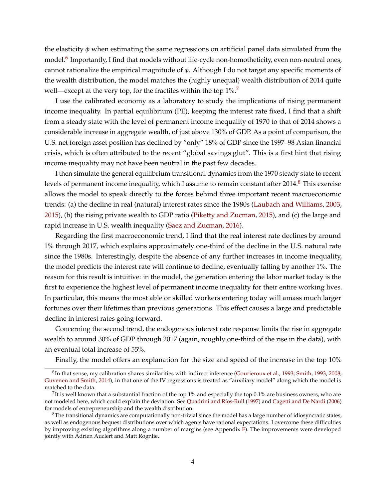the elasticity *φ* when estimating the same regressions on artificial panel data simulated from the model.<sup>[6](#page-3-0)</sup> Importantly, I find that models without life-cycle non-homotheticity, even non-neutral ones, cannot rationalize the empirical magnitude of *φ*. Although I do not target any specific moments of the wealth distribution, the model matches the (highly unequal) wealth distribution of 2014 quite well—except at the very top, for the fractiles within the top 1%.<sup>[7](#page-3-1)</sup>

I use the calibrated economy as a laboratory to study the implications of rising permanent income inequality. In partial equilibrium (PE), keeping the interest rate fixed, I find that a shift from a steady state with the level of permanent income inequality of 1970 to that of 2014 shows a considerable increase in aggregate wealth, of just above 130% of GDP. As a point of comparison, the U.S. net foreign asset position has declined by "only" 18% of GDP since the 1997–98 Asian financial crisis, which is often attributed to the recent "global savings glut". This is a first hint that rising income inequality may not have been neutral in the past few decades.

I then simulate the general equilibrium transitional dynamics from the 1970 steady state to recent levels of permanent income inequality, which I assume to remain constant after 2014.<sup>[8](#page-3-2)</sup> This exercise allows the model to speak directly to the forces behind three important recent macroeconomic trends: (a) the decline in real (natural) interest rates since the 1980s [\(Laubach and Williams,](#page-54-3) [2003,](#page-54-3) [2015\)](#page-54-4), (b) the rising private wealth to GDP ratio [\(Piketty and Zucman,](#page-55-4) [2015\)](#page-55-4), and (c) the large and rapid increase in U.S. wealth inequality [\(Saez and Zucman,](#page-55-5) [2016\)](#page-55-5).

Regarding the first macroeconomic trend, I find that the real interest rate declines by around 1% through 2017, which explains approximately one-third of the decline in the U.S. natural rate since the 1980s. Interestingly, despite the absence of any further increases in income inequality, the model predicts the interest rate will continue to decline, eventually falling by another 1%. The reason for this result is intuitive: in the model, the generation entering the labor market today is the first to experience the highest level of permanent income inequality for their entire working lives. In particular, this means the most able or skilled workers entering today will amass much larger fortunes over their lifetimes than previous generations. This effect causes a large and predictable decline in interest rates going forward.

Concerning the second trend, the endogenous interest rate response limits the rise in aggregate wealth to around 30% of GDP through 2017 (again, roughly one-third of the rise in the data), with an eventual total increase of 55%.

Finally, the model offers an explanation for the size and speed of the increase in the top 10%

<span id="page-3-0"></span> $^6$ In that sense, my calibration shares similarities with indirect inference [\(Gourieroux et al.,](#page-52-5) [1993;](#page-52-5) [Smith,](#page-55-6) [1993,](#page-55-6) [2008;](#page-56-1) [Guvenen and Smith,](#page-52-6) [2014\)](#page-52-6), in that one of the IV regressions is treated as "auxiliary model" along which the model is matched to the data.

<span id="page-3-1"></span> $^{7}$ It is well known that a substantial fraction of the top 1% and especially the top 0.1% are business owners, who are not modeled here, which could explain the deviation. See Quadrini and Ríos-Rull [\(1997\)](#page-55-7) and [Cagetti and De Nardi](#page-50-2) [\(2006\)](#page-50-2) for models of entrepreneurship and the wealth distribution.

<span id="page-3-2"></span> ${}^{8}$ The transitional dynamics are computationally non-trivial since the model has a large number of idiosyncratic states, as well as endogenous bequest distributions over which agents have rational expectations. I overcome these difficulties by improving existing algorithms along a number of margins (see Appendix  $\overline{F}$ ). The improvements were developed jointly with Adrien Auclert and Matt Rognlie.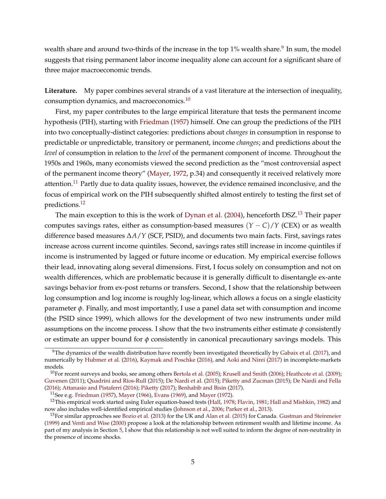wealth share and around two-thirds of the increase in the top  $1\%$  wealth share. $^9$  $^9$  In sum, the model suggests that rising permanent labor income inequality alone can account for a significant share of three major macroeconomic trends.

**Literature.** My paper combines several strands of a vast literature at the intersection of inequality, consumption dynamics, and macroeconomics.<sup>[10](#page-4-1)</sup>

First, my paper contributes to the large empirical literature that tests the permanent income hypothesis (PIH), starting with [Friedman](#page-52-1) [\(1957\)](#page-52-1) himself. One can group the predictions of the PIH into two conceptually-distinct categories: predictions about *changes* in consumption in response to predictable or unpredictable, transitory or permanent, income *changes*; and predictions about the *level* of consumption in relation to the *level* of the permanent component of income. Throughout the 1950s and 1960s, many economists viewed the second prediction as the "most controversial aspect of the permanent income theory" [\(Mayer,](#page-54-0) [1972,](#page-54-0) p.34) and consequently it received relatively more attention.<sup>[11](#page-4-2)</sup> Partly due to data quality issues, however, the evidence remained inconclusive, and the focus of empirical work on the PIH subsequently shifted almost entirely to testing the first set of predictions.[12](#page-4-3)

The main exception to this is the work of [Dynan et al.](#page-51-1) [\(2004\)](#page-51-1), henceforth DSZ.<sup>[13](#page-4-4)</sup> Their paper computes savings rates, either as consumption-based measures  $(Y - C)/Y$  (CEX) or as wealth difference based measures ∆*A*/*Y* (SCF, PSID), and documents two main facts. First, savings rates increase across current income quintiles. Second, savings rates still increase in income quintiles if income is instrumented by lagged or future income or education. My empirical exercise follows their lead, innovating along several dimensions. First, I focus solely on consumption and not on wealth differences, which are problematic because it is generally difficult to disentangle ex-ante savings behavior from ex-post returns or transfers. Second, I show that the relationship between log consumption and log income is roughly log-linear, which allows a focus on a single elasticity parameter *φ*. Finally, and most importantly, I use a panel data set with consumption and income (the PSID since 1999), which allows for the development of two new instruments under mild assumptions on the income process. I show that the two instruments either estimate  $\phi$  consistently or estimate an upper bound for *φ* consistently in canonical precautionary savings models. This

<span id="page-4-0"></span> $9$ The dynamics of the wealth distribution have recently been investigated theoretically by [Gabaix et al.](#page-52-7) [\(2017\)](#page-52-7), and numerically by [Hubmer et al.](#page-53-5) [\(2016\)](#page-53-5), [Kaymak and Poschke](#page-53-6) [\(2016\)](#page-53-6), and [Aoki and Nirei](#page-49-1) [\(2017\)](#page-49-1) in incomplete-markets models.

<span id="page-4-1"></span> $10$ For recent surveys and books, see among others [Bertola et al.](#page-50-3) [\(2005\)](#page-50-3); [Krusell and Smith](#page-54-5) [\(2006\)](#page-54-5); [Heathcote et al.](#page-53-7) [\(2009\)](#page-53-7); [Guvenen](#page-52-8) [\(2011\)](#page-52-8); Quadrini and Ríos-Rull [\(2015\)](#page-55-4); [De Nardi et al.](#page-51-5) (2015); [Piketty and Zucman](#page-55-4) (2015); [De Nardi and Fella](#page-51-6) [\(2016\)](#page-51-6); [Attanasio and Pistaferri](#page-49-2) [\(2016\)](#page-49-2); [Piketty](#page-55-9) [\(2017\)](#page-55-9); [Benhabib and Bisin](#page-50-4) [\(2017\)](#page-50-4).

<span id="page-4-3"></span><span id="page-4-2"></span><sup>&</sup>lt;sup>11</sup>See e.g. [Friedman](#page-52-1) [\(1957\)](#page-52-1), [Mayer](#page-54-0) [\(1966\)](#page-54-6), [Evans](#page-52-9) [\(1969\)](#page-52-9), and Mayer [\(1972\)](#page-54-0).

<sup>&</sup>lt;sup>12</sup>This empirical work started using Euler equation-based tests [\(Hall,](#page-52-10) [1978;](#page-52-10) [Flavin,](#page-52-11) [1981;](#page-52-11) [Hall and Mishkin,](#page-52-12) [1982\)](#page-52-12) and now also includes well-identified empirical studies [\(Johnson et al.,](#page-53-8) [2006;](#page-53-8) [Parker et al.,](#page-55-10) [2013\)](#page-55-10).

<span id="page-4-4"></span> $^{13}$ For similar approaches see [Bozio et al.](#page-50-5) [\(2013\)](#page-50-5) for the UK and [Alan et al.](#page-49-3) [\(2015\)](#page-49-3) for Canada. [Gustman and Steinmeier](#page-52-13) [\(1999\)](#page-52-13) and [Venti and Wise](#page-56-2) [\(2000\)](#page-56-2) propose a look at the relationship between retirement wealth and lifetime income. As part of my analysis in Section [5,](#page-31-0) I show that this relationship is not well suited to inform the degree of non-neutrality in the presence of income shocks.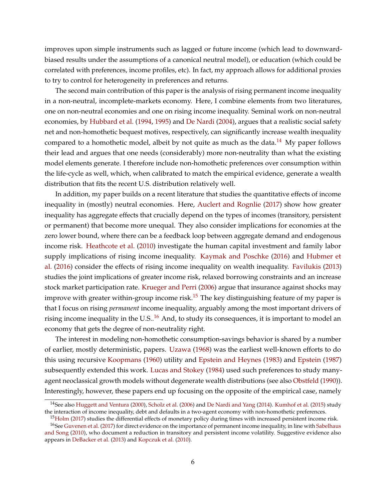improves upon simple instruments such as lagged or future income (which lead to downwardbiased results under the assumptions of a canonical neutral model), or education (which could be correlated with preferences, income profiles, etc). In fact, my approach allows for additional proxies to try to control for heterogeneity in preferences and returns.

The second main contribution of this paper is the analysis of rising permanent income inequality in a non-neutral, incomplete-markets economy. Here, I combine elements from two literatures, one on non-neutral economies and one on rising income inequality. Seminal work on non-neutral economies, by [Hubbard et al.](#page-53-1) [\(1994,](#page-53-1) [1995\)](#page-53-2) and [De Nardi](#page-51-3) [\(2004\)](#page-51-3), argues that a realistic social safety net and non-homothetic bequest motives, respectively, can significantly increase wealth inequality compared to a homothetic model, albeit by not quite as much as the data.<sup>[14](#page-5-0)</sup> My paper follows their lead and argues that one needs (considerably) more non-neutrality than what the existing model elements generate. I therefore include non-homothetic preferences over consumption within the life-cycle as well, which, when calibrated to match the empirical evidence, generate a wealth distribution that fits the recent U.S. distribution relatively well.

In addition, my paper builds on a recent literature that studies the quantitative effects of income inequality in (mostly) neutral economies. Here, [Auclert and Rognlie](#page-50-6) [\(2017\)](#page-50-6) show how greater inequality has aggregate effects that crucially depend on the types of incomes (transitory, persistent or permanent) that become more unequal. They also consider implications for economies at the zero lower bound, where there can be a feedback loop between aggregate demand and endogenous income risk. [Heathcote et al.](#page-53-9) [\(2010\)](#page-53-9) investigate the human capital investment and family labor supply implications of rising income inequality. [Kaymak and Poschke](#page-53-6) [\(2016\)](#page-53-6) and [Hubmer et](#page-53-5) [al.](#page-53-5) [\(2016\)](#page-53-5) consider the effects of rising income inequality on wealth inequality. [Favilukis](#page-52-14) [\(2013\)](#page-52-14) studies the joint implications of greater income risk, relaxed borrowing constraints and an increase stock market participation rate. [Krueger and Perri](#page-54-7) [\(2006\)](#page-54-7) argue that insurance against shocks may improve with greater within-group income risk.<sup>[15](#page-5-1)</sup> The key distinguishing feature of my paper is that I focus on rising *permanent* income inequality, arguably among the most important drivers of rising income inequality in the U.S..<sup>[16](#page-5-2)</sup> And, to study its consequences, it is important to model an economy that gets the degree of non-neutrality right.

The interest in modeling non-homothetic consumption-savings behavior is shared by a number of earlier, mostly deterministic, papers. [Uzawa](#page-56-3) [\(1968\)](#page-56-3) was the earliest well-known efforts to do this using recursive [Koopmans](#page-54-8) [\(1960\)](#page-54-8) utility and [Epstein and Heynes](#page-52-15) [\(1983\)](#page-52-15) and [Epstein](#page-51-7) [\(1987\)](#page-51-7) subsequently extended this work. [Lucas and Stokey](#page-54-9) [\(1984\)](#page-54-9) used such preferences to study manyagent neoclassical growth models without degenerate wealth distributions (see also [Obstfeld](#page-54-10) [\(1990\)](#page-54-10)). Interestingly, however, these papers end up focusing on the opposite of the empirical case, namely

<span id="page-5-0"></span><sup>14</sup>See also [Huggett and Ventura](#page-53-10) [\(2000\)](#page-53-10), [Scholz et al.](#page-55-2) [\(2006\)](#page-55-2) and [De Nardi and Yang](#page-51-8) [\(2014\)](#page-51-8). [Kumhof et al.](#page-54-11) [\(2015\)](#page-54-11) study the interaction of income inequality, debt and defaults in a two-agent economy with non-homothetic preferences.

<span id="page-5-2"></span><span id="page-5-1"></span> $15$ [Holm](#page-53-11) [\(2017\)](#page-53-11) studies the differential effects of monetary policy during times with increased persistent income risk.

<sup>&</sup>lt;sup>16</sup>See [Guvenen et al.](#page-52-0) [\(2017\)](#page-52-0) for direct evidence on the importance of permanent income inequality, in line with [Sabelhaus](#page-55-1) [and Song](#page-55-1) [\(2010\)](#page-55-1), who document a reduction in transitory and persistent income volatility. Suggestive evidence also appears in [DeBacker et al.](#page-51-2) [\(2013\)](#page-51-2) and [Kopczuk et al.](#page-54-1) [\(2010\)](#page-54-1).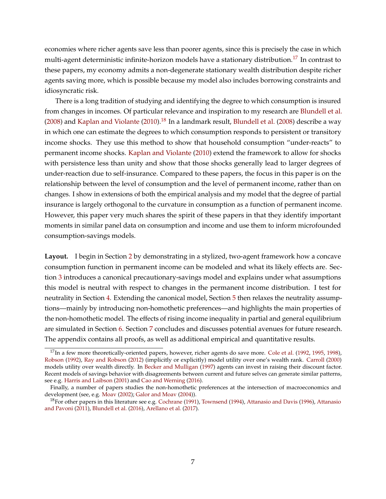economies where richer agents save less than poorer agents, since this is precisely the case in which multi-agent deterministic infinite-horizon models have a stationary distribution.<sup>[17](#page-6-0)</sup> In contrast to these papers, my economy admits a non-degenerate stationary wealth distribution despite richer agents saving more, which is possible because my model also includes borrowing constraints and idiosyncratic risk.

There is a long tradition of studying and identifying the degree to which consumption is insured from changes in incomes. Of particular relevance and inspiration to my research are [Blundell et al.](#page-50-7) [\(2008\)](#page-50-7) and [Kaplan and Violante](#page-53-12) [\(2010\)](#page-53-12).<sup>[18](#page-6-1)</sup> In a landmark result, [Blundell et al.](#page-50-7) (2008) describe a way in which one can estimate the degrees to which consumption responds to persistent or transitory income shocks. They use this method to show that household consumption "under-reacts" to permanent income shocks. [Kaplan and Violante](#page-53-12) [\(2010\)](#page-53-12) extend the framework to allow for shocks with persistence less than unity and show that those shocks generally lead to larger degrees of under-reaction due to self-insurance. Compared to these papers, the focus in this paper is on the relationship between the level of consumption and the level of permanent income, rather than on changes. I show in extensions of both the empirical analysis and my model that the degree of partial insurance is largely orthogonal to the curvature in consumption as a function of permanent income. However, this paper very much shares the spirit of these papers in that they identify important moments in similar panel data on consumption and income and use them to inform microfounded consumption-savings models.

**Layout.** I begin in Section [2](#page-7-0) by demonstrating in a stylized, two-agent framework how a concave consumption function in permanent income can be modeled and what its likely effects are. Section [3](#page-11-0) introduces a canonical precautionary-savings model and explains under what assumptions this model is neutral with respect to changes in the permanent income distribution. I test for neutrality in Section [4.](#page-18-0) Extending the canonical model, Section [5](#page-31-0) then relaxes the neutrality assumptions—mainly by introducing non-homothetic preferences—and highlights the main properties of the non-homothetic model. The effects of rising income inequality in partial and general equilibrium are simulated in Section [6.](#page-44-0) Section [7](#page-48-0) concludes and discusses potential avenues for future research. The appendix contains all proofs, as well as additional empirical and quantitative results.

<span id="page-6-0"></span><sup>&</sup>lt;sup>17</sup>In a few more theoretically-oriented papers, however, richer agents do save more. [Cole et al.](#page-51-9) [\(1992,](#page-51-9) [1995,](#page-51-10) [1998\)](#page-51-11), [Robson](#page-55-11) [\(1992\)](#page-55-11), [Ray and Robson](#page-55-12) [\(2012\)](#page-55-12) (implicitly or explicitly) model utility over one's wealth rank. [Carroll](#page-51-12) [\(2000\)](#page-51-12) models utility over wealth directly. In [Becker and Mulligan](#page-50-8) [\(1997\)](#page-50-8) agents can invest in raising their discount factor. Recent models of savings behavior with disagreements between current and future selves can generate similar patterns, see e.g. [Harris and Laibson](#page-52-16) [\(2001\)](#page-52-16) and [Cao and Werning](#page-50-9) [\(2016\)](#page-50-9).

Finally, a number of papers studies the non-homothetic preferences at the intersection of macroeconomics and development (see, e.g. [Moav](#page-54-12) [\(2002\)](#page-54-12); [Galor and Moav](#page-52-17) [\(2004\)](#page-52-17)).

<span id="page-6-1"></span><sup>&</sup>lt;sup>18</sup>For other papers in this literature see e.g. [Cochrane](#page-51-13) [\(1991\)](#page-51-13), [Townsend](#page-56-4) [\(1994\)](#page-56-4), [Attanasio and Davis](#page-49-4) [\(1996\)](#page-49-4), [Attanasio](#page-49-5) [and Pavoni](#page-49-5) [\(2011\)](#page-49-5), [Blundell et al.](#page-50-10) [\(2016\)](#page-50-10), [Arellano et al.](#page-49-6) [\(2017\)](#page-49-6).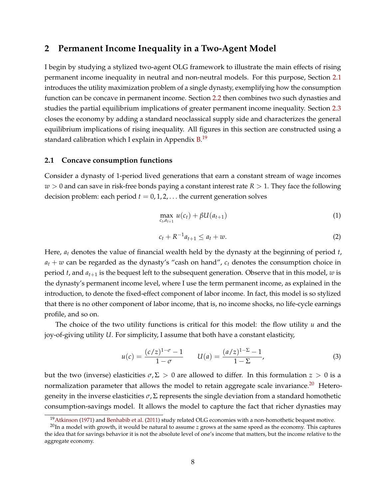# <span id="page-7-0"></span>**2 Permanent Income Inequality in a Two-Agent Model**

I begin by studying a stylized two-agent OLG framework to illustrate the main effects of rising permanent income inequality in neutral and non-neutral models. For this purpose, Section [2.1](#page-7-1) introduces the utility maximization problem of a single dynasty, exemplifying how the consumption function can be concave in permanent income. Section [2.2](#page-9-0) then combines two such dynasties and studies the partial equilibrium implications of greater permanent income inequality. Section [2.3](#page-10-0) closes the economy by adding a standard neoclassical supply side and characterizes the general equilibrium implications of rising inequality. All figures in this section are constructed using a standard calibration which I explain in Appendix [B.](#page-58-0)<sup>[19](#page-7-2)</sup>

#### <span id="page-7-1"></span>**2.1 Concave consumption functions**

Consider a dynasty of 1-period lived generations that earn a constant stream of wage incomes  $w > 0$  and can save in risk-free bonds paying a constant interest rate  $R > 1$ . They face the following decision problem: each period  $t = 0, 1, 2, \ldots$  the current generation solves

<span id="page-7-4"></span>
$$
\max_{c_t, a_{t+1}} u(c_t) + \beta U(a_{t+1}) \tag{1}
$$

$$
c_t + R^{-1}a_{t+1} \le a_t + w. \tag{2}
$$

Here, *a<sup>t</sup>* denotes the value of financial wealth held by the dynasty at the beginning of period *t*,  $a_t + w$  can be regarded as the dynasty's "cash on hand",  $c_t$  denotes the consumption choice in period *t*, and  $a_{t+1}$  is the bequest left to the subsequent generation. Observe that in this model,  $w$  is the dynasty's permanent income level, where I use the term permanent income, as explained in the introduction, to denote the fixed-effect component of labor income. In fact, this model is so stylized that there is no other component of labor income, that is, no income shocks, no life-cycle earnings profile, and so on.

The choice of the two utility functions is critical for this model: the flow utility *u* and the joy-of-giving utility *U*. For simplicity, I assume that both have a constant elasticity,

$$
u(c) = \frac{(c/z)^{1-\sigma} - 1}{1 - \sigma} \qquad U(a) = \frac{(a/z)^{1-\Sigma} - 1}{1 - \Sigma},
$$
 (3)

but the two (inverse) elasticities  $\sigma$ ,  $\Sigma > 0$  are allowed to differ. In this formulation  $z > 0$  is a normalization parameter that allows the model to retain aggregate scale invariance.<sup>[20](#page-7-3)</sup> Heterogeneity in the inverse elasticities  $\sigma$ ,  $\Sigma$  represents the single deviation from a standard homothetic consumption-savings model. It allows the model to capture the fact that richer dynasties may

<span id="page-7-3"></span><span id="page-7-2"></span><sup>&</sup>lt;sup>19</sup>[Atkinson](#page-49-7) [\(1971\)](#page-49-7) and [Benhabib et al.](#page-50-11) [\(2011\)](#page-50-11) study related OLG economies with a non-homothetic bequest motive.

<sup>20</sup>In a model with growth, it would be natural to assume *z* grows at the same speed as the economy. This captures the idea that for savings behavior it is not the absolute level of one's income that matters, but the income relative to the aggregate economy.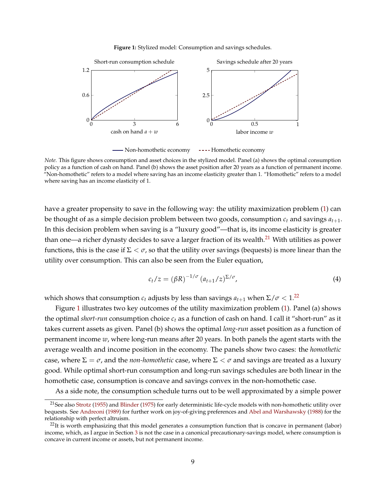#### **Figure 1:** Stylized model: Consumption and savings schedules.

<span id="page-8-3"></span>

<span id="page-8-0"></span>- [Non-homothetic economy](#page-8-0) ----- Homothetic economy

*Note.* This figure shows consumption and asset choices in the stylized model. Panel (a) shows the optimal consumption policy as a function of cash on hand. Panel (b) shows the asset position after 20 years as a function of permanent income. "Non-homothetic" refers to a model where saving has an income elasticity greater than 1. "Homothetic" refers to a model where saving has an income elasticity of 1.

have a greater propensity to save in the following way: the utility maximization problem [\(1\)](#page-7-4) can be thought of as a simple decision problem between two goods, consumption  $c_t$  and savings  $a_{t+1}$ . In this decision problem when saving is a "luxury good"—that is, its income elasticity is greater than one—a richer dynasty decides to save a larger fraction of its wealth.<sup>[21](#page-8-1)</sup> With utilities as power functions, this is the case if  $\Sigma < \sigma$ , so that the utility over savings (bequests) is more linear than the utility over consumption. This can also be seen from the Euler equation,

$$
c_t/z = (\beta R)^{-1/\sigma} (a_{t+1}/z)^{\Sigma/\sigma}, \qquad (4)
$$

which shows that consumption  $c_t$  adjusts by less than savings  $a_{t+1}$  when  $\Sigma/\sigma < 1$ .<sup>[22](#page-8-2)</sup>

Figure [1](#page-8-3) illustrates two key outcomes of the utility maximization problem [\(1\)](#page-7-4). Panel (a) shows the optimal *short-run* consumption choice *c<sup>t</sup>* as a function of cash on hand. I call it "short-run" as it takes current assets as given. Panel (b) shows the optimal *long-run* asset position as a function of permanent income *w*, where long-run means after 20 years. In both panels the agent starts with the average wealth and income position in the economy. The panels show two cases: the *homothetic* case, where  $\Sigma = \sigma$ , and the *non-homothetic* case, where  $\Sigma < \sigma$  and savings are treated as a luxury good. While optimal short-run consumption and long-run savings schedules are both linear in the homothetic case, consumption is concave and savings convex in the non-homothetic case.

As a side note, the consumption schedule turns out to be well approximated by a simple power

<span id="page-8-1"></span><sup>21</sup>See also [Strotz](#page-56-5) [\(1955\)](#page-56-5) and [Blinder](#page-50-12) [\(1975\)](#page-50-12) for early deterministic life-cycle models with non-homothetic utility over bequests. See [Andreoni](#page-49-8) [\(1989\)](#page-49-8) for further work on joy-of-giving preferences and [Abel and Warshawsky](#page-49-9) [\(1988\)](#page-49-9) for the relationship with perfect altruism.

<span id="page-8-2"></span> $^{22}$ It is worth emphasizing that this model generates a consumption function that is concave in permanent (labor) income, which, as I argue in Section [3](#page-11-0) is not the case in a canonical precautionary-savings model, where consumption is concave in current income or assets, but not permanent income.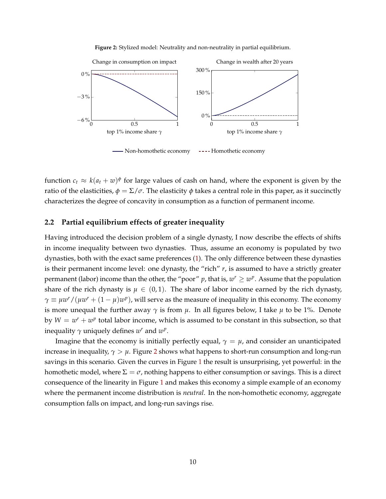

<span id="page-9-2"></span><span id="page-9-1"></span>

function  $c_t \approx k(a_t + w)^\phi$  for large values of cash on hand, where the exponent is given by the ratio of the elasticities,  $\phi = \Sigma / \sigma$ . The elasticity  $\phi$  takes a central role in this paper, as it succinctly characterizes the degree of concavity in consumption as a function of permanent income.

## <span id="page-9-0"></span>**2.2 Partial equilibrium effects of greater inequality**

Having introduced the decision problem of a single dynasty, I now describe the effects of shifts in income inequality between two dynasties. Thus, assume an economy is populated by two dynasties, both with the exact same preferences [\(1\)](#page-7-4). The only difference between these dynasties is their permanent income level: one dynasty, the "rich" *r*, is assumed to have a strictly greater permanent (labor) income than the other, the "poor" p, that is,  $w^r \geq w^p$ . Assume that the population share of the rich dynasty is  $\mu \in (0,1)$ . The share of labor income earned by the rich dynasty,  $\gamma \equiv \mu w^r / (\mu w^r + (1 - \mu) w^p)$ , will serve as the measure of inequality in this economy. The economy is more unequal the further away  $\gamma$  is from  $\mu$ . In all figures below, I take  $\mu$  to be 1%. Denote by  $W = w^r + w^p$  total labor income, which is assumed to be constant in this subsection, so that inequality  $\gamma$  uniquely defines  $w^r$  and  $w^p$ .

Imagine that the economy is initially perfectly equal,  $\gamma = \mu$ , and consider an unanticipated increase in inequality,  $\gamma > \mu$ . Figure [2](#page-9-2) shows what happens to short-run consumption and long-run savings in this scenario. Given the curves in Figure [1](#page-8-3) the result is unsurprising, yet powerful: in the homothetic model, where  $\Sigma = \sigma$ , nothing happens to either consumption or savings. This is a direct consequence of the linearity in Figure [1](#page-8-3) and makes this economy a simple example of an economy where the permanent income distribution is *neutral*. In the non-homothetic economy, aggregate consumption falls on impact, and long-run savings rise.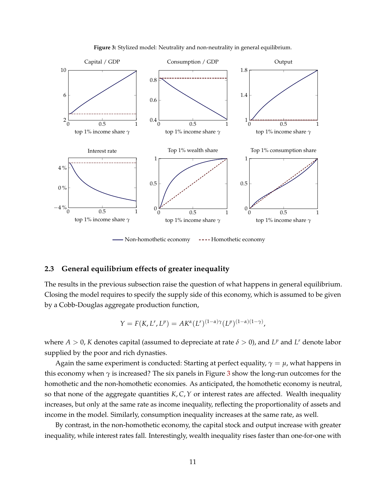<span id="page-10-2"></span>

**Figure 3:** Stylized model: Neutrality and non-neutrality in general equilibrium.

<span id="page-10-1"></span>- [Non-homothetic economy](#page-10-1) ---- Homothetic economy

## <span id="page-10-0"></span>**2.3 General equilibrium effects of greater inequality**

The results in the previous subsection raise the question of what happens in general equilibrium. Closing the model requires to specify the supply side of this economy, which is assumed to be given by a Cobb-Douglas aggregate production function,

$$
Y = F(K, L^r, L^p) = AK^{\alpha}(L^r)^{(1-\alpha)\gamma}(L^p)^{(1-\alpha)(1-\gamma)},
$$

where  $A > 0$ , K denotes capital (assumed to depreciate at rate  $\delta > 0$ ), and  $L^p$  and  $L^r$  denote labor supplied by the poor and rich dynasties.

Again the same experiment is conducted: Starting at perfect equality,  $\gamma = \mu$ , what happens in this economy when *γ* is increased? The six panels in Figure [3](#page-10-2) show the long-run outcomes for the homothetic and the non-homothetic economies. As anticipated, the homothetic economy is neutral, so that none of the aggregate quantities *K*, *C*,*Y* or interest rates are affected. Wealth inequality increases, but only at the same rate as income inequality, reflecting the proportionality of assets and income in the model. Similarly, consumption inequality increases at the same rate, as well.

By contrast, in the non-homothetic economy, the capital stock and output increase with greater inequality, while interest rates fall. Interestingly, wealth inequality rises faster than one-for-one with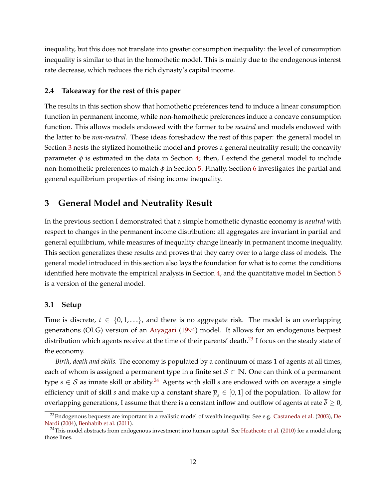inequality, but this does not translate into greater consumption inequality: the level of consumption inequality is similar to that in the homothetic model. This is mainly due to the endogenous interest rate decrease, which reduces the rich dynasty's capital income.

## **2.4 Takeaway for the rest of this paper**

The results in this section show that homothetic preferences tend to induce a linear consumption function in permanent income, while non-homothetic preferences induce a concave consumption function. This allows models endowed with the former to be *neutral* and models endowed with the latter to be *non-neutral*. These ideas foreshadow the rest of this paper: the general model in Section [3](#page-11-0) nests the stylized homothetic model and proves a general neutrality result; the concavity parameter  $\phi$  is estimated in the data in Section [4;](#page-18-0) then, I extend the general model to include non-homothetic preferences to match *φ* in Section [5.](#page-31-0) Finally, Section [6](#page-44-0) investigates the partial and general equilibrium properties of rising income inequality.

# <span id="page-11-0"></span>**3 General Model and Neutrality Result**

In the previous section I demonstrated that a simple homothetic dynastic economy is *neutral* with respect to changes in the permanent income distribution: all aggregates are invariant in partial and general equilibrium, while measures of inequality change linearly in permanent income inequality. This section generalizes these results and proves that they carry over to a large class of models. The general model introduced in this section also lays the foundation for what is to come: the conditions identified here motivate the empirical analysis in Section [4,](#page-18-0) and the quantitative model in Section [5](#page-31-0) is a version of the general model.

## <span id="page-11-3"></span>**3.1 Setup**

Time is discrete,  $t \in \{0, 1, \ldots\}$ , and there is no aggregate risk. The model is an overlapping generations (OLG) version of an [Aiyagari](#page-49-0) [\(1994\)](#page-49-0) model. It allows for an endogenous bequest distribution which agents receive at the time of their parents' death.<sup>[23](#page-11-1)</sup> I focus on the steady state of the economy.

*Birth, death and skills.* The economy is populated by a continuum of mass 1 of agents at all times, each of whom is assigned a permanent type in a finite set  $S \subset \mathbb{N}$ . One can think of a permanent type  $s \in S$  as innate skill or ability.<sup>[24](#page-11-2)</sup> Agents with skill *s* are endowed with on average a single efficiency unit of skill *s* and make up a constant share  $\bar{\mu}_{s} \in [0,1]$  of the population. To allow for overlapping generations, I assume that there is a constant inflow and outflow of agents at rate  $\delta$  > 0,

<span id="page-11-1"></span><sup>&</sup>lt;sup>23</sup>Endogenous bequests are important in a realistic model of wealth inequality. See e.g. [Castaneda et al.](#page-51-14) [\(2003\)](#page-51-14), [De](#page-51-3) [Nardi](#page-51-3) [\(2004\)](#page-51-3), [Benhabib et al.](#page-50-11) [\(2011\)](#page-50-11).

<span id="page-11-2"></span><sup>&</sup>lt;sup>24</sup>This model abstracts from endogenous investment into human capital. See [Heathcote et al.](#page-53-9) [\(2010\)](#page-53-9) for a model along those lines.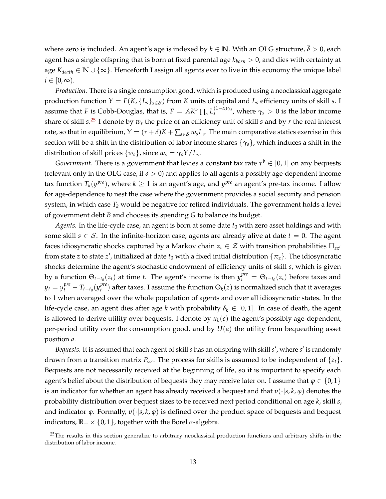where zero is included. An agent's age is indexed by  $k \in \mathbb{N}$ . With an OLG structure,  $\overline{\delta} > 0$ , each agent has a single offspring that is born at fixed parental age *kborn* > 0, and dies with certainty at age *Kdeath* ∈ **N** ∪ {∞}. Henceforth I assign all agents ever to live in this economy the unique label  $i \in [0, \infty)$ .

*Production.* There is a single consumption good, which is produced using a neoclassical aggregate production function  $Y = F(K, \{L_s\}_{s \in S})$  from K units of capital and  $L_s$  efficiency units of skill *s*. I assume that *F* is Cobb-Douglas, that is,  $F = AK^\alpha \prod_s L_s^{(1-\alpha)\gamma_s}$ , where  $\gamma_s>0$  is the labor income share of skill *s*. [25](#page-12-0) I denote by *w<sup>s</sup>* the price of an efficiency unit of skill *s* and by *r* the real interest rate, so that in equilibrium,  $Y=(r+\delta)K+\sum_{s\in\mathcal{S}}w_sL_s.$  The main comparative statics exercise in this section will be a shift in the distribution of labor income shares {*γs*}, which induces a shift in the distribution of skill prices  $\{w_s\}$ , since  $w_s = \gamma_s Y / L_s$ .

*Government.* There is a government that levies a constant tax rate  $\tau^b \in [0,1]$  on any bequests (relevant only in the OLG case, if  $\overline{\delta} > 0$ ) and applies to all agents a possibly age-dependent income tax function  $T_k(y^{pre})$ , where  $k \geq 1$  is an agent's age, and  $y^{pre}$  an agent's pre-tax income. I allow for age-dependence to nest the case where the government provides a social security and pension system, in which case  $T_k$  would be negative for retired individuals. The government holds a level of government debt *B* and chooses its spending *G* to balance its budget.

*Agents.* In the life-cycle case, an agent is born at some date  $t_0$  with zero asset holdings and with some skill  $s \in S$ . In the infinite-horizon case, agents are already alive at date  $t = 0$ . The agent faces idiosyncratic shocks captured by a Markov chain  $z_t \in \mathcal{Z}$  with transition probabilities  $\Pi_{zz}$ <sup>1</sup> from state *z* to state *z'*, initialized at date  $t_0$  with a fixed initial distribution  $\{\pi_z\}$ . The idiosyncratic shocks determine the agent's stochastic endowment of efficiency units of skill *s*, which is given by a function  $\Theta_{t-t_0}(z_t)$  at time *t*. The agent's income is then  $y_t^{pre} = \Theta_{t-t_0}(z_t)$  before taxes and  $y_t = y_t^{pre} - T_{t-t_0}(y_t^{pre})$  $t_t^{pre}$ ) after taxes. I assume the function  $\Theta_k(z)$  is normalized such that it averages to 1 when averaged over the whole population of agents and over all idiosyncratic states. In the life-cycle case, an agent dies after age *k* with probability  $\delta_k \in [0,1]$ . In case of death, the agent is allowed to derive utility over bequests. I denote by  $u_k(c)$  the agent's possibly age-dependent, per-period utility over the consumption good, and by *U*(*a*) the utility from bequeathing asset position *a*.

Bequests. It is assumed that each agent of skill *s* has an offspring with skill *s'*, where *s'* is randomly drawn from a transition matrix  $P_{ss'}$ . The process for skills is assumed to be independent of  $\{z_t\}$ . Bequests are not necessarily received at the beginning of life, so it is important to specify each agent's belief about the distribution of bequests they may receive later on. I assume that  $\varphi \in \{0,1\}$ is an indicator for whether an agent has already received a bequest and that *υ*(·|*s*, *k*, *ϕ*) denotes the probability distribution over bequest sizes to be received next period conditional on age *k*, skill *s*, and indicator  $\varphi$ . Formally,  $v(\cdot|s, k, \varphi)$  is defined over the product space of bequests and bequest indicators,  $\mathbb{R}_+ \times \{0,1\}$ , together with the Borel  $\sigma$ -algebra.

<span id="page-12-0"></span> $25$ The results in this section generalize to arbitrary neoclassical production functions and arbitrary shifts in the distribution of labor income.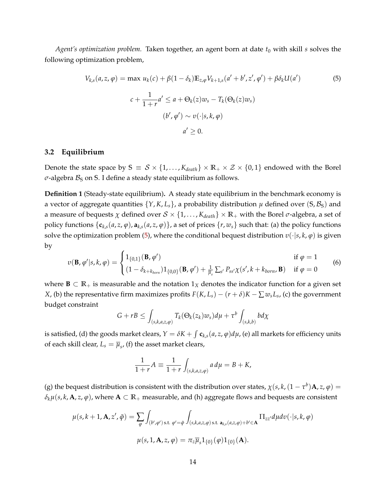*Agent's optimization problem.* Taken together, an agent born at date  $t_0$  with skill *s* solves the following optimization problem,

<span id="page-13-0"></span>
$$
V_{k,s}(a,z,\varphi) = \max u_k(c) + \beta(1-\delta_k)\mathbb{E}_{z,\varphi}V_{k+1,s}(a'+b',z',\varphi') + \beta\delta_k U(a')
$$
\n
$$
c + \frac{1}{1+r}a' \le a + \Theta_k(z)w_s - T_k(\Theta_k(z)w_s)
$$
\n
$$
(b',\varphi') \sim v(\cdot|s,k,\varphi)
$$
\n
$$
a' \ge 0.
$$
\n(5)

## **3.2 Equilibrium**

Denote the state space by  $S \equiv S \times \{1, ..., K_{death}\} \times \mathbb{R}_+ \times \mathcal{Z} \times \{0, 1\}$  endowed with the Borel  $\sigma$ -algebra  $\mathcal{B}_S$  on S. I define a steady state equilibrium as follows.

<span id="page-13-1"></span>**Definition 1** (Steady-state equilibrium)**.** A steady state equilibrium in the benchmark economy is a vector of aggregate quantities  $\{Y, K, L_s\}$ , a probability distribution  $\mu$  defined over  $(S, B_S)$  and a measure of bequests  $\chi$  defined over  $S \times \{1, \ldots, K_{death}\} \times \mathbb{R}_+$  with the Borel  $\sigma$ -algebra, a set of policy functions  $\{c_{k,s}(a, z, \varphi), a_{k,s}(a, z, \varphi)\}\$ , a set of prices  $\{r, w_s\}$  such that: (a) the policy functions solve the optimization problem [\(5\)](#page-13-0), where the conditional bequest distribution *υ*(·|*s*, *k*, *ϕ*) is given by

$$
v(\mathbf{B}, \varphi'|s, k, \varphi) = \begin{cases} 1_{\{0,1\}}(\mathbf{B}, \varphi') & \text{if } \varphi = 1 \\ (1 - \delta_{k + k_{born}}) 1_{\{0,0\}}(\mathbf{B}, \varphi') + \frac{1}{\mu_s} \sum_{s'} P_{ss'} \chi(s', k + k_{born}, \mathbf{B}) & \text{if } \varphi = 0 \end{cases}
$$
(6)

where  $\mathbf{B} \subset \mathbb{R}_+$  is measurable and the notation 1<sub>*X*</sub> denotes the indicator function for a given set *X*, (b) the representative firm maximizes profits  $F(K, L_s) - (r + \delta)K - \sum w_s L_s$ , (c) the government budget constraint

$$
G+rB \leq \int_{(s,k,a,z,\varphi)} T_k(\Theta_k(z_k)w_s)d\mu + \tau^b \int_{(s,k,b)} bd\chi
$$

is satisfied, (d) the goods market clears,  $Y=\delta K+\int\mathbf{c}_{k,s}(a,z,\varphi)d\mu$ , (e) all markets for efficiency units of each skill clear,  $L_s = \overline{\mu}_s$ , (f) the asset market clears,

$$
\frac{1}{1+r}A \equiv \frac{1}{1+r} \int_{(s,k,a,z,\varphi)} a \, d\mu = B + K,
$$

(g) the bequest distribution is consistent with the distribution over states,  $\chi(s,k,(1-\tau^b){\bf A},z,\varphi)=$  $\delta_k \mu(s, k, \mathbf{A}, z, \varphi)$ , where  $\mathbf{A} \subset \mathbb{R}_+$  measurable, and (h) aggregate flows and bequests are consistent

$$
\mu(s, k+1, \mathbf{A}, z', \tilde{\varphi}) = \sum_{\varphi} \int_{(b', \varphi') \text{ s.t. } \varphi' = \tilde{\varphi}} \int_{(s, k, a, z, \varphi) \text{ s.t. } \mathbf{a}_{k, s}(a, z, \varphi) + b' \in \mathbf{A}} \Pi_{zz'} d\mu dv(\cdot | s, k, \varphi)
$$

$$
\mu(s, 1, \mathbf{A}, z, \varphi) = \pi_z \overline{\mu}_s \mathbf{1}_{\{0\}}(\varphi) \mathbf{1}_{\{0\}}(\mathbf{A}).
$$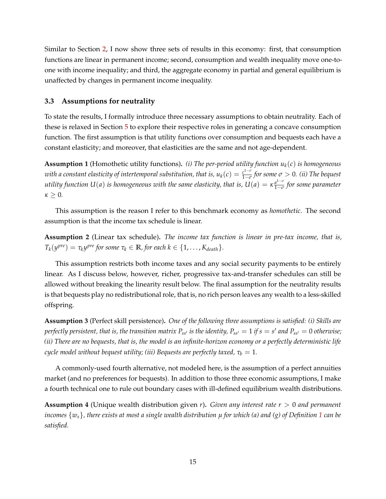Similar to Section [2,](#page-7-0) I now show three sets of results in this economy: first, that consumption functions are linear in permanent income; second, consumption and wealth inequality move one-toone with income inequality; and third, the aggregate economy in partial and general equilibrium is unaffected by changes in permanent income inequality.

## **3.3 Assumptions for neutrality**

To state the results, I formally introduce three necessary assumptions to obtain neutrality. Each of these is relaxed in Section [5](#page-31-0) to explore their respective roles in generating a concave consumption function. The first assumption is that utility functions over consumption and bequests each have a constant elasticity; and moreover, that elasticities are the same and not age-dependent.

<span id="page-14-0"></span>**Assumption 1** (Homothetic utility functions)**.** *(i) The per-period utility function uk*(*c*) *is homogeneous with a constant elasticity of intertemporal substitution, that is,*  $u_k(c) = \frac{c^{1-\sigma}}{1-\sigma}$  $\frac{c^{1-\nu}}{1-\sigma}$  for some  $\sigma > 0$ . (*ii*) The bequest *utility function*  $U(a)$  *is homogeneous with the same elasticity, that is,*  $U(a) = \kappa \frac{a^{1-\sigma}}{1-\sigma}$ 1−*σ for some parameter κ* ≥ 0*.*

This assumption is the reason I refer to this benchmark economy as *homothetic*. The second assumption is that the income tax schedule is linear.

**Assumption 2** (Linear tax schedule)**.** *The income tax function is linear in pre-tax income, that is,*  $T_k(y^{pre}) = \tau_k y^{pre}$  for some  $\tau_k \in \mathbb{R}$ , for each  $k \in \{1, \ldots, K_{death}\}.$ 

This assumption restricts both income taxes and any social security payments to be entirely linear. As I discuss below, however, richer, progressive tax-and-transfer schedules can still be allowed without breaking the linearity result below. The final assumption for the neutrality results is that bequests play no redistributional role, that is, no rich person leaves any wealth to a less-skilled offspring.

<span id="page-14-2"></span>**Assumption 3** (Perfect skill persistence)**.** *One of the following three assumptions is satisfied: (i) Skills are perfectly persistent, that is, the transition matrix*  $P_{ss'}$  *is the identity,*  $P_{ss'} = 1$  *if*  $s = s'$  *and*  $P_{ss'} = 0$  *otherwise; (ii) There are no bequests, that is, the model is an infinite-horizon economy or a perfectly deterministic life cycle model without bequest utility; (iii) Bequests are perfectly taxed,*  $\tau_b = 1$ *.* 

A commonly-used fourth alternative, not modeled here, is the assumption of a perfect annuities market (and no preferences for bequests). In addition to those three economic assumptions, I make a fourth technical one to rule out boundary cases with ill-defined equilibrium wealth distributions.

<span id="page-14-1"></span>**Assumption 4** (Unique wealth distribution given *r*)**.** *Given any interest rate r* > 0 *and permanent incomes* {*ws*}*, there exists at most a single wealth distribution µ for which (a) and (g) of Definition [1](#page-13-1) can be satisfied.*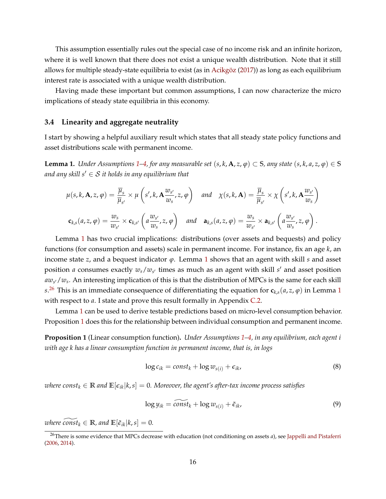This assumption essentially rules out the special case of no income risk and an infinite horizon, where it is well known that there does not exist a unique wealth distribution. Note that it still allows for multiple steady-state equilibria to exist (as in Acikgöz [\(2017\)](#page-54-13)) as long as each equilibrium interest rate is associated with a unique wealth distribution.

Having made these important but common assumptions, I can now characterize the micro implications of steady state equilibria in this economy.

#### <span id="page-15-3"></span>**3.4 Linearity and aggregate neutrality**

I start by showing a helpful auxiliary result which states that all steady state policy functions and asset distributions scale with permanent income.

<span id="page-15-0"></span>**Lemma [1](#page-14-0).** Under Assumptions 1[–4,](#page-14-1) for any measurable set  $(s, k, \mathbf{A}, z, \varphi) \subset S$ , any state  $(s, k, a, z, \varphi) \in S$ *and any skill s'*  $\in$  *S it holds in any equilibrium that* 

$$
\mu(s,k,\mathbf{A},z,\varphi) = \frac{\overline{\mu}_s}{\overline{\mu}_{s'}} \times \mu\left(s',k,\mathbf{A}\frac{w_{s'}}{w_s},z,\varphi\right) \quad \text{and} \quad \chi(s,k,\mathbf{A}) = \frac{\overline{\mu}_s}{\overline{\mu}_{s'}} \times \chi\left(s',k,\mathbf{A}\frac{w_{s'}}{w_s}\right)
$$

$$
\mathbf{c}_{k,s}(a,z,\varphi) = \frac{w_s}{w_{s'}} \times \mathbf{c}_{k,s'}\left(a\frac{w_{s'}}{w_s},z,\varphi\right) \quad \text{and} \quad \mathbf{a}_{k,s}(a,z,\varphi) = \frac{w_s}{w_{s'}} \times \mathbf{a}_{k,s'}\left(a\frac{w_{s'}}{w_s},z,\varphi\right).
$$

Lemma [1](#page-15-0) has two crucial implications: distributions (over assets and bequests) and policy functions (for consumption and assets) scale in permanent income. For instance, fix an age *k*, an income state *z*, and a bequest indicator *ϕ*. Lemma [1](#page-15-0) shows that an agent with skill *s* and asset position *a* consumes exactly  $w_s/w_{s'}$  times as much as an agent with skill  $s'$  and asset position *aw<sup>s</sup>* <sup>0</sup>/*w<sup>s</sup>* . An interesting implication of this is that the distribution of MPCs is the same for each skill  $s^{26}$  $s^{26}$  $s^{26}$  This is an immediate consequence of differentiating the equation for  $\mathbf{c}_{k,s}(a,z,\varphi)$  in Lemma [1](#page-15-0) with respect to *a*. I state and prove this result formally in Appendix [C.2.](#page-60-0)

Lemma [1](#page-15-0) can be used to derive testable predictions based on micro-level consumption behavior. Proposition [1](#page-15-2) does this for the relationship between individual consumption and permanent income.

<span id="page-15-2"></span>**Proposition 1** (Linear consumption function)**.** *Under Assumptions [1](#page-14-0)[–4,](#page-14-1) in any equilibrium, each agent i with age k has a linear consumption function in permanent income, that is, in logs*

<span id="page-15-4"></span>
$$
\log c_{ik} = const_k + \log w_{s(i)} + \epsilon_{ik}, \tag{8}
$$

*where const*<sub> $k \in \mathbb{R}$  *and*  $\mathbb{E}[\epsilon_{ik}|k,s] = 0$ *. Moreover, the agent's after-tax income process satisfies*</sub>

$$
\log y_{ik} = \widetilde{\text{const}}_k + \log w_{s(i)} + \tilde{\epsilon}_{ik},\tag{9}
$$

*where*  $\overline{const}_k \in \mathbb{R}$ *, and*  $\mathbb{E}[\tilde{\epsilon}_{ik}|k,s] = 0$ *.* 

<span id="page-15-1"></span><sup>26</sup>There is some evidence that MPCs decrease with education (not conditioning on assets *a*), see [Jappelli and Pistaferri](#page-53-13) [\(2006,](#page-53-13) [2014\)](#page-53-14).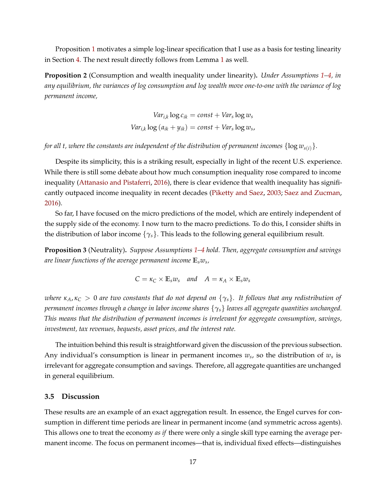Proposition [1](#page-15-2) motivates a simple log-linear specification that I use as a basis for testing linearity in Section [4.](#page-18-0) The next result directly follows from Lemma [1](#page-15-0) as well.

**Proposition 2** (Consumption and wealth inequality under linearity)**.** *Under Assumptions [1–](#page-14-0)[4,](#page-14-1) in any equilibrium, the variances of log consumption and log wealth move one-to-one with the variance of log permanent income,*

$$
Var_{i,k} \log c_{ik} = const + Var_s \log w_s
$$

$$
Var_{i,k} \log (a_{ik} + y_{ik}) = const + Var_s \log w_s
$$

*for all t, where the constants are independent of the distribution of permanent incomes*  $\{\log w_{s(i)}\}$ *.* 

Despite its simplicity, this is a striking result, especially in light of the recent U.S. experience. While there is still some debate about how much consumption inequality rose compared to income inequality [\(Attanasio and Pistaferri,](#page-49-2) [2016\)](#page-49-2), there is clear evidence that wealth inequality has significantly outpaced income inequality in recent decades [\(Piketty and Saez,](#page-55-0) [2003;](#page-55-0) [Saez and Zucman,](#page-55-5) [2016\)](#page-55-5).

So far, I have focused on the micro predictions of the model, which are entirely independent of the supply side of the economy. I now turn to the macro predictions. To do this, I consider shifts in the distribution of labor income {*γs*}. This leads to the following general equilibrium result.

<span id="page-16-0"></span>**Proposition 3** (Neutrality)**.** *Suppose Assumptions [1–](#page-14-0)[4](#page-14-1) hold. Then, aggregate consumption and savings are linear functions of the average permanent income* **E***sw<sup>s</sup> ,*

$$
C = \kappa_C \times \mathbb{E}_s w_s \quad and \quad A = \kappa_A \times \mathbb{E}_s w_s
$$

*where*  $\kappa_A$ ,  $\kappa_C > 0$  *are two constants that do not depend on*  $\{\gamma_s\}$ . It follows that any redistribution of *permanent incomes through a change in labor income shares* {*γs*} *leaves all aggregate quantities unchanged. This means that the distribution of permanent incomes is irrelevant for aggregate consumption, savings, investment, tax revenues, bequests, asset prices, and the interest rate.*

The intuition behind this result is straightforward given the discussion of the previous subsection. Any individual's consumption is linear in permanent incomes  $w_s$ , so the distribution of  $w_s$  is irrelevant for aggregate consumption and savings. Therefore, all aggregate quantities are unchanged in general equilibrium.

#### **3.5 Discussion**

These results are an example of an exact aggregation result. In essence, the Engel curves for consumption in different time periods are linear in permanent income (and symmetric across agents). This allows one to treat the economy *as if* there were only a single skill type earning the average permanent income. The focus on permanent incomes—that is, individual fixed effects—distinguishes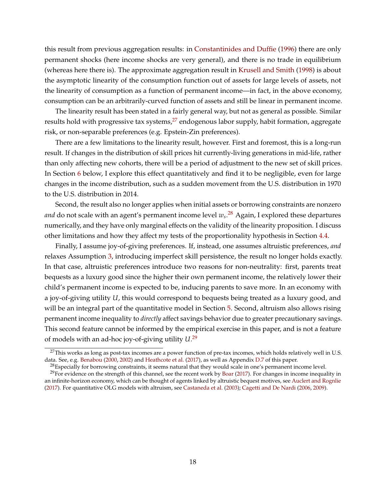this result from previous aggregation results: in [Constantinides and Duffie](#page-51-15) [\(1996\)](#page-51-15) there are only permanent shocks (here income shocks are very general), and there is no trade in equilibrium (whereas here there is). The approximate aggregation result in [Krusell and Smith](#page-54-14) [\(1998\)](#page-54-14) is about the asymptotic linearity of the consumption function out of assets for large levels of assets, not the linearity of consumption as a function of permanent income—in fact, in the above economy, consumption can be an arbitrarily-curved function of assets and still be linear in permanent income.

The linearity result has been stated in a fairly general way, but not as general as possible. Similar results hold with progressive tax systems, $27$  endogenous labor supply, habit formation, aggregate risk, or non-separable preferences (e.g. Epstein-Zin preferences).

There are a few limitations to the linearity result, however. First and foremost, this is a long-run result. If changes in the distribution of skill prices hit currently-living generations in mid-life, rather than only affecting new cohorts, there will be a period of adjustment to the new set of skill prices. In Section [6](#page-44-0) below, I explore this effect quantitatively and find it to be negligible, even for large changes in the income distribution, such as a sudden movement from the U.S. distribution in 1970 to the U.S. distribution in 2014.

Second, the result also no longer applies when initial assets or borrowing constraints are nonzero *and* do not scale with an agent's permanent income level *w<sup>s</sup>* . [28](#page-17-1) Again, I explored these departures numerically, and they have only marginal effects on the validity of the linearity proposition. I discuss other limitations and how they affect my tests of the proportionality hypothesis in Section [4.4.](#page-25-0)

Finally, I assume joy-of-giving preferences. If, instead, one assumes altruistic preferences, *and* relaxes Assumption [3,](#page-14-2) introducing imperfect skill persistence, the result no longer holds exactly. In that case, altruistic preferences introduce two reasons for non-neutrality: first, parents treat bequests as a luxury good since the higher their own permanent income, the relatively lower their child's permanent income is expected to be, inducing parents to save more. In an economy with a joy-of-giving utility *U*, this would correspond to bequests being treated as a luxury good, and will be an integral part of the quantitative model in Section [5.](#page-31-0) Second, altruism also allows rising permanent income inequality to *directly* affect savings behavior due to greater precautionary savings. This second feature cannot be informed by the empirical exercise in this paper, and is not a feature of models with an ad-hoc joy-of-giving utility *U*. [29](#page-17-2)

<span id="page-17-0"></span> $^{27}$ This works as long as post-tax incomes are a power function of pre-tax incomes, which holds relatively well in U.S. data. See, e.g. [Benabou](#page-50-13) [\(2000,](#page-50-13) [2002\)](#page-50-14) and [Heathcote et al.](#page-53-15) [\(2017\)](#page-53-15), as well as Appendix [D.7](#page-71-0) of this paper.

<span id="page-17-2"></span><span id="page-17-1"></span> $^{28}$ Especially for borrowing constraints, it seems natural that they would scale in one's permanent income level.

<sup>&</sup>lt;sup>29</sup>For evidence on the strength of this channel, see the recent work by [Boar](#page-50-15) [\(2017\)](#page-50-15). For changes in income inequality in an infinite-horizon economy, which can be thought of agents linked by altruistic bequest motives, see [Auclert and Rognlie](#page-50-6) [\(2017\)](#page-50-6). For quantitative OLG models with altruism, see [Castaneda et al.](#page-51-14) [\(2003\)](#page-51-14); [Cagetti and De Nardi](#page-50-2) [\(2006,](#page-50-2) [2009\)](#page-50-16).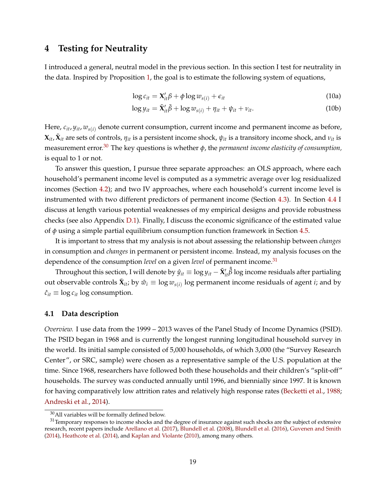## <span id="page-18-0"></span>**4 Testing for Neutrality**

I introduced a general, neutral model in the previous section. In this section I test for neutrality in the data. Inspired by Proposition [1,](#page-15-2) the goal is to estimate the following system of equations,

$$
\log c_{it} = \mathbf{X}_{it}'\boldsymbol{\beta} + \phi \log w_{s(i)} + \epsilon_{it}
$$
\n(10a)

$$
\log y_{it} = \tilde{\mathbf{X}}'_{it} \tilde{\beta} + \log w_{s(i)} + \eta_{it} + \psi_{it} + \nu_{it}.
$$
 (10b)

Here, *cit*, *yit*, *ws*(*i*) denote current consumption, current income and permanent income as before,  $\bm{X}_{it}$ ,  $\tilde{\bm{X}}_{it}$  are sets of controls,  $\eta_{it}$  is a persistent income shock,  $\psi_{it}$  is a transitory income shock, and  $\nu_{it}$  is measurement error.[30](#page-18-1) The key questions is whether *φ*, the *permanent income elasticity of consumption,* is equal to 1 or not.

To answer this question, I pursue three separate approaches: an OLS approach, where each household's permanent income level is computed as a symmetric average over log residualized incomes (Section [4.2\)](#page-20-0); and two IV approaches, where each household's current income level is instrumented with two different predictors of permanent income (Section [4.3\)](#page-21-0). In Section [4.4](#page-25-0) I discuss at length various potential weaknesses of my empirical designs and provide robustness checks (see also Appendix [D.1\)](#page-63-0). Finally, I discuss the economic significance of the estimated value of *φ* using a simple partial equilibrium consumption function framework in Section [4.5.](#page-29-0)

It is important to stress that my analysis is not about assessing the relationship between *changes* in consumption and *changes* in permanent or persistent income. Instead, my analysis focuses on the dependence of the consumption *level* on a given *level* of permanent income.<sup>[31](#page-18-2)</sup>

Throughout this section, I will denote by  $\hat{y}_{it}\equiv \log y_{it} - \tilde{\bm{X}}'_{it} \hat{\tilde{\beta}}$  log income residuals after partialing out observable controls  $\tilde{\mathbf{X}}_{it}$ ; by  $\hat{w}_i \equiv \log w_{s(i)}$  log permanent income residuals of agent *i*; and by  $\hat{c}_{it} \equiv \log c_{it} \log \text{consumption}.$ 

## <span id="page-18-3"></span>**4.1 Data description**

*Overview.* I use data from the 1999 – 2013 waves of the Panel Study of Income Dynamics (PSID). The PSID began in 1968 and is currently the longest running longitudinal household survey in the world. Its initial sample consisted of 5,000 households, of which 3,000 (the "Survey Research Center", or SRC, sample) were chosen as a representative sample of the U.S. population at the time. Since 1968, researchers have followed both these households and their children's "split-off" households. The survey was conducted annually until 1996, and biennially since 1997. It is known for having comparatively low attrition rates and relatively high response rates [\(Becketti et al.,](#page-50-17) [1988;](#page-50-17) [Andreski et al.,](#page-49-10) [2014\)](#page-49-10).

<span id="page-18-2"></span><span id="page-18-1"></span><sup>30</sup>All variables will be formally defined below.

 $31$ Temporary responses to income shocks and the degree of insurance against such shocks are the subject of extensive research, recent papers include [Arellano et al.](#page-49-6) [\(2017\)](#page-49-6), [Blundell et al.](#page-50-7) [\(2008\)](#page-50-7), [Blundell et al.](#page-50-10) [\(2016\)](#page-50-10), [Guvenen and Smith](#page-52-6) [\(2014\)](#page-52-6), [Heathcote et al.](#page-53-16) [\(2014\)](#page-53-16), and [Kaplan and Violante](#page-53-12) [\(2010\)](#page-53-12), among many others.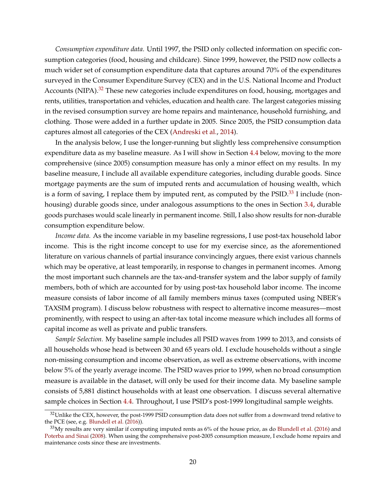*Consumption expenditure data.* Until 1997, the PSID only collected information on specific consumption categories (food, housing and childcare). Since 1999, however, the PSID now collects a much wider set of consumption expenditure data that captures around 70% of the expenditures surveyed in the Consumer Expenditure Survey (CEX) and in the U.S. National Income and Product Accounts (NIPA).<sup>[32](#page-19-0)</sup> These new categories include expenditures on food, housing, mortgages and rents, utilities, transportation and vehicles, education and health care. The largest categories missing in the revised consumption survey are home repairs and maintenance, household furnishing, and clothing. Those were added in a further update in 2005. Since 2005, the PSID consumption data captures almost all categories of the CEX [\(Andreski et al.,](#page-49-10) [2014\)](#page-49-10).

In the analysis below, I use the longer-running but slightly less comprehensive consumption expenditure data as my baseline measure. As I will show in Section [4.4](#page-25-0) below, moving to the more comprehensive (since 2005) consumption measure has only a minor effect on my results. In my baseline measure, I include all available expenditure categories, including durable goods. Since mortgage payments are the sum of imputed rents and accumulation of housing wealth, which is a form of saving, I replace them by imputed rent, as computed by the  $PSID$ .<sup>[33](#page-19-1)</sup> I include (nonhousing) durable goods since, under analogous assumptions to the ones in Section [3.4,](#page-15-3) durable goods purchases would scale linearly in permanent income. Still, I also show results for non-durable consumption expenditure below.

*Income data.* As the income variable in my baseline regressions, I use post-tax household labor income. This is the right income concept to use for my exercise since, as the aforementioned literature on various channels of partial insurance convincingly argues, there exist various channels which may be operative, at least temporarily, in response to changes in permanent incomes. Among the most important such channels are the tax-and-transfer system and the labor supply of family members, both of which are accounted for by using post-tax household labor income. The income measure consists of labor income of all family members minus taxes (computed using NBER's TAXSIM program). I discuss below robustness with respect to alternative income measures—most prominently, with respect to using an after-tax total income measure which includes all forms of capital income as well as private and public transfers.

*Sample Selection.* My baseline sample includes all PSID waves from 1999 to 2013, and consists of all households whose head is between 30 and 65 years old. I exclude households without a single non-missing consumption and income observation, as well as extreme observations, with income below 5% of the yearly average income. The PSID waves prior to 1999, when no broad consumption measure is available in the dataset, will only be used for their income data. My baseline sample consists of 5,881 distinct households with at least one observation. I discuss several alternative sample choices in Section [4.4.](#page-25-0) Throughout, I use PSID's post-1999 longitudinal sample weights.

<span id="page-19-0"></span><sup>&</sup>lt;sup>32</sup>Unlike the CEX, however, the post-1999 PSID consumption data does not suffer from a downward trend relative to the PCE (see, e.g. [Blundell et al.](#page-50-10) [\(2016\)](#page-50-10)).

<span id="page-19-1"></span> $33$ My results are very similar if computing imputed rents as 6% of the house price, as do [Blundell et al.](#page-50-10) [\(2016\)](#page-50-10) and [Poterba and Sinai](#page-55-13) [\(2008\)](#page-55-13). When using the comprehensive post-2005 consumption measure, I exclude home repairs and maintenance costs since these are investments.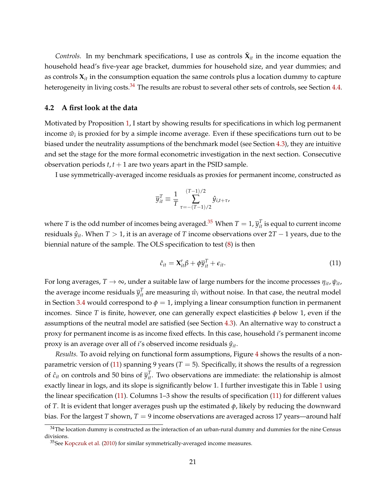*Controls.* In my benchmark specifications, I use as controls  $\tilde{\mathbf{X}}_{it}$  in the income equation the household head's five-year age bracket, dummies for household size, and year dummies; and as controls  $X_{it}$  in the consumption equation the same controls plus a location dummy to capture heterogeneity in living costs.<sup>[34](#page-20-1)</sup> The results are robust to several other sets of controls, see Section [4.4.](#page-25-0)

#### <span id="page-20-0"></span>**4.2 A first look at the data**

Motivated by Proposition [1,](#page-15-2) I start by showing results for specifications in which log permanent income  $\hat{w}_i$  is proxied for by a simple income average. Even if these specifications turn out to be biased under the neutrality assumptions of the benchmark model (see Section [4.3\)](#page-21-0), they are intuitive and set the stage for the more formal econometric investigation in the next section. Consecutive observation periods  $t, t + 1$  are two years apart in the PSID sample.

I use symmetrically-averaged income residuals as proxies for permanent income, constructed as

$$
\overline{y}_{it}^T \equiv \frac{1}{T} \sum_{\tau = -(T-1)/2}^{(T-1)/2} \hat{y}_{i,t+\tau},
$$

where  $T$  is the odd number of incomes being averaged.<sup>[35](#page-20-2)</sup> When  $T=1$ ,  $\overline{y}_{it}^T$  is equal to current income residuals  $\hat{y}_{it}$ . When  $T > 1$ , it is an average of *T* income observations over  $2T - 1$  years, due to the biennial nature of the sample. The OLS specification to test [\(8\)](#page-15-4) is then

<span id="page-20-3"></span>
$$
\hat{c}_{it} = \mathbf{X}_{it}'\boldsymbol{\beta} + \phi \overline{y}_{it}^T + \epsilon_{it}.
$$
 (11)

For long averages,  $T \to \infty$ , under a suitable law of large numbers for the income processes  $\eta_{it}$ ,  $\psi_{it}$ , the average income residuals  $\bar{y}_{it}^T$  are measuring  $\hat{w}_i$  without noise. In that case, the neutral model in Section [3.4](#page-15-3) would correspond to  $\phi = 1$ , implying a linear consumption function in permanent incomes. Since *T* is finite, however, one can generally expect elasticities  $\phi$  below 1, even if the assumptions of the neutral model are satisfied (see Section [4.3\)](#page-21-0). An alternative way to construct a proxy for permanent income is as income fixed effects. In this case, household *i*'s permanent income proxy is an average over all of *i*'s observed income residuals *y*ˆ*it*.

*Results.* To avoid relying on functional form assumptions, Figure [4](#page-21-1) shows the results of a non-parametric version of [\(11\)](#page-20-3) spanning 9 years ( $T = 5$ ). Specifically, it shows the results of a regression of  $\hat{c}_{it}$  on controls and 50 bins of  $\overline{y}_{it}^T$ . Two observations are immediate: the relationship is almost exactly linear in logs, and its slope is significantly below 1. I further investigate this in Table [1](#page-22-0) using the linear specification [\(11\)](#page-20-3). Columns 1–3 show the results of specification [\(11\)](#page-20-3) for different values of *T*. It is evident that longer averages push up the estimated *φ*, likely by reducing the downward bias. For the largest *T* shown,  $T = 9$  income observations are averaged across 17 years—around half

<span id="page-20-1"></span> $34$ The location dummy is constructed as the interaction of an urban-rural dummy and dummies for the nine Census divisions.

<span id="page-20-2"></span><sup>35</sup>See [Kopczuk et al.](#page-54-1) [\(2010\)](#page-54-1) for similar symmetrically-averaged income measures.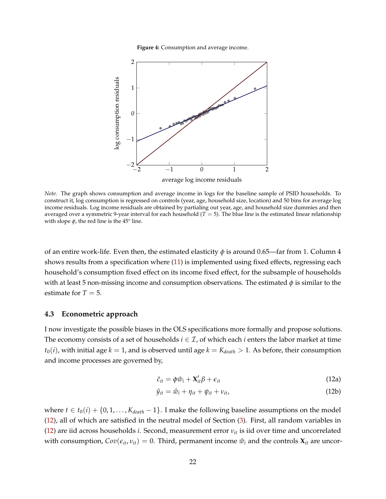**Figure 4:** Consumption and average income.

<span id="page-21-1"></span>

*Note.* The graph shows consumption and average income in logs for the baseline sample of PSID households. To construct it, log consumption is regressed on controls (year, age, household size, location) and 50 bins for average log income residuals. Log income residuals are obtained by partialing out year, age, and household size dummies and then averaged over a symmetric 9-year interval for each household  $(T = 5)$ . The blue line is the estimated linear relationship with slope  $\phi$ , the red line is the 45° line.

of an entire work-life. Even then, the estimated elasticity  $\phi$  is around 0.65—far from 1. Column 4 shows results from a specification where [\(11\)](#page-20-3) is implemented using fixed effects, regressing each household's consumption fixed effect on its income fixed effect, for the subsample of households with at least 5 non-missing income and consumption observations. The estimated  $\phi$  is similar to the estimate for  $T = 5$ .

#### <span id="page-21-0"></span>**4.3 Econometric approach**

I now investigate the possible biases in the OLS specifications more formally and propose solutions. The economy consists of a set of households  $i \in \mathcal{I}$ , of which each  $i$  enters the labor market at time  $t_0(i)$ , with initial age  $k = 1$ , and is observed until age  $k = K_{death} > 1$ . As before, their consumption and income processes are governed by,

<span id="page-21-2"></span>
$$
\hat{c}_{it} = \phi \hat{w}_i + \mathbf{X}_{it}' \beta + \epsilon_{it} \tag{12a}
$$

$$
\hat{y}_{it} = \hat{w}_i + \eta_{it} + \psi_{it} + \nu_{it},\tag{12b}
$$

where *t* ∈ *t*<sub>0</sub>(*i*) + {0, 1, . . . , *K*<sub>death</sub> − 1}. I make the following baseline assumptions on the model [\(12\)](#page-21-2), all of which are satisfied in the neutral model of Section [\(3\)](#page-11-0). First, all random variables in [\(12\)](#page-21-2) are iid across households *i*. Second, measurement error *νit* is iid over time and uncorrelated with consumption,  $Cov(\epsilon_{it}, v_{it}) = 0$ . Third, permanent income  $\hat{w}_i$  and the controls  $\mathbf{X}_{it}$  are uncor-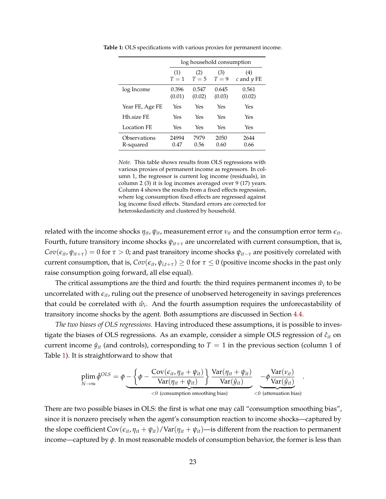|                           | log household consumption |                 |                 |                       |  |
|---------------------------|---------------------------|-----------------|-----------------|-----------------------|--|
|                           | (1)<br>$T=1$              | (2)<br>$T=5$    | (3)<br>$T=9$    | (4)<br>$c$ and $y$ FE |  |
| log Income                | 0.396<br>(0.01)           | 0.547<br>(0.02) | 0.645<br>(0.03) | 0.561<br>(0.02)       |  |
| Year FE, Age FE           | Yes                       | Yes             | Yes             | Yes                   |  |
| Hh.size FE                | Yes                       | Yes             | Yes             | Yes                   |  |
| Location FE               | Yes                       | Yes             | Yes             | Yes                   |  |
| Observations<br>R-squared | 24994<br>0.47             | 7979<br>0.56    | 2050<br>0.60    | 2644<br>0.66          |  |

<span id="page-22-0"></span>**Table 1:** OLS specifications with various proxies for permanent income.

*Note.* This table shows results from OLS regressions with various proxies of permanent income as regressors. In column 1, the regressor is current log income (residuals), in column 2 (3) it is log incomes averaged over 9 (17) years. Column 4 shows the results from a fixed effects regression, where log consumption fixed effects are regressed against log income fixed effects. Standard errors are corrected for heteroskedasticity and clustered by household.

related with the income shocks  $\eta_{it}$ ,  $\psi_{it}$ , measurement error  $\nu_{it}$  and the consumption error term  $\epsilon_{it}$ . Fourth, future transitory income shocks  $\psi_{it+\tau}$  are uncorrelated with current consumption, that is,  $Cov(\epsilon_{it}, \psi_{it+\tau}) = 0$  for  $\tau > 0$ ; and past transitory income shocks  $\psi_{it-\tau}$  are positively correlated with current consumption, that is,  $Cov(\epsilon_{it}, \psi_{i,t+\tau}) \geq 0$  for  $\tau \leq 0$  (positive income shocks in the past only raise consumption going forward, all else equal).

The critical assumptions are the third and fourth: the third requires permanent incomes  $\hat{w}_i$  to be uncorrelated with *eit*, ruling out the presence of unobserved heterogeneity in savings preferences that could be correlated with  $\hat{w}_i$ . And the fourth assumption requires the unforecastability of transitory income shocks by the agent. Both assumptions are discussed in Section [4.4.](#page-25-0)

*The two biases of OLS regressions.* Having introduced these assumptions, it is possible to investigate the biases of OLS regressions. As an example, consider a simple OLS regression of  $\hat{c}_{it}$  on current income  $\hat{y}_{it}$  (and controls), corresponding to  $T = 1$  in the previous section (column 1 of Table [1\)](#page-22-0). It is straightforward to show that

$$
\plim_{N \to \infty} \hat{\phi}^{OLS} = \phi - \left\{ \phi - \frac{\text{Cov}(\epsilon_{it}, \eta_{it} + \psi_{it})}{\text{Var}(\eta_{it} + \psi_{it})} \right\} \frac{\text{Var}(\eta_{it} + \psi_{it})}{\text{Var}(\hat{y}_{it})} - \phi \frac{\text{Var}(\nu_{it})}{\text{Var}(\hat{y}_{it})} \cdot \\ \text{<0 (consumption smoothing bias)} \quad \text{<0 (attenuation bias)}
$$

There are two possible biases in OLS: the first is what one may call "consumption smoothing bias", since it is nonzero precisely when the agent's consumption reaction to income shocks—captured by the slope coefficient  $Cov(\epsilon_{it}, \eta_{it} + \psi_{it})/Var(\eta_{it} + \psi_{it})$ —is different from the reaction to permanent income—captured by  $\phi$ . In most reasonable models of consumption behavior, the former is less than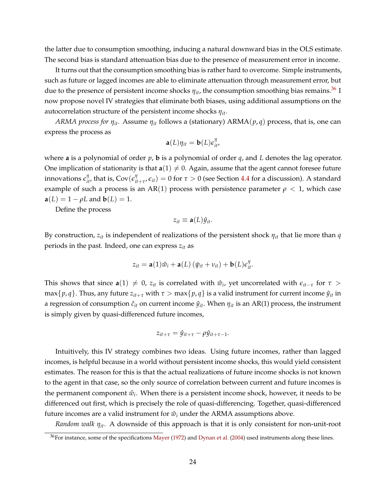the latter due to consumption smoothing, inducing a natural downward bias in the OLS estimate. The second bias is standard attenuation bias due to the presence of measurement error in income.

It turns out that the consumption smoothing bias is rather hard to overcome. Simple instruments, such as future or lagged incomes are able to eliminate attenuation through measurement error, but due to the presence of persistent income shocks  $\eta_{it}$ , the consumption smoothing bias remains.<sup>[36](#page-23-0)</sup> I now propose novel IV strategies that eliminate both biases, using additional assumptions on the autocorrelation structure of the persistent income shocks *ηit*.

*ARMA process for ηit.* Assume *ηit* follows a (stationary) ARMA(*p*, *q*) process, that is, one can express the process as

$$
\mathbf{a}(L)\eta_{it} = \mathbf{b}(L)\epsilon_{it}^{\eta},
$$

where **a** is a polynomial of order *p*, **b** is a polynomial of order *q*, and *L* denotes the lag operator. One implication of stationarity is that  $a(1) \neq 0$ . Again, assume that the agent cannot foresee future innovations  $\epsilon^\eta_{it'}$ , that is,  $\text{Cov}(\epsilon^\eta_{it})$  $\mathcal{F}_{it+\tau}(\epsilon_{it}) = 0$  for  $\tau > 0$  (see Section [4.4](#page-25-0) for a discussion). A standard example of such a process is an AR(1) process with persistence parameter  $\rho < 1$ , which case **a**(*L*) = 1 –  $\rho L$  and **b**(*L*) = 1.

Define the process

$$
z_{it}\equiv \mathbf{a}(L)\hat{y}_{it}.
$$

By construction, *zit* is independent of realizations of the persistent shock *ηit* that lie more than *q* periods in the past. Indeed, one can express *zit* as

$$
z_{it} = \mathbf{a}(1)\hat{w}_i + \mathbf{a}(L) (\psi_{it} + v_{it}) + \mathbf{b}(L)\epsilon_{it}^{\eta}.
$$

This shows that since  $a(1) \neq 0$ ,  $z_{it}$  is correlated with  $\hat{w}_i$ , yet uncorrelated with  $\epsilon_{it-\tau}$  for  $\tau >$  $\max\{p,q\}$ . Thus, any future  $z_{it+\tau}$  with  $\tau > \max\{p,q\}$  is a valid instrument for current income  $\hat{y}_{it}$  in a regression of consumption  $\hat{c}_{it}$  on current income  $\hat{y}_{it}$ . When  $\eta_{it}$  is an AR(1) process, the instrument is simply given by quasi-differenced future incomes,

$$
z_{it+\tau}=\hat{y}_{it+\tau}-\rho\hat{y}_{it+\tau-1}.
$$

Intuitively, this IV strategy combines two ideas. Using future incomes, rather than lagged incomes, is helpful because in a world without persistent income shocks, this would yield consistent estimates. The reason for this is that the actual realizations of future income shocks is not known to the agent in that case, so the only source of correlation between current and future incomes is the permanent component  $\hat{w}_i$ . When there is a persistent income shock, however, it needs to be differenced out first, which is precisely the role of quasi-differencing. Together, quasi-differenced future incomes are a valid instrument for  $\hat{w}_i$  under the ARMA assumptions above.

*Random walk ηit.* A downside of this approach is that it is only consistent for non-unit-root

<span id="page-23-0"></span> $36$  For instance, some of the specifications [Mayer](#page-54-0) [\(1972\)](#page-54-0) and [Dynan et al.](#page-51-1) [\(2004\)](#page-51-1) used instruments along these lines.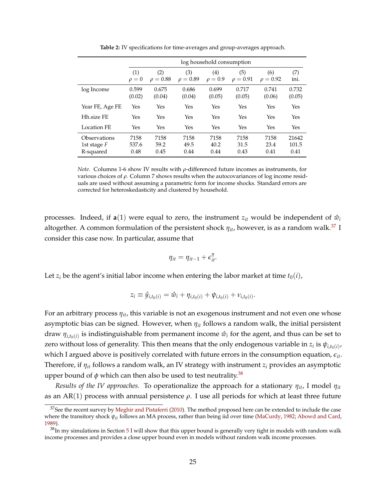<span id="page-24-2"></span>

|                                            |                       | log household consumption |                      |                      |                      |                      |                        |  |
|--------------------------------------------|-----------------------|---------------------------|----------------------|----------------------|----------------------|----------------------|------------------------|--|
|                                            | (1)<br>$\rho = 0$     | (2)<br>$\rho = 0.88$      | (3)<br>$\rho = 0.89$ | (4)<br>$\rho = 0.9$  | (5)<br>$\rho = 0.91$ | (6)<br>$\rho = 0.92$ | (7)<br>ini.            |  |
| log Income                                 | 0.599<br>(0.02)       | 0.675<br>(0.04)           | 0.686<br>(0.04)      | 0.699<br>(0.05)      | 0.717<br>(0.05)      | 0.741<br>(0.06)      | 0.732<br>(0.05)        |  |
| Year FE, Age FE                            | Yes                   | Yes                       | Yes                  | Yes                  | Yes                  | Yes                  | Yes                    |  |
| Hh.size FE                                 | Yes                   | Yes                       | Yes                  | Yes                  | Yes                  | Yes                  | Yes                    |  |
| Location FE                                | Yes                   | Yes                       | Yes                  | Yes                  | Yes                  | Yes                  | Yes                    |  |
| Observations<br>1st stage $F$<br>R-squared | 7158<br>537.6<br>0.48 | 7158<br>59.2<br>0.45      | 7158<br>49.5<br>0.44 | 7158<br>40.2<br>0.44 | 7158<br>31.5<br>0.43 | 7158<br>23.4<br>0.41 | 21642<br>101.5<br>0.41 |  |

**Table 2:** IV specifications for time-averages and group-averages approach.

*Note.* Columns 1-6 show IV results with *ρ*-differenced future incomes as instruments, for various choices of *ρ*. Column 7 shows results when the autocovariances of log income residuals are used without assuming a parametric form for income shocks. Standard errors are corrected for heteroskedasticity and clustered by household.

processes. Indeed, if  $a(1)$  were equal to zero, the instrument  $z_{it}$  would be independent of  $\hat{w}_i$ altogether. A common formulation of the persistent shock *ηit*, however, is as a random walk.[37](#page-24-0) I consider this case now. In particular, assume that

$$
\eta_{it} = \eta_{it-1} + \epsilon_{it}^{\eta}.
$$

Let  $z_i$  be the agent's initial labor income when entering the labor market at time  $t_0(i)$ ,

$$
z_i \equiv \hat{y}_{i,t_0(i)} = \hat{w}_i + \eta_{i,t_0(i)} + \psi_{i,t_0(i)} + \nu_{i,t_0(i)}.
$$

For an arbitrary process *ηit*, this variable is not an exogenous instrument and not even one whose asymptotic bias can be signed. However, when *ηit* follows a random walk, the initial persistent draw  $\eta_{i,t_0(i)}$  is indistinguishable from permanent income  $\hat{w}_i$  for the agent, and thus can be set to zero without loss of generality. This then means that the only endogenous variable in  $z_i$  is  $\psi_{i,t_0(i)}$ , which I argued above is positively correlated with future errors in the consumption equation,  $\epsilon_{it}$ . Therefore, if *ηit* follows a random walk, an IV strategy with instrument *z<sup>i</sup>* provides an asymptotic upper bound of  $\phi$  which can then also be used to test neutrality.<sup>[38](#page-24-1)</sup>

*Results of the IV approaches.* To operationalize the approach for a stationary *ηit*, I model *ηit* as an  $AR(1)$  process with annual persistence  $\rho$ . I use all periods for which at least three future

<span id="page-24-0"></span><sup>&</sup>lt;sup>37</sup>See the recent survey by [Meghir and Pistaferri](#page-54-15) [\(2010\)](#page-54-15). The method proposed here can be extended to include the case where the transitory shock *ψit* follows an MA process, rather than being iid over time [\(MaCurdy,](#page-54-16) [1982;](#page-54-16) [Abowd and Card,](#page-49-11) [1989\)](#page-49-11).

<span id="page-24-1"></span> $38$ In my simulations in Section [5](#page-31-0) I will show that this upper bound is generally very tight in models with random walk income processes and provides a close upper bound even in models without random walk income processes.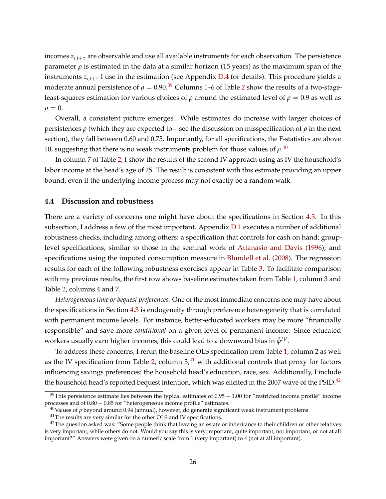incomes  $z_{i,t+\tau}$  are observable and use all available instruments for each observation. The persistence parameter *ρ* is estimated in the data at a similar horizon (15 years) as the maximum span of the instruments  $z_{i,t+\tau}$  I use in the estimation (see Appendix [D.4](#page-67-0) for details). This procedure yields a moderate annual persistence of  $\rho = 0.90$ .<sup>[39](#page-25-1)</sup> Columns 1–6 of Table [2](#page-24-2) show the results of a two-stageleast-squares estimation for various choices of *ρ* around the estimated level of  $\rho = 0.9$  as well as  $\rho = 0.$ 

Overall, a consistent picture emerges. While estimates do increase with larger choices of persistences *ρ* (which they are expected to—see the discussion on misspecification of *ρ* in the next section), they fall between 0.60 and 0.75. Importantly, for all specifications, the F-statistics are above 10*,* suggesting that there is no weak instruments problem for those values of  $\rho^{.40}$  $\rho^{.40}$  $\rho^{.40}$ 

In column 7 of Table [2,](#page-24-2) I show the results of the second IV approach using as IV the household's labor income at the head's age of 25. The result is consistent with this estimate providing an upper bound, even if the underlying income process may not exactly be a random walk.

#### <span id="page-25-0"></span>**4.4 Discussion and robustness**

There are a variety of concerns one might have about the specifications in Section [4.3.](#page-21-0) In this subsection, I address a few of the most important. Appendix [D.1](#page-63-0) executes a number of additional robustness checks, including among others: a specification that controls for cash on hand; grouplevel specifications, similar to those in the seminal work of [Attanasio and Davis](#page-49-4) [\(1996\)](#page-49-4); and specifications using the imputed consumption measure in [Blundell et al.](#page-50-7) [\(2008\)](#page-50-7). The regression results for each of the following robustness exercises appear in Table [3.](#page-26-0) To facilitate comparison with my previous results, the first row shows baseline estimates taken from Table [1,](#page-22-0) column 3 and Table [2,](#page-24-2) columns 4 and 7.

*Heterogeneous time or bequest preferences.* One of the most immediate concerns one may have about the specifications in Section [4.3](#page-21-0) is endogeneity through preference heterogeneity that is correlated with permanent income levels. For instance, better-educated workers may be more "financially responsible" and save more *conditional* on a given level of permanent income. Since educated workers usually earn higher incomes*,* this could lead to a downward bias in  $\hat{\phi}^{IV}.$ 

To address these concerns, I rerun the baseline OLS specification from Table [1,](#page-22-0) column 2 as well as the IV specification from Table [2,](#page-24-2) column  $3<sup>41</sup>$  $3<sup>41</sup>$  $3<sup>41</sup>$  with additional controls that proxy for factors influencing savings preferences: the household head's education, race, sex. Additionally, I include the household head's reported bequest intention, which was elicited in the 2007 wave of the PSID.<sup>[42](#page-25-4)</sup>

<span id="page-25-1"></span> $39$ This persistence estimate lies between the typical estimates of  $0.95 - 1.00$  for "restricted income profile" income processes and of 0.80 − 0.85 for "heterogeneous income profile" estimates.

<span id="page-25-2"></span><sup>&</sup>lt;sup>40</sup>Values of *ρ* beyond around 0.94 (annual), however, do generate significant weak instrument problems.

<span id="page-25-4"></span><span id="page-25-3"></span><sup>&</sup>lt;sup>41</sup>The results are very similar for the other OLS and IV specifications.

 $42$ The question asked was: "Some people think that leaving an estate or inheritance to their children or other relatives is very important, while others do not. Would you say this is very important, quite important, not important, or not at all important?" Answers were given on a numeric scale from 1 (very important) to 4 (not at all important).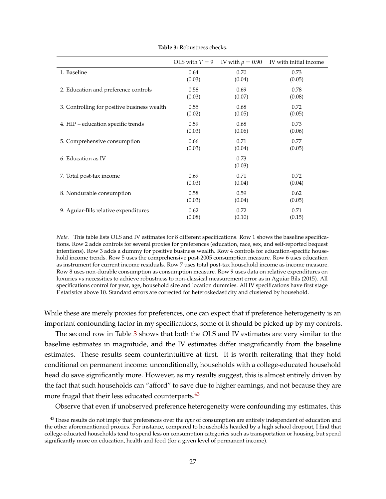<span id="page-26-0"></span>

|                                             | OLS with $T = 9$ | IV with $\rho = 0.90$ | IV with initial income |
|---------------------------------------------|------------------|-----------------------|------------------------|
| 1. Baseline                                 | 0.64             | 0.70                  | 0.73                   |
|                                             | (0.03)           | (0.04)                | (0.05)                 |
| 2. Education and preference controls        | 0.58             | 0.69                  | 0.78                   |
|                                             | (0.03)           | (0.07)                | (0.08)                 |
| 3. Controlling for positive business wealth | 0.55             | 0.68                  | 0.72                   |
|                                             | (0.02)           | (0.05)                | (0.05)                 |
| 4. HIP – education specific trends          | 0.59             | 0.68                  | 0.73                   |
|                                             | (0.03)           | (0.06)                | (0.06)                 |
| 5. Comprehensive consumption                | 0.66             | 0.71                  | 0.77                   |
|                                             | (0.03)           | (0.04)                | (0.05)                 |
| 6. Education as IV                          |                  | 0.73<br>(0.03)        |                        |
| 7. Total post-tax income                    | 0.69             | 0.71                  | 0.72                   |
|                                             | (0.03)           | (0.04)                | (0.04)                 |
| 8. Nondurable consumption                   | 0.58             | 0.59                  | 0.62                   |
|                                             | (0.03)           | (0.04)                | (0.05)                 |
| 9. Aguiar-Bils relative expenditures        | 0.62             | 0.72                  | 0.71                   |
|                                             | (0.08)           | (0.10)                | (0.15)                 |

**Table 3:** Robustness checks.

*Note.* This table lists OLS and IV estimates for 8 different specifications. Row 1 shows the baseline specifications. Row 2 adds controls for several proxies for preferences (education, race, sex, and self-reported bequest intentions). Row 3 adds a dummy for positive business wealth. Row 4 controls for education-specific household income trends. Row 5 uses the comprehensive post-2005 consumption measure. Row 6 uses education as instrument for current income residuals. Row 7 uses total post-tax household income as income measure. Row 8 uses non-durable consumption as consumption measure. Row 9 uses data on relative expenditures on luxuries vs necessities to achieve robustness to non-classical measurement error as in Aguiar Bils (2015). All specifications control for year, age, household size and location dummies. All IV specifications have first stage F statistics above 10. Standard errors are corrected for heteroskedasticity and clustered by household.

While these are merely proxies for preferences, one can expect that if preference heterogeneity is an important confounding factor in my specifications, some of it should be picked up by my controls.

The second row in Table [3](#page-26-0) shows that both the OLS and IV estimates are very similar to the baseline estimates in magnitude, and the IV estimates differ insignificantly from the baseline estimates. These results seem counterintuitive at first. It is worth reiterating that they hold conditional on permanent income: unconditionally, households with a college-educated household head do save significantly more. However, as my results suggest, this is almost entirely driven by the fact that such households can "afford" to save due to higher earnings, and not because they are more frugal that their less educated counterparts.<sup>[43](#page-26-1)</sup>

Observe that even if unobserved preference heterogeneity were confounding my estimates, this

<span id="page-26-1"></span><sup>43</sup>These results do not imply that preferences over the *type* of consumption are entirely independent of education and the other aforementioned proxies. For instance, compared to households headed by a high school dropout, I find that college-educated households tend to spend less on consumption categories such as transportation or housing, but spend significantly more on education, health and food (for a given level of permanent income).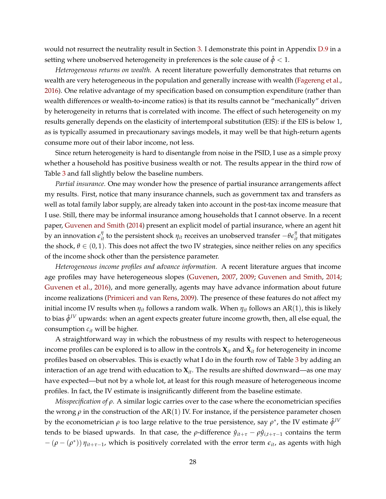would not resurrect the neutrality result in Section [3.](#page-16-0) I demonstrate this point in Appendix [D.9](#page-72-0) in a setting where unobserved heterogeneity in preferences is the sole cause of  $\hat{\phi} < 1$ .

*Heterogeneous returns on wealth.* A recent literature powerfully demonstrates that returns on wealth are very heterogeneous in the population and generally increase with wealth [\(Fagereng et al.,](#page-52-18) [2016\)](#page-52-18). One relative advantage of my specification based on consumption expenditure (rather than wealth differences or wealth-to-income ratios) is that its results cannot be "mechanically" driven by heterogeneity in returns that is correlated with income. The effect of such heterogeneity on my results generally depends on the elasticity of intertemporal substitution (EIS): if the EIS is below 1, as is typically assumed in precautionary savings models, it may well be that high-return agents consume more out of their labor income, not less.

Since return heterogeneity is hard to disentangle from noise in the PSID, I use as a simple proxy whether a household has positive business wealth or not. The results appear in the third row of Table [3](#page-26-0) and fall slightly below the baseline numbers.

*Partial insurance.* One may wonder how the presence of partial insurance arrangements affect my results. First, notice that many insurance channels, such as government tax and transfers as well as total family labor supply, are already taken into account in the post-tax income measure that I use. Still, there may be informal insurance among households that I cannot observe. In a recent paper, [Guvenen and Smith](#page-52-6) [\(2014\)](#page-52-6) present an explicit model of partial insurance, where an agent hit by an innovation  $e_{it}^{\eta}$  to the persistent shock  $\eta_{it}$  receives an unobserved transfer  $-\theta e_{it}^{\eta}$  that mitigates the shock,  $\theta \in (0,1)$ . This does not affect the two IV strategies, since neither relies on any specifics of the income shock other than the persistence parameter.

*Heterogeneous income profiles and advance information.* A recent literature argues that income age profiles may have heterogeneous slopes [\(Guvenen,](#page-52-19) [2007,](#page-52-19) [2009;](#page-52-20) [Guvenen and Smith,](#page-52-6) [2014;](#page-52-6) [Guvenen et al.,](#page-52-21) [2016\)](#page-52-21), and more generally, agents may have advance information about future income realizations [\(Primiceri and van Rens,](#page-55-14) [2009\)](#page-55-14). The presence of these features do not affect my initial income IV results when  $\eta_{it}$  follows a random walk. When  $\eta_{it}$  follows an AR(1), this is likely to bias  $\hat{\phi}^{IV}$  upwards: when an agent expects greater future income growth*,* then*,* all else equal*,* the consumption *cit* will be higher.

A straightforward way in which the robustness of my results with respect to heterogeneous income profiles can be explored is to allow in the controls  $\mathbf{X}_{it}$  and  $\tilde{\mathbf{X}}_{it}$  for heterogeneity in income profiles based on observables. This is exactly what I do in the fourth row of Table [3](#page-26-0) by adding an interaction of an age trend with education to **X***it*. The results are shifted downward—as one may have expected—but not by a whole lot, at least for this rough measure of heterogeneous income profiles. In fact, the IV estimate is insignificantly different from the baseline estimate.

*Misspecification of ρ.* A similar logic carries over to the case where the econometrician specifies the wrong  $\rho$  in the construction of the AR(1) IV. For instance, if the persistence parameter chosen by the econometrician  $\rho$  is too large relative to the true persistence, say  $\rho^*$ , the IV estimate  $\hat{\phi}^{IV}$ tends to be biased upwards. In that case, the  $\rho$ -difference  $\hat{y}_{it+\tau} - \rho \hat{y}_{i,t+\tau-1}$  contains the term  $-(\rho - (\rho^*)) \eta_{it+\tau-1}$ , which is positively correlated with the error term  $\epsilon_{it}$ , as agents with high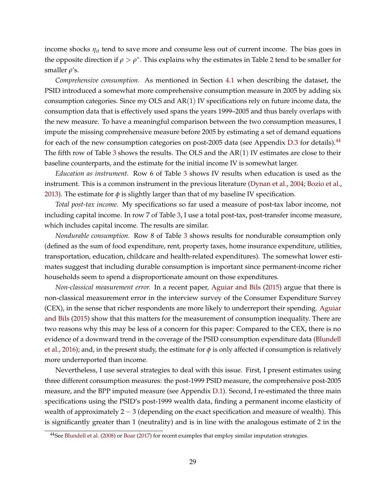income shocks *ηit* tend to save more and consume less out of current income. The bias goes in the opposite direction if  $\rho > \rho^*$ . This explains why the estimates in Table [2](#page-24-2) tend to be smaller for smaller *ρ*'s.

*Comprehensive consumption.* As mentioned in Section [4.1](#page-18-3) when describing the dataset, the PSID introduced a somewhat more comprehensive consumption measure in 2005 by adding six consumption categories. Since my OLS and  $AR(1)$  IV specifications rely on future income data, the consumption data that is effectively used spans the years 1999–2005 and thus barely overlaps with the new measure. To have a meaningful comparison between the two consumption measures, I impute the missing comprehensive measure before 2005 by estimating a set of demand equations for each of the new consumption categories on post-2005 data (see Appendix  $D.3$  for details).<sup>[44](#page-28-0)</sup> The fifth row of Table [3](#page-26-0) shows the results. The OLS and the  $AR(1)$  IV estimates are close to their baseline counterparts, and the estimate for the initial income IV is somewhat larger.

*Education as instrument.* Row 6 of Table [3](#page-26-0) shows IV results when education is used as the instrument. This is a common instrument in the previous literature [\(Dynan et al.,](#page-51-1) [2004;](#page-51-1) [Bozio et al.,](#page-50-5) [2013\)](#page-50-5). The estimate for  $\phi$  is slightly larger than that of my baseline IV specification.

*Total post-tax income.* My specifications so far used a measure of post-tax labor income, not including capital income. In row 7 of Table [3,](#page-26-0) I use a total post-tax, post-transfer income measure, which includes capital income. The results are similar.

*Nondurable consumption.* Row 8 of Table [3](#page-26-0) shows results for nondurable consumption only (defined as the sum of food expenditure, rent, property taxes, home insurance expenditure, utilities, transportation, education, childcare and health-related expenditures). The somewhat lower estimates suggest that including durable consumption is important since permanent-income richer households seem to spend a disproportionate amount on those expenditures.

*Non-classical measurement error.* In a recent paper, [Aguiar and Bils](#page-49-12) [\(2015\)](#page-49-12) argue that there is non-classical measurement error in the interview survey of the Consumer Expenditure Survey (CEX), in the sense that richer respondents are more likely to underreport their spending. [Aguiar](#page-49-12) [and Bils](#page-49-12) [\(2015\)](#page-49-12) show that this matters for the measurement of consumption inequality. There are two reasons why this may be less of a concern for this paper: Compared to the CEX, there is no evidence of a downward trend in the coverage of the PSID consumption expenditure data [\(Blundell](#page-50-10) [et al.,](#page-50-10) [2016\)](#page-50-10); and, in the present study, the estimate for  $\phi$  is only affected if consumption is relatively more underreported than income.

Nevertheless, I use several strategies to deal with this issue. First, I present estimates using three different consumption measures: the post-1999 PSID measure, the comprehensive post-2005 measure, and the BPP imputed measure (see Appendix [D.1\)](#page-63-0). Second, I re-estimated the three main specifications using the PSID's post-1999 wealth data, finding a permanent income elasticity of wealth of approximately  $2 - 3$  (depending on the exact specification and measure of wealth). This is significantly greater than 1 (neutrality) and is in line with the analogous estimate of 2 in the

<span id="page-28-0"></span><sup>&</sup>lt;sup>44</sup>See [Blundell et al.](#page-50-7) [\(2008\)](#page-50-7) or [Boar](#page-50-15) [\(2017\)](#page-50-15) for recent examples that employ similar imputation strategies.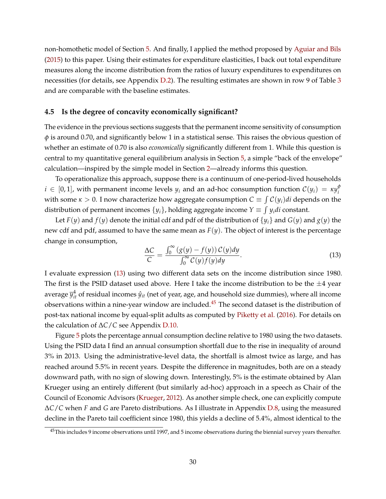non-homothetic model of Section [5.](#page-31-0) And finally, I applied the method proposed by [Aguiar and Bils](#page-49-12) [\(2015\)](#page-49-12) to this paper. Using their estimates for expenditure elasticities, I back out total expenditure measures along the income distribution from the ratios of luxury expenditures to expenditures on necessities (for details, see Appendix [D.2\)](#page-66-1). The resulting estimates are shown in row 9 of Table [3](#page-26-0) and are comparable with the baseline estimates.

#### <span id="page-29-0"></span>**4.5 Is the degree of concavity economically significant?**

The evidence in the previous sections suggests that the permanent income sensitivity of consumption *φ* is around 0.70, and significantly below 1 in a statistical sense. This raises the obvious question of whether an estimate of 0.70 is also *economically* significantly different from 1. While this question is central to my quantitative general equilibrium analysis in Section [5,](#page-31-0) a simple "back of the envelope" calculation—inspired by the simple model in Section [2—](#page-7-0)already informs this question.

To operationalize this approach, suppose there is a continuum of one-period-lived households  $i \in [0,1]$ , with permanent income levels  $y_i$  and an ad-hoc consumption function  $\mathcal{C}(y_i) \,=\, \kappa y_i^\phi$ *i* with some  $\kappa > 0$ . I now characterize how aggregate consumption  $C \equiv \int \mathcal{C}(y_i) di$  depends on the distribution of permanent incomes  $\{y_i\}$ , holding aggregate income  $Y \equiv \int y_i di$  constant.

Let  $F(y)$  and  $f(y)$  denote the initial cdf and pdf of the distribution of  $\{y_i\}$  and  $G(y)$  and  $g(y)$  the new cdf and pdf, assumed to have the same mean as  $F(y)$ . The object of interest is the percentage change in consumption,

<span id="page-29-1"></span>
$$
\frac{\Delta C}{C} = \frac{\int_0^\infty (g(y) - f(y)) C(y) dy}{\int_0^\infty C(y) f(y) dy}.
$$
\n(13)

I evaluate expression [\(13\)](#page-29-1) using two different data sets on the income distribution since 1980. The first is the PSID dataset used above. Here I take the income distribution to be the  $\pm 4$  year average  $\overline{y}_{it}^4$  of residual incomes  $\hat{y}_{it}$  (net of year, age, and household size dummies), where all income observations within a nine-year window are included.<sup>[45](#page-29-2)</sup> The second dataset is the distribution of post-tax national income by equal-split adults as computed by [Piketty et al.](#page-55-15) [\(2016\)](#page-55-15). For details on the calculation of ∆*C*/*C* see Appendix [D.10.](#page-73-0)

Figure [5](#page-30-0) plots the percentage annual consumption decline relative to 1980 using the two datasets. Using the PSID data I find an annual consumption shortfall due to the rise in inequality of around 3% in 2013. Using the administrative-level data, the shortfall is almost twice as large, and has reached around 5.5% in recent years. Despite the difference in magnitudes, both are on a steady downward path, with no sign of slowing down. Interestingly, 5% is the estimate obtained by Alan Krueger using an entirely different (but similarly ad-hoc) approach in a speech as Chair of the Council of Economic Advisors [\(Krueger,](#page-54-17) [2012\)](#page-54-17). As another simple check, one can explicitly compute ∆*C*/*C* when *F* and *G* are Pareto distributions. As I illustrate in Appendix [D.8,](#page-72-1) using the measured decline in the Pareto tail coefficient since 1980, this yields a decline of 5.4%, almost identical to the

<span id="page-29-2"></span><sup>&</sup>lt;sup>45</sup>This includes 9 income observations until 1997, and 5 income observations during the biennial survey years thereafter.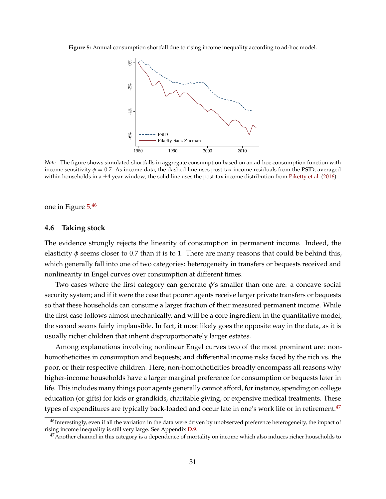<span id="page-30-0"></span>**Figure 5:** Annual consumption shortfall due to rising income inequality according to ad-hoc model.



*Note.* The figure shows simulated shortfalls in aggregate consumption based on an ad-hoc consumption function with income sensitivity  $\phi = 0.7$ . As income data, the dashed line uses post-tax income residuals from the PSID, averaged within households in a  $\pm 4$  year window; the solid line uses the post-tax income distribution from [Piketty et al.](#page-55-15) [\(2016\)](#page-55-15).

one in Figure [5.](#page-30-0) [46](#page-30-1)

#### <span id="page-30-3"></span>**4.6 Taking stock**

The evidence strongly rejects the linearity of consumption in permanent income. Indeed, the elasticity  $\phi$  seems closer to 0.7 than it is to 1. There are many reasons that could be behind this, which generally fall into one of two categories: heterogeneity in transfers or bequests received and nonlinearity in Engel curves over consumption at different times.

Two cases where the first category can generate *φ*'s smaller than one are: a concave social security system; and if it were the case that poorer agents receive larger private transfers or bequests so that these households can consume a larger fraction of their measured permanent income. While the first case follows almost mechanically, and will be a core ingredient in the quantitative model, the second seems fairly implausible. In fact, it most likely goes the opposite way in the data, as it is usually richer children that inherit disproportionately larger estates.

Among explanations involving nonlinear Engel curves two of the most prominent are: nonhomotheticities in consumption and bequests; and differential income risks faced by the rich vs. the poor, or their respective children. Here, non-homotheticities broadly encompass all reasons why higher-income households have a larger marginal preference for consumption or bequests later in life. This includes many things poor agents generally cannot afford, for instance, spending on college education (or gifts) for kids or grandkids, charitable giving, or expensive medical treatments. These types of expenditures are typically back-loaded and occur late in one's work life or in retirement.<sup>[47](#page-30-2)</sup>

<span id="page-30-1"></span><sup>&</sup>lt;sup>46</sup>Interestingly, even if all the variation in the data were driven by unobserved preference heterogeneity, the impact of rising income inequality is still very large. See Appendix [D.9.](#page-72-0)

<span id="page-30-2"></span> $47$ Another channel in this category is a dependence of mortality on income which also induces richer households to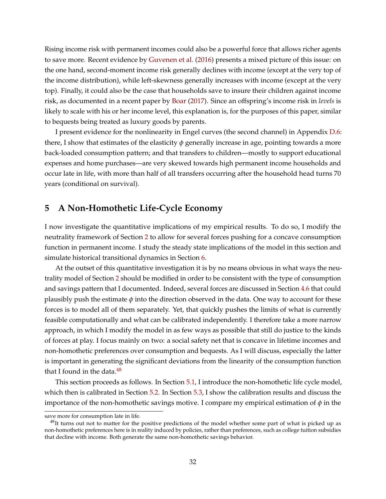Rising income risk with permanent incomes could also be a powerful force that allows richer agents to save more. Recent evidence by [Guvenen et al.](#page-52-21) [\(2016\)](#page-52-21) presents a mixed picture of this issue: on the one hand, second-moment income risk generally declines with income (except at the very top of the income distribution), while left-skewness generally increases with income (except at the very top). Finally, it could also be the case that households save to insure their children against income risk, as documented in a recent paper by [Boar](#page-50-15) [\(2017\)](#page-50-15). Since an offspring's income risk in *levels* is likely to scale with his or her income level, this explanation is, for the purposes of this paper, similar to bequests being treated as luxury goods by parents.

I present evidence for the nonlinearity in Engel curves (the second channel) in Appendix [D.6:](#page-69-0) there, I show that estimates of the elasticity *φ* generally increase in age, pointing towards a more back-loaded consumption pattern; and that transfers to children—mostly to support educational expenses and home purchases—are very skewed towards high permanent income households and occur late in life, with more than half of all transfers occurring after the household head turns 70 years (conditional on survival).

# <span id="page-31-0"></span>**5 A Non-Homothetic Life-Cycle Economy**

I now investigate the quantitative implications of my empirical results. To do so, I modify the neutrality framework of Section [2](#page-7-0) to allow for several forces pushing for a concave consumption function in permanent income. I study the steady state implications of the model in this section and simulate historical transitional dynamics in Section [6.](#page-44-0)

At the outset of this quantitative investigation it is by no means obvious in what ways the neutrality model of Section [2](#page-7-0) should be modified in order to be consistent with the type of consumption and savings pattern that I documented. Indeed, several forces are discussed in Section [4.6](#page-30-3) that could plausibly push the estimate  $\phi$  into the direction observed in the data. One way to account for these forces is to model all of them separately. Yet, that quickly pushes the limits of what is currently feasible computationally and what can be calibrated independently. I therefore take a more narrow approach, in which I modify the model in as few ways as possible that still do justice to the kinds of forces at play. I focus mainly on two: a social safety net that is concave in lifetime incomes and non-homothetic preferences over consumption and bequests. As I will discuss, especially the latter is important in generating the significant deviations from the linearity of the consumption function that I found in the data. $48$ 

This section proceeds as follows. In Section [5.1,](#page-32-0) I introduce the non-homothetic life cycle model, which then is calibrated in Section [5.2.](#page-35-0) In Section [5.3,](#page-37-0) I show the calibration results and discuss the importance of the non-homothetic savings motive. I compare my empirical estimation of *φ* in the

save more for consumption late in life.

<span id="page-31-1"></span> $^{48}$ It turns out not to matter for the positive predictions of the model whether some part of what is picked up as non-homothetic preferences here is in reality induced by policies, rather than preferences, such as college tuition subsidies that decline with income. Both generate the same non-homothetic savings behavior.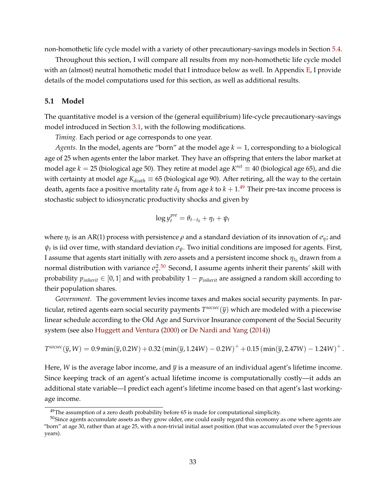non-homothetic life cycle model with a variety of other precautionary-savings models in Section [5.4.](#page-40-0)

Throughout this section, I will compare all results from my non-homothetic life cycle model with an (almost) neutral homothetic model that I introduce below as well. In Appendix [E,](#page-75-0) I provide details of the model computations used for this section, as well as additional results.

#### <span id="page-32-0"></span>**5.1 Model**

The quantitative model is a version of the (general equilibrium) life-cycle precautionary-savings model introduced in Section [3.1,](#page-11-3) with the following modifications.

*Timing.* Each period or age corresponds to one year.

*Agents.* In the model, agents are "born" at the model age  $k = 1$ , corresponding to a biological age of 25 when agents enter the labor market. They have an offspring that enters the labor market at model age  $k = 25$  (biological age 50). They retire at model age  $K^{ret} \equiv 40$  (biological age 65), and die with certainty at model age *Kdeath* ≡ 65 (biological age 90). After retiring, all the way to the certain death, agents face a positive mortality rate  $\delta_k$  from age  $k$  to  $k+1.^{49}$  $k+1.^{49}$  $k+1.^{49}$  Their pre-tax income process is stochastic subject to idiosyncratic productivity shocks and given by

$$
\log y_t^{pre} = \theta_{t-t_0} + \eta_t + \psi_t
$$

where  $\eta_t$  is an AR(1) process with persistence  $\rho$  and a standard deviation of its innovation of  $\sigma_{\eta}$ ; and *ψt* is iid over time, with standard deviation *σψ*. Two initial conditions are imposed for agents. First, I assume that agents start initially with zero assets and a persistent income shock  $\eta_{t_0}$  drawn from a normal distribution with variance  $\sigma_{\eta}^2$ .<sup>[50](#page-32-2)</sup> Second, I assume agents inherit their parents' skill with probability  $p_{\text{inherit}} \in [0, 1]$  and with probability  $1 - p_{\text{inherit}}$  are assigned a random skill according to their population shares.

*Government.* The government levies income taxes and makes social security payments. In particular, retired agents earn social security payments *T socsec*(*y*) which are modeled with a piecewise linear schedule according to the Old Age and Survivor Insurance component of the Social Security system (see also [Huggett and Ventura](#page-53-10) [\(2000\)](#page-53-10) or [De Nardi and Yang](#page-51-8) [\(2014\)](#page-51-8))

$$
T^{sosece}(\bar{y}, W) = 0.9 \min(\bar{y}, 0.2W) + 0.32 \left( \min(\bar{y}, 1.24W) - 0.2W \right)^{+} + 0.15 \left( \min(\bar{y}, 2.47W) - 1.24W \right)^{+}.
$$

Here, *W* is the average labor income, and  $\bar{y}$  is a measure of an individual agent's lifetime income. Since keeping track of an agent's actual lifetime income is computationally costly—it adds an additional state variable—I predict each agent's lifetime income based on that agent's last workingage income.

<span id="page-32-2"></span><span id="page-32-1"></span> $49$ The assumption of a zero death probability before 65 is made for computational simplicity.

<sup>&</sup>lt;sup>50</sup>Since agents accumulate assets as they grow older, one could easily regard this economy as one where agents are "born" at age 30, rather than at age 25, with a non-trivial initial asset position (that was accumulated over the 5 previous years).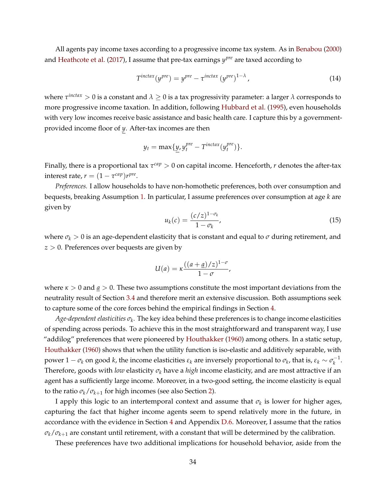All agents pay income taxes according to a progressive income tax system. As in [Benabou](#page-50-13) [\(2000\)](#page-50-13) and [Heathcote et al.](#page-53-15) [\(2017\)](#page-53-15), I assume that pre-tax earnings *y pre* are taxed according to

$$
T^{inctax}(y^{pre}) = y^{pre} - \tau^{inctax}(y^{pre})^{1-\lambda}, \qquad (14)
$$

where *τ inctax* > 0 is a constant and *λ* ≥ 0 is a tax progressivity parameter: a larger *λ* corresponds to more progressive income taxation. In addition, following [Hubbard et al.](#page-53-2) [\(1995\)](#page-53-2), even households with very low incomes receive basic assistance and basic health care. I capture this by a governmentprovided income floor of *y*. After-tax incomes are then

$$
y_t = \max\{y, y_t^{pre} - T^{inctax}(y_t^{pre})\}.
$$

Finally, there is a proportional tax *τ cap* > 0 on capital income. Henceforth, *r* denotes the after-tax  $interest$  *rate,*  $r = (1 - \tau^{cap})r^{pre}$ .

*Preferences.* I allow households to have non-homothetic preferences, both over consumption and bequests, breaking Assumption [1.](#page-14-0) In particular, I assume preferences over consumption at age *k* are given by

$$
u_k(c) = \frac{(c/z)^{1-\sigma_k}}{1-\sigma_k},\tag{15}
$$

where  $\sigma_k > 0$  is an age-dependent elasticity that is constant and equal to  $\sigma$  during retirement, and *z* > 0. Preferences over bequests are given by

$$
U(a) = \kappa \frac{((a+\underline{a})/z)^{1-\sigma}}{1-\sigma},
$$

where  $\kappa > 0$  and  $a > 0$ . These two assumptions constitute the most important deviations from the neutrality result of Section [3.4](#page-15-3) and therefore merit an extensive discussion. Both assumptions seek to capture some of the core forces behind the empirical findings in Section [4.](#page-18-0)

 $Age$ -*dependent elasticities*  $\sigma_k$ *.* The key idea behind these preferences is to change income elasticities of spending across periods. To achieve this in the most straightforward and transparent way, I use "addilog" preferences that were pioneered by [Houthakker](#page-53-17) [\(1960\)](#page-53-17) among others. In a static setup, [Houthakker](#page-53-17) [\(1960\)](#page-53-17) shows that when the utility function is iso-elastic and additively separable, with  $p$ ower 1 −  $σ_k$  on good  $k$ , the income elasticities  $ε_k$  are inversely proportional to  $σ_k$ , that is,  $ε_k \sim σ_k^{-1}$ *k* . Therefore, goods with *low* elasticity *σ<sup>k</sup>* have a *high* income elasticity, and are most attractive if an agent has a sufficiently large income. Moreover, in a two-good setting, the income elasticity is equal to the ratio  $\sigma_k/\sigma_{k+1}$  for high incomes (see also Section [2\)](#page-7-0).

I apply this logic to an intertemporal context and assume that *σ<sup>k</sup>* is lower for higher ages, capturing the fact that higher income agents seem to spend relatively more in the future, in accordance with the evidence in Section  $4$  and Appendix [D.6.](#page-69-0) Moreover, I assume that the ratios  $\sigma_k/\sigma_{k+1}$  are constant until retirement, with a constant that will be determined by the calibration.

These preferences have two additional implications for household behavior, aside from the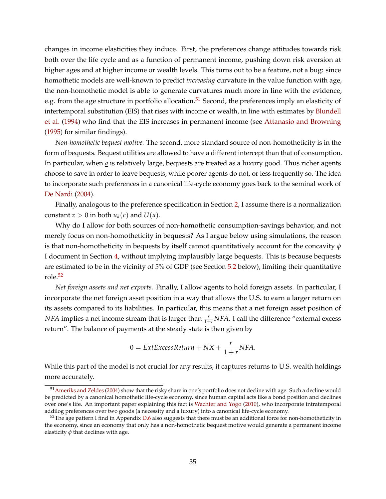changes in income elasticities they induce. First, the preferences change attitudes towards risk both over the life cycle and as a function of permanent income, pushing down risk aversion at higher ages and at higher income or wealth levels. This turns out to be a feature, not a bug: since homothetic models are well-known to predict *increasing* curvature in the value function with age, the non-homothetic model is able to generate curvatures much more in line with the evidence, e.g. from the age structure in portfolio allocation.<sup>[51](#page-34-0)</sup> Second, the preferences imply an elasticity of intertemporal substitution (EIS) that rises with income or wealth, in line with estimates by [Blundell](#page-50-18) [et al.](#page-50-18) [\(1994\)](#page-50-18) who find that the EIS increases in permanent income (see [Attanasio and Browning](#page-49-13) [\(1995\)](#page-49-13) for similar findings).

*Non-homothetic bequest motive.* The second, more standard source of non-homotheticity is in the form of bequests. Bequest utilities are allowed to have a different intercept than that of consumption. In particular, when *a* is relatively large, bequests are treated as a luxury good. Thus richer agents choose to save in order to leave bequests, while poorer agents do not, or less frequently so. The idea to incorporate such preferences in a canonical life-cycle economy goes back to the seminal work of [De Nardi](#page-51-3) [\(2004\)](#page-51-3).

Finally, analogous to the preference specification in Section [2,](#page-7-0) I assume there is a normalization constant  $z > 0$  in both  $u_k(c)$  and  $U(a)$ .

Why do I allow for both sources of non-homothetic consumption-savings behavior, and not merely focus on non-homotheticity in bequests? As I argue below using simulations, the reason is that non-homotheticity in bequests by itself cannot quantitatively account for the concavity *φ* I document in Section [4,](#page-18-0) without implying implausibly large bequests. This is because bequests are estimated to be in the vicinity of 5% of GDP (see Section [5.2](#page-35-0) below), limiting their quantitative role.[52](#page-34-1)

*Net foreign assets and net exports.* Finally, I allow agents to hold foreign assets. In particular, I incorporate the net foreign asset position in a way that allows the U.S. to earn a larger return on its assets compared to its liabilities. In particular, this means that a net foreign asset position of *NFA* implies a net income stream that is larger than  $\frac{r}{1+r}NFA$ . I call the difference "external excess return". The balance of payments at the steady state is then given by

$$
0 = ExtExcessReturn + NX + \frac{r}{1+r} NFA.
$$

While this part of the model is not crucial for any results, it captures returns to U.S. wealth holdings more accurately.

<span id="page-34-0"></span><sup>51</sup>[Ameriks and Zeldes](#page-49-14) [\(2004\)](#page-49-14) show that the risky share in one's portfolio does not decline with age. Such a decline would be predicted by a canonical homothetic life-cycle economy, since human capital acts like a bond position and declines over one's life. An important paper explaining this fact is [Wachter and Yogo](#page-56-6) [\(2010\)](#page-56-6), who incorporate intratemporal addilog preferences over two goods (a necessity and a luxury) into a canonical life-cycle economy.

<span id="page-34-1"></span> $52$ The age pattern I find in Appendix [D.6](#page-69-0) also suggests that there must be an additional force for non-homotheticity in the economy, since an economy that only has a non-homothetic bequest motive would generate a permanent income elasticity *φ* that declines with age.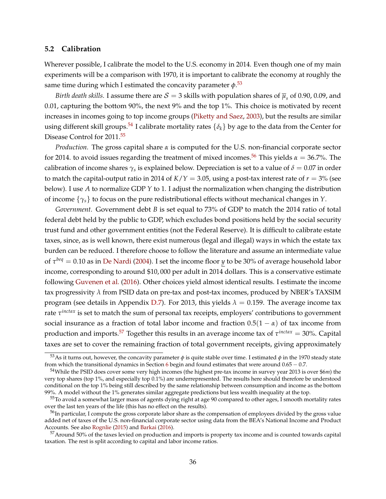## <span id="page-35-0"></span>**5.2 Calibration**

Wherever possible, I calibrate the model to the U.S. economy in 2014. Even though one of my main experiments will be a comparison with 1970, it is important to calibrate the economy at roughly the same time during which I estimated the concavity parameter *φ*. [53](#page-35-1)

*Birth death skills.* I assume there are  $\mathcal{S}=3$  skills with population shares of  $\overline{\mu}_s$  of 0.90, 0.09, and 0.01, capturing the bottom 90%, the next 9% and the top 1%. This choice is motivated by recent increases in incomes going to top income groups [\(Piketty and Saez,](#page-55-0) [2003\)](#page-55-0), but the results are similar using different skill groups.<sup>[54](#page-35-2)</sup> I calibrate mortality rates  $\{\delta_k\}$  by age to the data from the Center for Disease Control for 2011.<sup>[55](#page-35-3)</sup>

*Production.* The gross capital share *α* is computed for the U.S. non-financial corporate sector for 2014. to avoid issues regarding the treatment of mixed incomes.<sup>[56](#page-35-4)</sup> This yields  $\alpha = 36.7\%$ . The calibration of income shares  $\gamma_s$  is explained below. Depreciation is set to a value of  $\delta = 0.07$  in order to match the capital-output ratio in 2014 of  $K/Y = 3.05$ , using a post-tax interest rate of  $r = 3\%$  (see below). I use *A* to normalize GDP *Y* to 1. I adjust the normalization when changing the distribution of income {*γs*} to focus on the pure redistributional effects without mechanical changes in *Y*.

*Government.* Government debt *B* is set equal to 73% of GDP to match the 2014 ratio of total federal debt held by the public to GDP, which excludes bond positions held by the social security trust fund and other government entities (not the Federal Reserve). It is difficult to calibrate estate taxes, since, as is well known, there exist numerous (legal and illegal) ways in which the estate tax burden can be reduced. I therefore choose to follow the literature and assume an intermediate value of *τ beq* = 0.10 as in [De Nardi](#page-51-3) [\(2004\)](#page-51-3). I set the income floor *y* to be 30% of average household labor income, corresponding to around \$10, 000 per adult in 2014 dollars. This is a conservative estimate following [Guvenen et al.](#page-52-21) [\(2016\)](#page-52-21). Other choices yield almost identical results. I estimate the income tax progressivity *λ* from PSID data on pre-tax and post-tax incomes, produced by NBER's TAXSIM program (see details in Appendix [D.7\)](#page-71-0). For 2013, this yields  $\lambda = 0.159$ . The average income tax rate *τ inctax* is set to match the sum of personal tax receipts, employers' contributions to government social insurance as a fraction of total labor income and fraction  $0.5(1 - \alpha)$  of tax income from production and imports.[57](#page-35-5) Together this results in an average income tax of *τ inctax* = 30%. Capital taxes are set to cover the remaining fraction of total government receipts, giving approximately

<span id="page-35-1"></span><sup>&</sup>lt;sup>53</sup>As it turns out, however, the concavity parameter  $\phi$  is quite stable over time. I estimated  $\phi$  in the 1970 steady state from which the transitional dynamics in Section [6](#page-44-0) begin and found estimates that were around  $0.65 - 0.7$ .

<span id="page-35-2"></span><sup>54</sup>While the PSID does cover some very high incomes (the highest pre-tax income in survey year 2013 is over \$6*m*) the very top shares (top 1%, and especially top 0.1%) are underrepresented. The results here should therefore be understood conditional on the top 1% being still described by the same relationship between consumption and income as the bottom 99%. A model without the 1% generates similar aggregate predictions but less wealth inequality at the top.

<span id="page-35-3"></span><sup>55</sup>To avoid a somewhat larger mass of agents dying right at age 90 compared to other ages, I smooth mortality rates over the last ten years of the life (this has no effect on the results).

<span id="page-35-4"></span><sup>&</sup>lt;sup>56</sup>In particular, I compute the gross corporate labor share as the compensation of employees divided by the gross value added net of taxes of the U.S. non-financial corporate sector using data from the BEA's National Income and Product Accounts. See also [Rognlie](#page-55-16) [\(2015\)](#page-55-16) and [Barkai](#page-50-19) [\(2016\)](#page-50-19).

<span id="page-35-5"></span><sup>&</sup>lt;sup>57</sup>Around 50% of the taxes levied on production and imports is property tax income and is counted towards capital taxation. The rest is split according to capital and labor income ratios.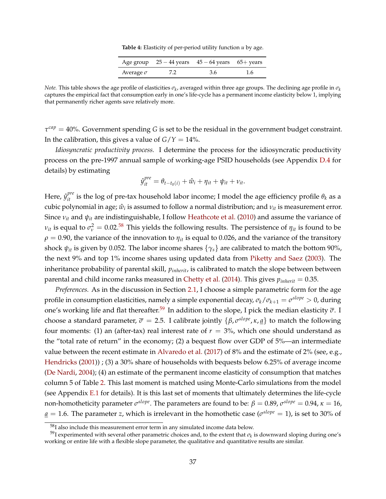**Table 4:** Elasticity of per-period utility function *u* by age.

|                  |     | Age group $25 - 44$ years $45 - 64$ years $65 +$ years |     |
|------------------|-----|--------------------------------------------------------|-----|
| Average $\sigma$ | 7.2 | 3.6                                                    | 1.6 |

<span id="page-36-2"></span>*Note.* This table shows the age profile of elasticities  $\sigma_k$ , averaged within three age groups. The declining age profile in  $\sigma_k$ captures the empirical fact that consumption early in one's life-cycle has a permanent income elasticity below 1, implying that permanently richer agents save relatively more.

*τ cap* = 40%. Government spending *G* is set to be the residual in the government budget constraint. In the calibration, this gives a value of  $G/Y = 14\%$ .

*Idiosyncratic productivity process.* I determine the process for the idiosyncratic productivity process on the pre-1997 annual sample of working-age PSID households (see Appendix [D.4](#page-67-0) for details) by estimating

$$
\hat{y}_{it}^{pre} = \theta_{t-t_0(i)} + \hat{w}_i + \eta_{it} + \psi_{it} + \nu_{it}.
$$

Here,  $\hat{y}_{it}^{pre}$  is the log of pre-tax household labor income; I model the age efficiency profile  $\theta_k$  as a cubic polynomial in age;  $\hat{w}_i$  is assumed to follow a normal distribution; and  $v_{it}$  is measurement error. Since *νit* and *ψit* are indistinguishable, I follow [Heathcote et al.](#page-53-0) [\(2010\)](#page-53-0) and assume the variance of *ν*<sub>*it*</sub> is equal to  $σ<sub>ν</sub><sup>2</sup> = 0.02<sup>58</sup>$  $σ<sub>ν</sub><sup>2</sup> = 0.02<sup>58</sup>$  $σ<sub>ν</sub><sup>2</sup> = 0.02<sup>58</sup>$  This yields the following results. The persistence of  $η<sub>it</sub>$  is found to be  $\rho$  = 0.90, the variance of the innovation to  $\eta_{it}$  is equal to 0.026, and the variance of the transitory shock  $\psi_{it}$  is given by 0.052. The labor income shares  $\{\gamma_s\}$  are calibrated to match the bottom 90%, the next 9% and top 1% income shares using updated data from [Piketty and Saez](#page-55-0) [\(2003\)](#page-55-0). The inheritance probability of parental skill, *pinherit*, is calibrated to match the slope between between parental and child income ranks measured in [Chetty et al.](#page-51-0) [\(2014\)](#page-51-0). This gives  $p_{inherit} = 0.35$ .

*Preferences.* As in the discussion in Section [2.1,](#page-7-0) I choose a simple parametric form for the age profile in consumption elasticities, namely a simple exponential decay, *σk*/*σk*+<sup>1</sup> = *σ slope* > 0, during one's working life and flat thereafter.[59](#page-36-1) In addition to the slope, I pick the median elasticity *σ*. I choose a standard parameter,  $\bar{\sigma}$  = 2.5. I calibrate jointly  $\{\beta, \sigma^{slope}, \kappa, \underline{a}\}$  to match the following four moments: (1) an (after-tax) real interest rate of  $r = 3%$ , which one should understand as the "total rate of return" in the economy; (2) a bequest flow over GDP of 5%—an intermediate value between the recent estimate in [Alvaredo et al.](#page-49-0) [\(2017\)](#page-49-0) of 8% and the estimate of 2% (see, e.g., [Hendricks](#page-53-1) [\(2001\)](#page-53-1)) ; (3) a 30% share of households with bequests below 6.25% of average income [\(De Nardi,](#page-51-1) [2004\)](#page-51-1); (4) an estimate of the permanent income elasticity of consumption that matches column 5 of Table [2.](#page-24-0) This last moment is matched using Monte-Carlo simulations from the model (see Appendix [E.1](#page-75-0) for details). It is this last set of moments that ultimately determines the life-cycle  $non\text{-}homotheticity parameter  $σ^{slope}$ . The parameters are found to be:  $β = 0.89$ ,  $σ^{slope} = 0.94$ ,  $κ = 16$ ,$  $\underline{a} = 1.6$ . The parameter *z*, which is irrelevant in the homothetic case ( $\sigma^{slope} = 1$ ), is set to 30% of

<span id="page-36-1"></span><span id="page-36-0"></span><sup>58</sup>I also include this measurement error term in any simulated income data below.

<sup>&</sup>lt;sup>59</sup>I experimented with several other parametric choices and, to the extent that  $\sigma_k$  is downward sloping during one's working or entire life with a flexible slope parameter, the qualitative and quantitative results are similar.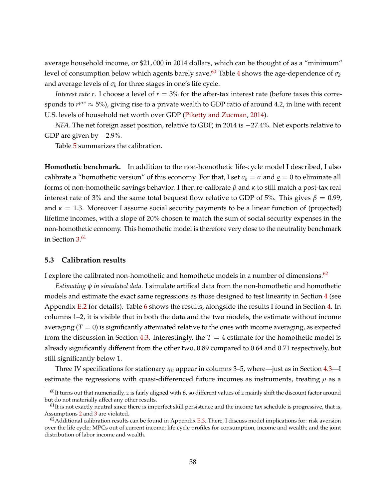average household income, or \$21, 000 in 2014 dollars, which can be thought of as a "minimum" level of consumption below which agents barely save.<sup>[60](#page-37-0)</sup> Table [4](#page-36-2) shows the age-dependence of  $\sigma_k$ and average levels of  $\sigma_k$  for three stages in one's life cycle.

*Interest rate r*. I choose a level of  $r = 3\%$  for the after-tax interest rate (before taxes this corresponds to  $r^{pre} \approx 5\%)$ , giving rise to a private wealth to GDP ratio of around 4.2, in line with recent U.S. levels of household net worth over GDP [\(Piketty and Zucman,](#page-55-1) [2014\)](#page-55-1).

*NFA*. The net foreign asset position, relative to GDP, in 2014 is  $-27.4\%$ . Net exports relative to GDP are given by  $-2.9\%$ .

Table [5](#page-38-0) summarizes the calibration.

**Homothetic benchmark.** In addition to the non-homothetic life-cycle model I described, I also calibrate a "homothetic version" of this economy. For that, I set  $\sigma_k = \overline{\sigma}$  and  $\underline{a} = 0$  to eliminate all forms of non-homothetic savings behavior. I then re-calibrate *β* and *κ* to still match a post-tax real interest rate of 3% and the same total bequest flow relative to GDP of 5%. This gives  $\beta = 0.99$ , and  $\kappa = 1.3$ . Moreover I assume social security payments to be a linear function of (projected) lifetime incomes, with a slope of 20% chosen to match the sum of social security expenses in the non-homothetic economy. This homothetic model is therefore very close to the neutrality benchmark in Section [3.](#page-11-0) [61](#page-37-1)

### **5.3 Calibration results**

I explore the calibrated non-homothetic and homothetic models in a number of dimensions. $62$ 

*Estimating φ in simulated data.* I simulate artifical data from the non-homothetic and homothetic models and estimate the exact same regressions as those designed to test linearity in Section [4](#page-18-0) (see Appendix [E.2](#page-79-0) for details). Table [6](#page-39-0) shows the results, alongside the results I found in Section [4.](#page-18-0) In columns 1–2, it is visible that in both the data and the two models, the estimate without income averaging  $(T = 0)$  is significantly attenuated relative to the ones with income averaging, as expected from the discussion in Section [4.3.](#page-21-0) Interestingly, the  $T = 4$  estimate for the homothetic model is already significantly different from the other two, 0.89 compared to 0.64 and 0.71 respectively, but still significantly below 1.

Three IV specifications for stationary *ηit* appear in columns 3–5, where—just as in Section [4.3—](#page-21-0)I estimate the regressions with quasi-differenced future incomes as instruments, treating  $\rho$  as a

<span id="page-37-0"></span><sup>60</sup>It turns out that numerically, *z* is fairly aligned with *β*, so different values of *z* mainly shift the discount factor around but do not materially affect any other results.

<span id="page-37-1"></span> $<sup>61</sup>$ It is not exactly neutral since there is imperfect skill persistence and the income tax schedule is progressive, that is,</sup> Assumptions [2](#page-14-0) and [3](#page-14-1) are violated.

<span id="page-37-2"></span> $62$ Additional calibration results can be found in Appendix [E.3.](#page-80-0) There, I discuss model implications for: risk aversion over the life cycle; MPCs out of current income; life cycle profiles for consumption, income and wealth; and the joint distribution of labor income and wealth.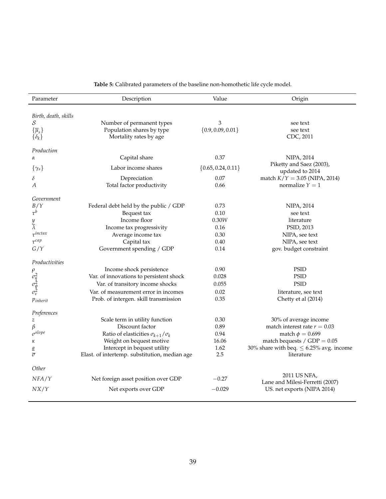<span id="page-38-0"></span>

| Parameter                                        | Description                                         | Value                  | Origin                                       |
|--------------------------------------------------|-----------------------------------------------------|------------------------|----------------------------------------------|
|                                                  |                                                     |                        |                                              |
| Birth, death, skills                             |                                                     |                        |                                              |
| S                                                | Number of permanent types                           | 3                      | see text                                     |
| $\{\overline{\mu}_s\}$                           | Population shares by type<br>Mortality rates by age | $\{0.9, 0.09, 0.01\}$  | see text<br>CDC, 2011                        |
| $\{\delta_k\}$                                   |                                                     |                        |                                              |
| Production                                       |                                                     |                        |                                              |
| α                                                | Capital share                                       | 0.37                   | NIPA, 2014                                   |
| $\{\gamma_s\}$                                   | Labor income shares                                 | $\{0.65, 0.24, 0.11\}$ | Piketty and Saez (2003),<br>updated to 2014  |
| δ                                                | Depreciation                                        | 0.07                   | match $K/Y = 3.05$ (NIPA, 2014)              |
| A                                                | Total factor productivity                           | 0.66                   | normalize $Y = 1$                            |
|                                                  |                                                     |                        |                                              |
| Government                                       |                                                     |                        |                                              |
| B/Y                                              | Federal debt held by the public / GDP               | 0.73                   | NIPA, 2014                                   |
| $\tau^b$                                         | Bequest tax                                         | 0.10                   | see text                                     |
| $\frac{y}{\lambda}$                              | Income floor                                        | 0.30W                  | literature                                   |
| $\tau^{inctax}$                                  | Income tax progressivity                            | 0.16                   | PSID, 2013                                   |
| $\tau^{cap}$                                     | Average income tax                                  | 0.30<br>0.40           | NIPA, see text                               |
| G/Y                                              | Capital tax<br>Government spending / GDP            | 0.14                   | NIPA, see text                               |
|                                                  |                                                     |                        | gov. budget constraint                       |
| Productivities                                   |                                                     |                        |                                              |
|                                                  | Income shock persistence                            | 0.90                   | <b>PSID</b>                                  |
|                                                  | Var. of innovations to persistent shock             | 0.028                  | <b>PSID</b>                                  |
| $\rho$<br>$\sigma_{\eta}^2$<br>$\sigma_{\psi}^2$ | Var. of transitory income shocks                    | 0.055                  | <b>PSID</b>                                  |
|                                                  | Var. of measurement error in incomes                | 0.02                   | literature, see text                         |
| Pinherit                                         | Prob. of intergen. skill transmission               | 0.35                   | Chetty et al (2014)                          |
| Preferences                                      |                                                     |                        |                                              |
| $\boldsymbol{z}$                                 | Scale term in utility function                      | 0.30                   | 30% of average income                        |
| β                                                | Discount factor                                     | 0.89                   | match interest rate $r = 0.03$               |
| $\sigma^{slope}$                                 | Ratio of elasticities $\sigma_{k+1}/\sigma_k$       | 0.94                   | match $\phi = 0.699$                         |
| κ                                                | Weight on bequest motive                            | 16.06                  | match bequests / $GDP = 0.05$                |
| а                                                | Intercept in bequest utility                        | 1.62                   | 30% share with beq. $\leq$ 6.25% avg. income |
| $\overline{\sigma}$                              | Elast. of intertemp. substitution, median age       | 2.5                    | literature                                   |
| Other                                            |                                                     |                        |                                              |
| NFA/Y                                            | Net foreign asset position over GDP                 | $-0.27$                | 2011 US NFA,                                 |
|                                                  |                                                     |                        | Lane and Milesi-Ferretti (2007)              |
| NX/Y                                             | Net exports over GDP                                | $-0.029$               | US. net exports (NIPA 2014)                  |
|                                                  |                                                     |                        |                                              |

**Table 5:** Calibrated parameters of the baseline non-homothetic life cycle model.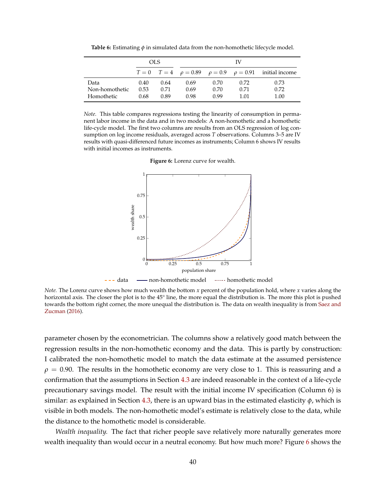**Table 6:** Estimating *φ* in simulated data from the non-homothetic lifecycle model.

<span id="page-39-0"></span>

|                |      | OLS. |      |      | IV   |                                                                         |
|----------------|------|------|------|------|------|-------------------------------------------------------------------------|
|                |      |      |      |      |      | $T = 0$ $T = 4$ $\rho = 0.89$ $\rho = 0.9$ $\rho = 0.91$ initial income |
| Data           | 0.40 | 0.64 | 0.69 | 0.70 | 0.72 | 0.73                                                                    |
| Non-homothetic | 0.53 | 0.71 | 0.69 | 0.70 | 0.71 | 0.72                                                                    |
| Homothetic     | 0.68 | 0.89 | 0.98 | 0.99 | 1.01 | 1.00                                                                    |

<span id="page-39-1"></span>*Note.* This table compares regressions testing the linearity of consumption in permanent labor income in the data and in two models: A non-homothetic and a homothetic life-cycle model. The first two columns are results from an OLS regression of log consumption on log income residuals, averaged across *T* observations. Columns 3–5 are IV results with quasi-differenced future incomes as instruments; Column 6 shows IV results with initial incomes as instruments.



**Figure 6:** Lorenz curve for wealth.

*Note.* The Lorenz curve shows how much wealth the bottom *x* percent of the population hold, where *x* varies along the horizontal axis. The closer the plot is to the 45° line, the more equal the distribution is. The more this plot is pushed towards the bottom right corner, the more unequal the distribution is. The data on wealth inequality is from [Saez and](#page-55-2) [Zucman](#page-55-2) [\(2016\)](#page-55-2).

parameter chosen by the econometrician. The columns show a relatively good match between the regression results in the non-homothetic economy and the data. This is partly by construction: I calibrated the non-homothetic model to match the data estimate at the assumed persistence  $\rho = 0.90$ . The results in the homothetic economy are very close to 1. This is reassuring and a confirmation that the assumptions in Section [4.3](#page-21-0) are indeed reasonable in the context of a life-cycle precautionary savings model. The result with the initial income IV specification (Column 6) is similar: as explained in Section [4.3,](#page-21-0) there is an upward bias in the estimated elasticity *φ*, which is visible in both models. The non-homothetic model's estimate is relatively close to the data, while the distance to the homothetic model is considerable.

*Wealth inequality.* The fact that richer people save relatively more naturally generates more wealth inequality than would occur in a neutral economy. But how much more? Figure [6](#page-39-1) shows the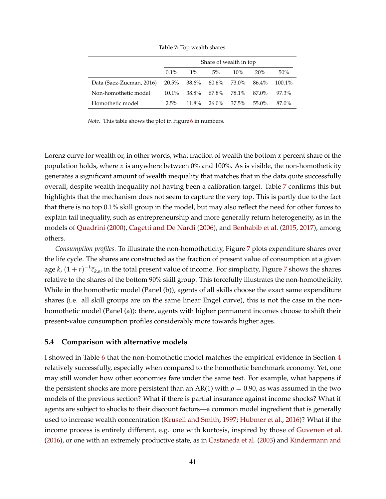<span id="page-40-0"></span>

|                                                        | Share of wealth in top |          |                         |        |          |           |  |
|--------------------------------------------------------|------------------------|----------|-------------------------|--------|----------|-----------|--|
|                                                        | $0.1\%$                | $1\%$    | $5\%$                   | $10\%$ | 20%      | 50%       |  |
| Data (Saez-Zucman, 2016) 20.5% 38.6% 60.6% 73.0% 86.4% |                        |          |                         |        |          | $100.1\%$ |  |
| Non-homothetic model                                   | $10.1\%$               |          | 38.8% 67.8% 78.1% 87.0% |        |          | 97.3%     |  |
| Homothetic model                                       | $2.5\%$                | $11.8\%$ | 26.0% 37.5%             |        | $55.0\%$ | 87.0%     |  |

**Table 7:** Top wealth shares.

*Note.* This table shows the plot in Figure [6](#page-39-1) in numbers.

Lorenz curve for wealth or, in other words, what fraction of wealth the bottom *x* percent share of the population holds, where *x* is anywhere between 0% and 100%. As is visible, the non-homotheticity generates a significant amount of wealth inequality that matches that in the data quite successfully overall, despite wealth inequality not having been a calibration target. Table [7](#page-40-0) confirms this but highlights that the mechanism does not seem to capture the very top. This is partly due to the fact that there is no top 0.1% skill group in the model, but may also reflect the need for other forces to explain tail inequality, such as entrepreneurship and more generally return heterogeneity, as in the models of [Quadrini](#page-55-3) [\(2000\)](#page-55-3), [Cagetti and De Nardi](#page-50-0) [\(2006\)](#page-50-0), and [Benhabib et al.](#page-50-1) [\(2015,](#page-50-1) [2017\)](#page-50-2), among others.

*Consumption profiles.* To illustrate the non-homotheticity, Figure [7](#page-41-0) plots expenditure shares over the life cycle. The shares are constructed as the fraction of present value of consumption at a given age  $k$ ,  $(1+r)^{-k}\bar{c}_{k,s}$ , in the total present value of income. For simplicity, Figure [7](#page-41-0) shows the shares relative to the shares of the bottom 90% skill group. This forcefully illustrates the non-homotheticity. While in the homothetic model (Panel (b)), agents of all skills choose the exact same expenditure shares (i.e. all skill groups are on the same linear Engel curve), this is not the case in the nonhomothetic model (Panel (a)): there, agents with higher permanent incomes choose to shift their present-value consumption profiles considerably more towards higher ages.

### **5.4 Comparison with alternative models**

I showed in Table [6](#page-39-0) that the non-homothetic model matches the empirical evidence in Section [4](#page-18-0) relatively successfully, especially when compared to the homothetic benchmark economy. Yet, one may still wonder how other economies fare under the same test. For example, what happens if the persistent shocks are more persistent than an AR(1) with  $\rho = 0.90$ , as was assumed in the two models of the previous section? What if there is partial insurance against income shocks? What if agents are subject to shocks to their discount factors—a common model ingredient that is generally used to increase wealth concentration [\(Krusell and Smith,](#page-54-0) [1997;](#page-54-0) [Hubmer et al.,](#page-53-2) [2016\)](#page-53-2)? What if the income process is entirely different, e.g. one with kurtosis, inspired by those of [Guvenen et al.](#page-52-0) [\(2016\)](#page-52-0), or one with an extremely productive state, as in [Castaneda et al.](#page-51-2) [\(2003\)](#page-51-2) and [Kindermann and](#page-54-1)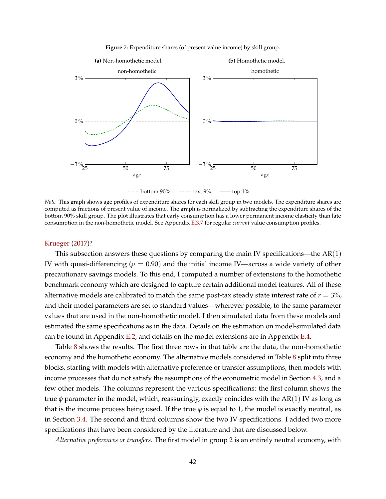<span id="page-41-0"></span>

**Figure 7:** Expenditure shares (of present value income) by skill group.

<span id="page-41-1"></span> $---$  [bottom 90%](#page-41-1)  $---$  next 9%  $---$  top 1%

*Note.* This graph shows age profiles of expenditure shares for each skill group in two models. The expenditure shares are computed as fractions of present value of income. The graph is normalized by subtracting the expenditure shares of the bottom 90% skill group. The plot illustrates that early consumption has a lower permanent income elasticity than late consumption in the non-homothetic model. See Appendix [E.3.7](#page-85-0) for regular *current* value consumption profiles.

#### [Krueger](#page-54-1) [\(2017\)](#page-54-1)?

This subsection answers these questions by comparing the main IV specifications—the  $AR(1)$ IV with quasi-differencing (*ρ* = 0.90) and the initial income IV—across a wide variety of other precautionary savings models. To this end, I computed a number of extensions to the homothetic benchmark economy which are designed to capture certain additional model features. All of these alternative models are calibrated to match the same post-tax steady state interest rate of  $r = 3\%$ , and their model parameters are set to standard values—wherever possible, to the same parameter values that are used in the non-homothetic model. I then simulated data from these models and estimated the same specifications as in the data. Details on the estimation on model-simulated data can be found in Appendix [E.2,](#page-79-0) and details on the model extensions are in Appendix [E.4.](#page-88-0)

Table [8](#page-42-0) shows the results. The first three rows in that table are the data, the non-homothetic economy and the homothetic economy. The alternative models considered in Table [8](#page-42-0) split into three blocks, starting with models with alternative preference or transfer assumptions, then models with income processes that do not satisfy the assumptions of the econometric model in Section [4.3,](#page-21-0) and a few other models. The columns represent the various specifications: the first column shows the true  $\phi$  parameter in the model, which, reassuringly, exactly coincides with the AR(1) IV as long as that is the income process being used. If the true  $\phi$  is equal to 1, the model is exactly neutral, as in Section [3.4.](#page-15-0) The second and third columns show the two IV specifications. I added two more specifications that have been considered by the literature and that are discussed below.

*Alternative preferences or transfers.* The first model in group 2 is an entirely neutral economy, with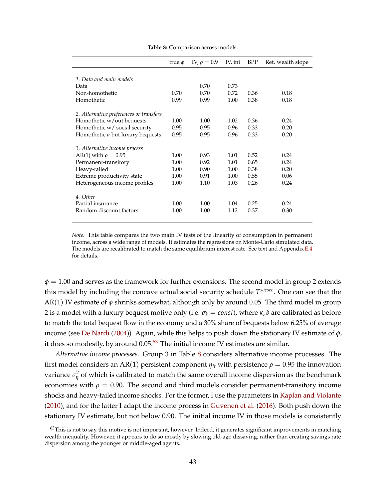<span id="page-42-0"></span>

|                                         | true $\phi$ | IV, $\rho = 0.9$ | IV, ini | <b>BPP</b> | Ret. wealth slope |
|-----------------------------------------|-------------|------------------|---------|------------|-------------------|
|                                         |             |                  |         |            |                   |
| 1. Data and main models                 |             |                  |         |            |                   |
| Data                                    |             | 0.70             | 0.73    |            |                   |
| Non-homothetic                          | 0.70        | 0.70             | 0.72    | 0.36       | 0.18              |
| Homothetic                              | 0.99        | 0.99             | 1.00    | 0.38       | 0.18              |
| 2. Alternative preferences or transfers |             |                  |         |            |                   |
| Homothetic w/out bequests               | 1.00        | 1.00             | 1.02    | 0.36       | 0.24              |
| Homothetic w/ social security           | 0.95        | 0.95             | 0.96    | 0.33       | 0.20              |
| Homothetic u but luxury bequests        | 0.95        | 0.95             | 0.96    | 0.33       | 0.20              |
| 3. Alternative income process           |             |                  |         |            |                   |
| AR(1) with $\rho = 0.95$                | 1.00        | 0.93             | 1.01    | 0.52       | 0.24              |
| Permanent-transitory                    | 1.00        | 0.92             | 1.01    | 0.65       | 0.24              |
| Heavy-tailed                            | 1.00        | 0.90             | 1.00    | 0.38       | 0.20              |
| Extreme productivity state              | 1.00        | 0.91             | 1.00    | 0.55       | 0.06              |
| Heterogeneous income profiles           | 1.00        | 1.10             | 1.03    | 0.26       | 0.24              |
| 4. Other                                |             |                  |         |            |                   |
| Partial insurance                       | 1.00        | 1.00             | 1.04    | 0.25       | 0.24              |
| Random discount factors                 | 1.00        | 1.00             | 1.12    | 0.37       | 0.30              |
|                                         |             |                  |         |            |                   |

**Table 8:** Comparison across models.

*Note.* This table compares the two main IV tests of the linearity of consumption in permanent income, across a wide range of models. It estimates the regressions on Monte-Carlo simulated data. The models are recalibrated to match the same equilibrium interest rate. See text and Appendix [E.4](#page-88-0) for details.

 $\phi = 1.00$  and serves as the framework for further extensions. The second model in group 2 extends this model by including the concave actual social security schedule *T socsec*. One can see that the AR(1) IV estimate of *φ* shrinks somewhat, although only by around 0.05. The third model in group 2 is a model with a luxury bequest motive only (i.e.  $\sigma_k = const$ ), where  $\kappa$ , *b* are calibrated as before to match the total bequest flow in the economy and a 30% share of bequests below 6.25% of average income (see [De Nardi](#page-51-1) [\(2004\)](#page-51-1)). Again, while this helps to push down the stationary IV estimate of *φ*, it does so modestly, by around  $0.05<sup>63</sup>$  $0.05<sup>63</sup>$  $0.05<sup>63</sup>$  The initial income IV estimates are similar.

*Alternative income processes.* Group 3 in Table [8](#page-42-0) considers alternative income processes. The first model considers an AR(1) persistent component  $\eta_{it}$  with persistence  $\rho = 0.95$  the innovation variance  $\sigma_{\eta}^2$  of which is calibrated to match the same overall income dispersion as the benchmark economies with  $\rho = 0.90$ . The second and third models consider permanent-transitory income shocks and heavy-tailed income shocks. For the former, I use the parameters in [Kaplan and Violante](#page-53-3) [\(2010\)](#page-53-3), and for the latter I adapt the income process in [Guvenen et al.](#page-52-0) [\(2016\)](#page-52-0). Both push down the stationary IV estimate, but not below 0.90. The initial income IV in those models is consistently

<span id="page-42-1"></span> $63$ This is not to say this motive is not important, however. Indeed, it generates significant improvements in matching wealth inequality. However, it appears to do so mostly by slowing old-age dissaving, rather than creating savings rate dispersion among the younger or middle-aged agents.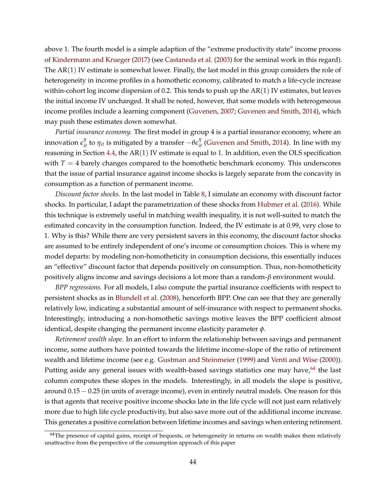above 1. The fourth model is a simple adaption of the "extreme productivity state" income process of [Kindermann and Krueger](#page-54-1) [\(2017\)](#page-54-1) (see [Castaneda et al.](#page-51-2) [\(2003\)](#page-51-2) for the seminal work in this regard). The AR(1) IV estimate is somewhat lower. Finally, the last model in this group considers the role of heterogeneity in income profiles in a homothetic economy, calibrated to match a life-cycle increase within-cohort log income dispersion of 0.2. This tends to push up the  $AR(1)$  IV estimates, but leaves the initial income IV unchanged. It shall be noted, however, that some models with heterogeneous income profiles include a learning component [\(Guvenen,](#page-52-1) [2007;](#page-52-1) [Guvenen and Smith,](#page-52-2) [2014\)](#page-52-2), which may push these estimates down somewhat.

*Partial insurance economy.* The first model in group 4 is a partial insurance economy, where an innovation  $\epsilon_{it}^{\eta}$  to  $\eta_{it}$  is mitigated by a transfer  $-\theta\epsilon_{it}^{\eta}$  [\(Guvenen and Smith,](#page-52-2) [2014\)](#page-52-2). In line with my reasoning in Section  $4.4$ , the AR $(1)$  IV estimate is equal to 1. In addition, even the OLS specification with  $T = 4$  barely changes compared to the homothetic benchmark economy. This underscores that the issue of partial insurance against income shocks is largely separate from the concavity in consumption as a function of permanent income.

*Discount factor shocks.* In the last model in Table [8,](#page-42-0) I simulate an economy with discount factor shocks. In particular, I adapt the parametrization of these shocks from [Hubmer et al.](#page-53-2) [\(2016\)](#page-53-2). While this technique is extremely useful in matching wealth inequality, it is not well-suited to match the estimated concavity in the consumption function. Indeed, the IV estimate is at 0.99, very close to 1. Why is this? While there are very persistent savers in this economy, the discount factor shocks are assumed to be entirely independent of one's income or consumption choices. This is where my model departs: by modeling non-homotheticity in consumption decisions, this essentially induces an "effective" discount factor that depends positively on consumption. Thus, non-homotheticity positively aligns income and savings decisions a lot more than a random-*β* environment would.

*BPP regressions.* For all models, I also compute the partial insurance coefficients with respect to persistent shocks as in [Blundell et al.](#page-50-3) [\(2008\)](#page-50-3), henceforth BPP. One can see that they are generally relatively low, indicating a substantial amount of self-insurance with respect to permanent shocks. Interestingly, introducing a non-homothetic savings motive leaves the BPP coefficient almost identical, despite changing the permanent income elasticity parameter *φ*.

*Retirement wealth slope.* In an effort to inform the relationship between savings and permanent income, some authors have pointed towards the lifetime income-slope of the ratio of retirement wealth and lifetime income (see e.g. [Gustman and Steinmeier](#page-52-3) [\(1999\)](#page-52-3) and [Venti and Wise](#page-56-0) [\(2000\)](#page-56-0)). Putting aside any general issues with wealth-based savings statistics one may have, $64$  the last column computes these slopes in the models. Interestingly, in all models the slope is positive, around 0.15 − 0.25 (in units of average income), even in entirely neutral models. One reason for this is that agents that receive positive income shocks late in the life cycle will not just earn relatively more due to high life cycle productivity, but also save more out of the additional income increase. This generates a positive correlation between lifetime incomes and savings when entering retirement.

<span id="page-43-0"></span> $64$ The presence of capital gains, receipt of bequests, or heterogeneity in returns on wealth makes them relatively unattractive from the perspective of the consumption approach of this paper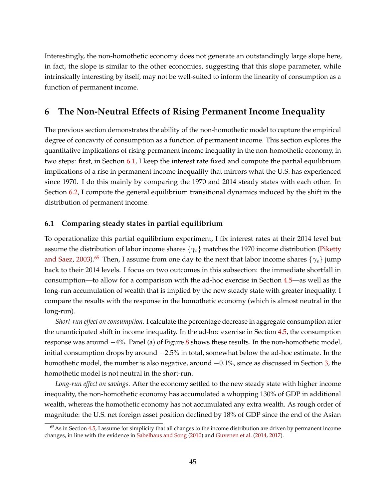Interestingly, the non-homothetic economy does not generate an outstandingly large slope here, in fact, the slope is similar to the other economies, suggesting that this slope parameter, while intrinsically interesting by itself, may not be well-suited to inform the linearity of consumption as a function of permanent income.

# **6 The Non-Neutral Effects of Rising Permanent Income Inequality**

The previous section demonstrates the ability of the non-homothetic model to capture the empirical degree of concavity of consumption as a function of permanent income. This section explores the quantitative implications of rising permanent income inequality in the non-homothetic economy, in two steps: first, in Section [6.1,](#page-44-0) I keep the interest rate fixed and compute the partial equilibrium implications of a rise in permanent income inequality that mirrors what the U.S. has experienced since 1970. I do this mainly by comparing the 1970 and 2014 steady states with each other. In Section [6.2,](#page-45-0) I compute the general equilibrium transitional dynamics induced by the shift in the distribution of permanent income.

### <span id="page-44-0"></span>**6.1 Comparing steady states in partial equilibrium**

To operationalize this partial equilibrium experiment, I fix interest rates at their 2014 level but assume the distribution of labor income shares  $\{\gamma_s\}$  matches the 1970 income distribution [\(Piketty](#page-55-0) [and Saez,](#page-55-0) [2003\)](#page-55-0).<sup>[65](#page-44-1)</sup> Then, I assume from one day to the next that labor income shares  $\{\gamma_s\}$  jump back to their 2014 levels. I focus on two outcomes in this subsection: the immediate shortfall in consumption—to allow for a comparison with the ad-hoc exercise in Section [4.5—](#page-29-0)as well as the long-run accumulation of wealth that is implied by the new steady state with greater inequality. I compare the results with the response in the homothetic economy (which is almost neutral in the long-run).

*Short-run effect on consumption.* I calculate the percentage decrease in aggregate consumption after the unanticipated shift in income inequality. In the ad-hoc exercise in Section [4.5,](#page-29-0) the consumption response was around −4%. Panel (a) of Figure [8](#page-45-1) shows these results. In the non-homothetic model, initial consumption drops by around −2.5% in total, somewhat below the ad-hoc estimate. In the homothetic model, the number is also negative, around  $-0.1%$ , since as discussed in Section [3,](#page-11-0) the homothetic model is not neutral in the short-run.

*Long-run effect on savings.* After the economy settled to the new steady state with higher income inequality, the non-homothetic economy has accumulated a whopping 130% of GDP in additional wealth, whereas the homothetic economy has not accumulated any extra wealth. As rough order of magnitude: the U.S. net foreign asset position declined by 18% of GDP since the end of the Asian

<span id="page-44-1"></span> $65$ As in Section [4.5,](#page-29-0) I assume for simplicity that all changes to the income distribution are driven by permanent income changes, in line with the evidence in [Sabelhaus and Song](#page-55-4) [\(2010\)](#page-55-4) and [Guvenen et al.](#page-52-4) [\(2014,](#page-52-4) [2017\)](#page-52-5).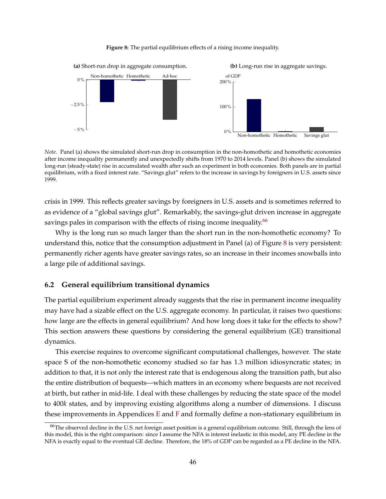<span id="page-45-1"></span>

#### **Figure 8:** The partial equilibrium effects of a rising income inequality.

*Note.* Panel (a) shows the simulated short-run drop in consumption in the non-homothetic and homothetic economies after income inequality permanently and unexpectedly shifts from 1970 to 2014 levels. Panel (b) shows the simulated long-run (steady-state) rise in accumulated wealth after such an experiment in both economies. Both panels are in partial equilibrium, with a fixed interest rate. "Savings glut" refers to the increase in savings by foreigners in U.S. assets since 1999.

crisis in 1999. This reflects greater savings by foreigners in U.S. assets and is sometimes referred to as evidence of a "global savings glut". Remarkably, the savings-glut driven increase in aggregate savings pales in comparison with the effects of rising income inequality.<sup>[66](#page-45-2)</sup>

Why is the long run so much larger than the short run in the non-homothetic economy? To understand this, notice that the consumption adjustment in Panel (a) of Figure [8](#page-45-1) is very persistent: permanently richer agents have greater savings rates, so an increase in their incomes snowballs into a large pile of additional savings.

#### <span id="page-45-0"></span>**6.2 General equilibrium transitional dynamics**

The partial equilibrium experiment already suggests that the rise in permanent income inequality may have had a sizable effect on the U.S. aggregate economy. In particular, it raises two questions: how large are the effects in general equilibrium? And how long does it take for the effects to show? This section answers these questions by considering the general equilibrium (GE) transitional dynamics.

This exercise requires to overcome significant computational challenges, however. The state space **S** of the non-homothetic economy studied so far has 1.3 million idiosyncratic states; in addition to that, it is not only the interest rate that is endogenous along the transition path, but also the entire distribution of bequests—which matters in an economy where bequests are not received at birth, but rather in mid-life. I deal with these challenges by reducing the state space of the model to 400*k* states, and by improving existing algorithms along a number of dimensions. I discuss these improvements in Appendices [E](#page-75-1) and [F](#page-91-0) and formally define a non-stationary equilibrium in

<span id="page-45-2"></span><sup>&</sup>lt;sup>66</sup>The observed decline in the U.S. net foreign asset position is a general equilibrium outcome. Still, through the lens of this model, this is the right comparison: since I assume the NFA is interest inelastic in this model, any PE decline in the NFA is exactly equal to the eventual GE decline. Therefore, the 18% of GDP can be regarded as a PE decline in the NFA.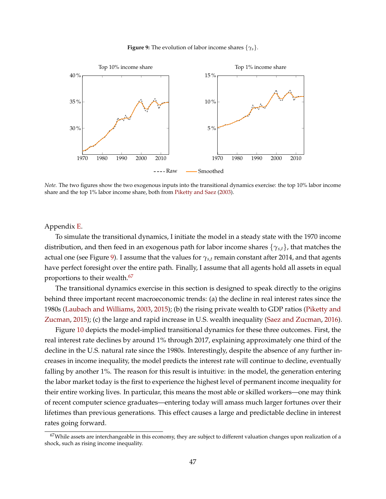**Figure 9:** The evolution of labor income shares {*γs*}.

<span id="page-46-1"></span>

<span id="page-46-0"></span>*Note.* The two figures show the two exogenous inputs into the transitional dynamics exercise: the top 10% labor income share and the top 1% labor income share, both from [Piketty and Saez](#page-55-0) [\(2003\)](#page-55-0).

Appendix [E.](#page-75-1)

To simulate the transitional dynamics, I initiate the model in a steady state with the 1970 income distribution, and then feed in an exogenous path for labor income shares {*γs*,*t*}, that matches the actual one (see Figure [9\)](#page-46-1). I assume that the values for *γs*,*<sup>t</sup>* remain constant after 2014, and that agents have perfect foresight over the entire path. Finally, I assume that all agents hold all assets in equal proportions to their wealth.<sup>[67](#page-46-2)</sup>

The transitional dynamics exercise in this section is designed to speak directly to the origins behind three important recent macroeconomic trends: (a) the decline in real interest rates since the 1980s [\(Laubach and Williams,](#page-54-2) [2003,](#page-54-2) [2015\)](#page-54-3); (b) the rising private wealth to GDP ratios [\(Piketty and](#page-55-5) [Zucman,](#page-55-5) [2015\)](#page-55-5); (c) the large and rapid increase in U.S. wealth inequality [\(Saez and Zucman,](#page-55-2) [2016\)](#page-55-2).

Figure [10](#page-47-0) depicts the model-implied transitional dynamics for these three outcomes. First, the real interest rate declines by around 1% through 2017, explaining approximately one third of the decline in the U.S. natural rate since the 1980s. Interestingly, despite the absence of any further increases in income inequality, the model predicts the interest rate will continue to decline, eventually falling by another 1%. The reason for this result is intuitive: in the model, the generation entering the labor market today is the first to experience the highest level of permanent income inequality for their entire working lives. In particular, this means the most able or skilled workers—one may think of recent computer science graduates—entering today will amass much larger fortunes over their lifetimes than previous generations. This effect causes a large and predictable decline in interest rates going forward.

<span id="page-46-2"></span> $67$ While assets are interchangeable in this economy, they are subject to different valuation changes upon realization of a shock, such as rising income inequality.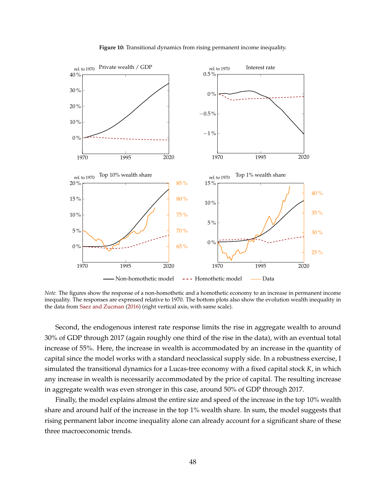<span id="page-47-0"></span>

**Figure 10:** Transitional dynamics from rising permanent income inequality.

*Note.* The figures show the response of a non-homothetic and a homothetic economy to an increase in permanent income inequality. The responses are expressed relative to 1970. The bottom plots also show the evolution wealth inequality in the data from [Saez and Zucman](#page-55-2) [\(2016\)](#page-55-2) (right vertical axis, with same scale).

<span id="page-47-1"></span>Second, the endogenous interest rate response limits the rise in aggregate wealth to around 30% of GDP through 2017 (again roughly one third of the rise in the data), with an eventual total increase of 55%. Here, the increase in wealth is accommodated by an increase in the quantity of capital since the model works with a standard neoclassical supply side. In a robustness exercise, I simulated the transitional dynamics for a Lucas-tree economy with a fixed capital stock *K*, in which any increase in wealth is necessarily accommodated by the price of capital. The resulting increase in aggregate wealth was even stronger in this case, around 50% of GDP through 2017.

Finally, the model explains almost the entire size and speed of the increase in the top 10% wealth share and around half of the increase in the top 1% wealth share. In sum, the model suggests that rising permanent labor income inequality alone can already account for a significant share of these three macroeconomic trends.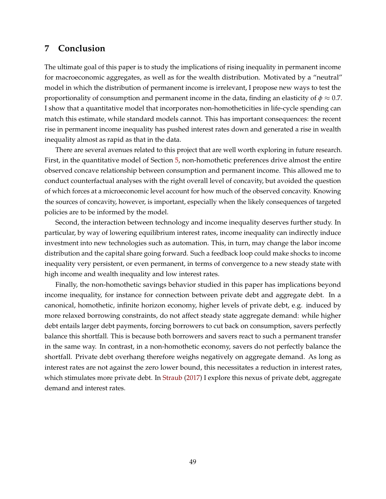# **7 Conclusion**

The ultimate goal of this paper is to study the implications of rising inequality in permanent income for macroeconomic aggregates, as well as for the wealth distribution. Motivated by a "neutral" model in which the distribution of permanent income is irrelevant, I propose new ways to test the proportionality of consumption and permanent income in the data, finding an elasticity of  $\phi \approx 0.7$ . I show that a quantitative model that incorporates non-homotheticities in life-cycle spending can match this estimate, while standard models cannot. This has important consequences: the recent rise in permanent income inequality has pushed interest rates down and generated a rise in wealth inequality almost as rapid as that in the data.

There are several avenues related to this project that are well worth exploring in future research. First, in the quantitative model of Section [5,](#page-31-0) non-homothetic preferences drive almost the entire observed concave relationship between consumption and permanent income. This allowed me to conduct counterfactual analyses with the right overall level of concavity, but avoided the question of which forces at a microeconomic level account for how much of the observed concavity. Knowing the sources of concavity, however, is important, especially when the likely consequences of targeted policies are to be informed by the model.

Second, the interaction between technology and income inequality deserves further study. In particular, by way of lowering equilibrium interest rates, income inequality can indirectly induce investment into new technologies such as automation. This, in turn, may change the labor income distribution and the capital share going forward. Such a feedback loop could make shocks to income inequality very persistent, or even permanent, in terms of convergence to a new steady state with high income and wealth inequality and low interest rates.

Finally, the non-homothetic savings behavior studied in this paper has implications beyond income inequality, for instance for connection between private debt and aggregate debt. In a canonical, homothetic, infinite horizon economy, higher levels of private debt, e.g. induced by more relaxed borrowing constraints, do not affect steady state aggregate demand: while higher debt entails larger debt payments, forcing borrowers to cut back on consumption, savers perfectly balance this shortfall. This is because both borrowers and savers react to such a permanent transfer in the same way. In contrast, in a non-homothetic economy, savers do not perfectly balance the shortfall. Private debt overhang therefore weighs negatively on aggregate demand. As long as interest rates are not against the zero lower bound, this necessitates a reduction in interest rates, which stimulates more private debt. In [Straub](#page-56-1) [\(2017\)](#page-56-1) I explore this nexus of private debt, aggregate demand and interest rates.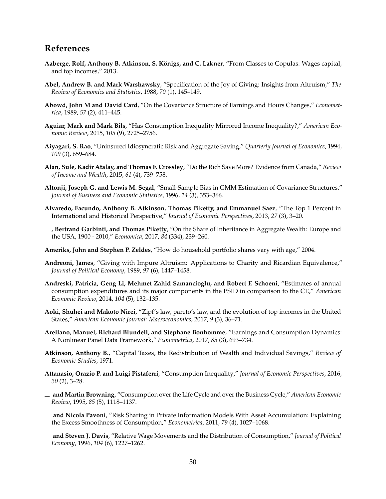# **References**

- **Aaberge, Rolf, Anthony B. Atkinson, S. K ¨onigs, and C. Lakner**, "From Classes to Copulas: Wages capital, and top incomes," 2013.
- **Abel, Andrew B. and Mark Warshawsky**, "Specification of the Joy of Giving: Insights from Altruism," *The Review of Economics and Statistics*, 1988, *70* (1), 145–149.
- **Abowd, John M and David Card**, "On the Covariance Structure of Earnings and Hours Changes," *Econometrica*, 1989, *57* (2), 411–445.
- <span id="page-49-2"></span>**Aguiar, Mark and Mark Bils**, "Has Consumption Inequality Mirrored Income Inequality?," *American Economic Review*, 2015, *105* (9), 2725–2756.
- **Aiyagari, S. Rao**, "Uninsured Idiosyncratic Risk and Aggregate Saving," *Quarterly Journal of Economics*, 1994, *109* (3), 659–684.
- **Alan, Sule, Kadir Atalay, and Thomas F. Crossley**, "Do the Rich Save More? Evidence from Canada," *Review of Income and Wealth*, 2015, *61* (4), 739–758.
- <span id="page-49-3"></span>**Altonji, Joseph G. and Lewis M. Segal**, "Small-Sample Bias in GMM Estimation of Covariance Structures," *Journal of Business and Economic Statistics*, 1996, *14* (3), 353–366.
- **Alvaredo, Facundo, Anthony B. Atkinson, Thomas Piketty, and Emmanuel Saez**, "The Top 1 Percent in International and Historical Perspective," *Journal of Economic Perspectives*, 2013, *27* (3), 3–20.
- <span id="page-49-0"></span>**, Bertrand Garbinti, and Thomas Piketty**, "On the Share of Inheritance in Aggregate Wealth: Europe and the USA, 1900 - 2010," *Economica*, 2017, *84* (334), 239–260.
- **Ameriks, John and Stephen P. Zeldes**, "How do household portfolio shares vary with age," 2004.
- **Andreoni, James**, "Giving with Impure Altruism: Applications to Charity and Ricardian Equivalence," *Journal of Political Economy*, 1989, *97* (6), 1447–1458.
- **Andreski, Patricia, Geng Li, Mehmet Zahid Samancioglu, and Robert F. Schoeni**, "Estimates of annual consumption expenditures and its major components in the PSID in comparison to the CE," *American Economic Review*, 2014, *104* (5), 132–135.
- **Aoki, Shuhei and Makoto Nirei**, "Zipf's law, pareto's law, and the evolution of top incomes in the United States," *American Economic Journal: Macroeconomics*, 2017, *9* (3), 36–71.
- **Arellano, Manuel, Richard Blundell, and Stephane Bonhomme**, "Earnings and Consumption Dynamics: A Nonlinear Panel Data Framework," *Econometrica*, 2017, *85* (3), 693–734.
- **Atkinson, Anthony B.**, "Capital Taxes, the Redistribution of Wealth and Individual Savings," *Review of Economic Studies*, 1971.
- **Attanasio, Orazio P. and Luigi Pistaferri**, "Consumption Inequality," *Journal of Economic Perspectives*, 2016, *30* (2), 3–28.
- **and Martin Browning**, "Consumption over the Life Cycle and over the Business Cycle," *American Economic Review*, 1995, *85* (5), 1118–1137.
- **and Nicola Pavoni**, "Risk Sharing in Private Information Models With Asset Accumulation: Explaining the Excess Smoothness of Consumption," *Econometrica*, 2011, *79* (4), 1027–1068.
- <span id="page-49-1"></span>**and Steven J. Davis**, "Relative Wage Movements and the Distribution of Consumption," *Journal of Political Economy*, 1996, *104* (6), 1227–1262.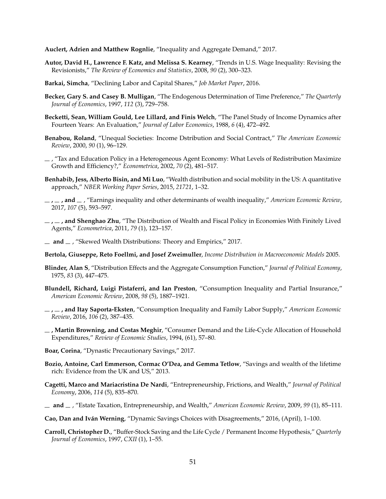**Auclert, Adrien and Matthew Rognlie**, "Inequality and Aggregate Demand," 2017.

- **Autor, David H., Lawrence F. Katz, and Melissa S. Kearney**, "Trends in U.S. Wage Inequality: Revising the Revisionists," *The Review of Economics and Statistics*, 2008, *90* (2), 300–323.
- **Barkai, Simcha**, "Declining Labor and Capital Shares," *Job Market Paper*, 2016.
- **Becker, Gary S. and Casey B. Mulligan**, "The Endogenous Determination of Time Preference," *The Quarterly Journal of Economics*, 1997, *112* (3), 729–758.
- **Becketti, Sean, William Gould, Lee Lillard, and Finis Welch**, "The Panel Study of Income Dynamics after Fourteen Years: An Evaluation," *Journal of Labor Economics*, 1988, *6* (4), 472–492.
- <span id="page-50-4"></span>**Benabou, Roland**, "Unequal Societies: Income Dstribution and Social Contract," *The American Economic Review*, 2000, *90* (1), 96–129.
- $\mu$ , "Tax and Education Policy in a Heterogeneous Agent Economy: What Levels of Redistribution Maximize Growth and Efficiency?," *Econometrica*, 2002, *70* (2), 481–517.
- <span id="page-50-1"></span>**Benhabib, Jess, Alberto Bisin, and Mi Luo**, "Wealth distribution and social mobility in the US: A quantitative approach," *NBER Working Paper Series*, 2015, *21721*, 1–32.
- <span id="page-50-2"></span>**, , and** , "Earnings inequality and other determinants of wealth inequality," *American Economic Review*, 2017, *107* (5), 593–597.
- **, , and Shenghao Zhu**, "The Distribution of Wealth and Fiscal Policy in Economies With Finitely Lived Agents," *Econometrica*, 2011, *79* (1), 123–157.
- $\mu$  and  $\mu$ , "Skewed Wealth Distributions: Theory and Empirics," 2017.
- **Bertola, Giuseppe, Reto Foellmi, and Josef Zweimuller**, *Income Distribution in Macroeconomic Models* 2005.
- **Blinder, Alan S**, "Distribution Effects and the Aggregate Consumption Function," *Journal of Political Economy*, 1975, *83* (3), 447–475.
- <span id="page-50-3"></span>**Blundell, Richard, Luigi Pistaferri, and Ian Preston**, "Consumption Inequality and Partial Insurance," *American Economic Review*, 2008, *98* (5), 1887–1921.
- **, , and Itay Saporta-Eksten**, "Consumption Inequality and Family Labor Supply," *American Economic Review*, 2016, *106* (2), 387–435.
- **, Martin Browning, and Costas Meghir**, "Consumer Demand and the Life-Cycle Allocation of Household Expenditures," *Review of Economic Studies*, 1994, (61), 57–80.
- **Boar, Corina**, "Dynastic Precautionary Savings," 2017.
- **Bozio, Antoine, Carl Emmerson, Cormac O'Dea, and Gemma Tetlow**, "Savings and wealth of the lifetime rich: Evidence from the UK and US," 2013.
- <span id="page-50-0"></span>**Cagetti, Marco and Mariacristina De Nardi**, "Entrepreneurship, Frictions, and Wealth," *Journal of Political Economy*, 2006, *114* (5), 835–870.
- **and** , "Estate Taxation, Entrepreneurship, and Wealth," *American Economic Review*, 2009, *99* (1), 85–111.
- **Cao, Dan and Iv´an Werning**, "Dynamic Savings Choices with Disagreements," 2016, (April), 1–100.
- **Carroll, Christopher D.**, "Buffer-Stock Saving and the Life Cycle / Permanent Income Hypothesis," *Quarterly Journal of Economics*, 1997, *CXII* (1), 1–55.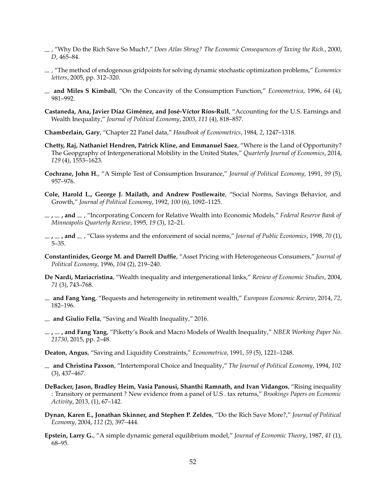- , "Why Do the Rich Save So Much?," *Does Atlas Shrug? The Economic Consequences of Taxing the Rich.*, 2000, *D*, 465–84.
- , "The method of endogenous gridpoints for solving dynamic stochastic optimization problems," *Economics letters*, 2005, pp. 312–320.
- **and Miles S Kimball**, "On the Concavity of the Consumption Function," *Econometrica*, 1996, *64* (4), 981–992.
- <span id="page-51-2"></span>Castaneda, Ana, Javier Díaz Giménez, and José-Víctor Ríos-Rull, "Accounting for the U.S. Earnings and Wealth Inequality," *Journal of Political Economy*, 2003, *111* (4), 818–857.
- <span id="page-51-3"></span>**Chamberlain, Gary**, "Chapter 22 Panel data," *Handbook of Econometrics*, 1984, *2*, 1247–1318.
- <span id="page-51-0"></span>**Chetty, Raj, Nathaniel Hendren, Patrick Kline, and Emmanuel Saez**, "Where is the Land of Opportunity? The Geopgraphy of Intergenerational Mobility in the United States," *Quarterly Journal of Economics*, 2014, *129* (4), 1553–1623.
- **Cochrane, John H.**, "A Simple Test of Consumption Insurance," *Journal of Political Economy*, 1991, *99* (5), 957–976.
- **Cole, Harold L., George J. Mailath, and Andrew Postlewaite**, "Social Norms, Savings Behavior, and Growth," *Journal of Political Economy*, 1992, *100* (6), 1092–1125.
- **, , and** , "Incorporating Concern for Relative Wealth into Economic Models," *Federal Reserve Bank of Minneapolis Quarterly Review*, 1995, *19* (3), 12–21.
- **, , and** , "Class systems and the enforcement of social norms," *Journal of Public Economics*, 1998, *70* (1), 5–35.
- **Constantinides, George M. and Darrell Duffie**, "Asset Pricing with Heterogeneous Consumers," *Journal of Political Economy*, 1996, *104* (2), 219–240.
- <span id="page-51-1"></span>**De Nardi, Mariacristina**, "Wealth inequality and intergenerational links," *Review of Economic Studies*, 2004, *71* (3), 743–768.
- **and Fang Yang**, "Bequests and heterogeneity in retirement wealth," *European Economic Review*, 2014, *72*, 182–196.
- **and Giulio Fella**, "Saving and Wealth Inequality," 2016.
- **, , and Fang Yang**, "Piketty's Book and Macro Models of Wealth Inequality," *NBER Working Paper No. 21730*, 2015, pp. 2–48.

**Deaton, Angus**, "Saving and Liquidity Constraints," *Econometrica*, 1991, *59* (5), 1221–1248.

- **and Christina Paxson**, "Intertemporal Choice and Inequality," *The Journal of Political Economy*, 1994, *102* (3), 437–467.
- **DeBacker, Jason, Bradley Heim, Vasia Panousi, Shanthi Ramnath, and Ivan Vidangos**, "Rising inequality : Transitory or permanent ? New evidence from a panel of U.S . tax returns," *Brookings Papers on Economic Activity*, 2013, (1), 67–142.
- **Dynan, Karen E., Jonathan Skinner, and Stephen P. Zeldes**, "Do the Rich Save More?," *Journal of Political Economy*, 2004, *112* (2), 397–444.
- **Epstein, Larry G.**, "A simple dynamic general equilibrium model," *Journal of Economic Theory*, 1987, *41* (1), 68–95.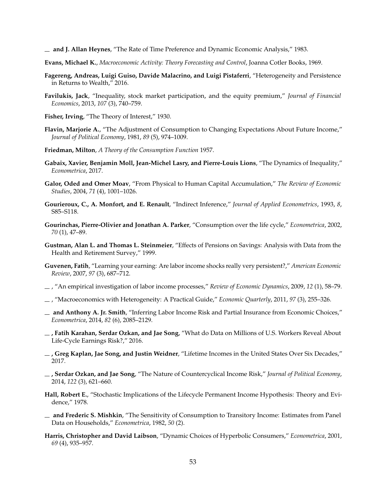**and J. Allan Heynes**, "The Rate of Time Preference and Dynamic Economic Analysis," 1983.

- **Evans, Michael K.**, *Macroeconomic Activity: Theory Forecasting and Control*, Joanna Cotler Books, 1969.
- **Fagereng, Andreas, Luigi Guiso, Davide Malacrino, and Luigi Pistaferri**, "Heterogeneity and Persistence in Returns to Wealth," 2016.
- **Favilukis, Jack**, "Inequality, stock market participation, and the equity premium," *Journal of Financial Economics*, 2013, *107* (3), 740–759.
- **Fisher, Irving**, "The Theory of Interest," 1930.
- **Flavin, Marjorie A.**, "The Adjustment of Consumption to Changing Expectations About Future Income," *Journal of Political Economy*, 1981, *89* (5), 974–1009.
- **Friedman, Milton**, *A Theory of the Consumption Function* 1957.
- **Gabaix, Xavier, Benjamin Moll, Jean-Michel Lasry, and Pierre-Louis Lions**, "The Dynamics of Inequality," *Econometrica*, 2017.
- **Galor, Oded and Omer Moav**, "From Physical to Human Capital Accumulation," *The Review of Economic Studies*, 2004, *71* (4), 1001–1026.
- **Gourieroux, C., A. Monfort, and E. Renault**, "Indirect Inference," *Journal of Applied Econometrics*, 1993, *8*, S85–S118.
- **Gourinchas, Pierre-Olivier and Jonathan A. Parker**, "Consumption over the life cycle," *Econometrica*, 2002, *70* (1), 47–89.
- <span id="page-52-3"></span>**Gustman, Alan L. and Thomas L. Steinmeier**, "Effects of Pensions on Savings: Analysis with Data from the Health and Retirement Survey," 1999.
- <span id="page-52-1"></span>**Guvenen, Fatih**, "Learning your earning: Are labor income shocks really very persistent?," *American Economic Review*, 2007, *97* (3), 687–712.
- , "An empirical investigation of labor income processes," *Review of Economic Dynamics*, 2009, *12* (1), 58–79.
- , "Macroeconomics with Heterogeneity: A Practical Guide," *Economic Quarterly*, 2011, *97* (3), 255–326.
- <span id="page-52-2"></span>**and Anthony A. Jr. Smith**, "Inferring Labor Income Risk and Partial Insurance from Economic Choices," *Econometrica*, 2014, *82* (6), 2085–2129.
- <span id="page-52-0"></span>**, Fatih Karahan, Serdar Ozkan, and Jae Song**, "What do Data on Millions of U.S. Workers Reveal About Life-Cycle Earnings Risk?," 2016.
- <span id="page-52-5"></span>**, Greg Kaplan, Jae Song, and Justin Weidner**, "Lifetime Incomes in the United States Over Six Decades," 2017.
- <span id="page-52-4"></span>**, Serdar Ozkan, and Jae Song**, "The Nature of Countercyclical Income Risk," *Journal of Political Economy*, 2014, *122* (3), 621–660.
- **Hall, Robert E.**, "Stochastic Implications of the Lifecycle Permanent Income Hypothesis: Theory and Evidence," 1978.
- **and Frederic S. Mishkin**, "The Sensitivity of Consumption to Transitory Income: Estimates from Panel Data on Households," *Econometrica*, 1982, *50* (2).
- **Harris, Christopher and David Laibson**, "Dynamic Choices of Hyperbolic Consumers," *Econometrica*, 2001, *69* (4), 935–957.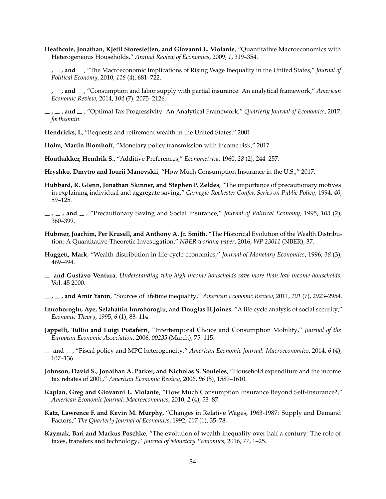- **Heathcote, Jonathan, Kjetil Storesletten, and Giovanni L. Violante**, "Quantitative Macroeconomics with Heterogeneous Households," *Annual Review of Economics*, 2009, *1*, 319–354.
- <span id="page-53-0"></span>**, , and** , "The Macroeconomic Implications of Rising Wage Inequality in the United States," *Journal of Political Economy*, 2010, *118* (4), 681–722.
- **, , and** , "Consumption and labor supply with partial insurance: An analytical framework," *American Economic Review*, 2014, *104* (7), 2075–2126.
- <span id="page-53-7"></span>**, , and** , "Optimal Tax Progressivity: An Analytical Framework," *Quarterly Journal of Economics*, 2017, *forthcomin.*
- <span id="page-53-1"></span>**Hendricks, L**, "Bequests and retirement wealth in the United States," 2001.
- **Holm, Martin Blomhoff**, "Monetary policy transmission with income risk," 2017.
- **Houthakker, Hendrik S.**, "Additive Preferences," *Econometrica*, 1960, *28* (2), 244–257.
- <span id="page-53-6"></span>**Hryshko, Dmytro and Iourii Manovskii**, "How Much Consumption Insurance in the U.S.," 2017.
- **Hubbard, R. Glenn, Jonathan Skinner, and Stephen P. Zeldes**, "The importance of precautionary motives in explaining individual and aggregate saving," *Carnegie-Rochester Confer. Series on Public Policy*, 1994, *40*, 59–125.
- **, , and** , "Precautionary Saving and Social Insurance," *Journal of Political Economy*, 1995, *103* (2), 360–399.
- <span id="page-53-2"></span>**Hubmer, Joachim, Per Krusell, and Anthony A. Jr. Smith**, "The Historical Evolution of the Wealth Distribution: A Quantitative-Theoretic Investigation," *NBER working paper*, 2016, *WP 23011* (NBER), 37.
- **Huggett, Mark**, "Wealth distribution in life-cycle economies," *Journal of Monetary Economics*, 1996, *38* (3), 469–494.
- **and Gustavo Ventura**, *Understanding why high income households save more than low income households*, Vol. 45 2000.
- **, , and Amir Yaron**, "Sources of lifetime inequality," *American Economic Review*, 2011, *101* (7), 2923–2954.
- **Imrohoroglu, Aye, Selahattin Imrohoroglu, and Douglas H Joines**, "A life cycle analysis of social security," *Economic Theory*, 1995, *6* (1), 83–114.
- <span id="page-53-4"></span>**Jappelli, Tullio and Luigi Pistaferri**, "Intertemporal Choice and Consumption Mobility," *Journal of the European Economic Association*, 2006, *00235* (March), 75–115.
- <span id="page-53-5"></span>**and** , "Fiscal policy and MPC heterogeneity," *American Economic Journal: Macroeconomics*, 2014, *6* (4), 107–136.
- **Johnson, David S., Jonathan A. Parker, and Nicholas S. Souleles**, "Household expenditure and the income tax rebates of 2001," *American Economic Review*, 2006, *96* (5), 1589–1610.
- <span id="page-53-3"></span>**Kaplan, Greg and Giovanni L. Violante**, "How Much Consumption Insurance Beyond Self-Insurance?," *American Economic Journal: Macroeconomics*, 2010, *2* (4), 53–87.
- **Katz, Lawrence F. and Kevin M. Murphy**, "Changes in Relative Wages, 1963-1987: Supply and Demand Factors," *The Quarterly Journal of Economics*, 1992, *107* (1), 35–78.
- **Kaymak, Bari and Markus Poschke**, "The evolution of wealth inequality over half a century: The role of taxes, transfers and technology," *Journal of Monetary Economics*, 2016, *77*, 1–25.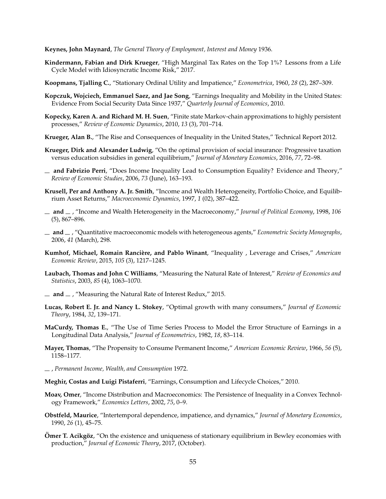**Keynes, John Maynard**, *The General Theory of Employment, Interest and Money* 1936.

- <span id="page-54-1"></span>**Kindermann, Fabian and Dirk Krueger**, "High Marginal Tax Rates on the Top 1%? Lessons from a Life Cycle Model with Idiosyncratic Income Risk," 2017.
- **Koopmans, Tjalling C.**, "Stationary Ordinal Utility and Impatience," *Econometrica*, 1960, *28* (2), 287–309.
- <span id="page-54-4"></span>**Kopczuk, Wojciech, Emmanuel Saez, and Jae Song**, "Earnings Inequality and Mobility in the United States: Evidence From Social Security Data Since 1937," *Quarterly Journal of Economics*, 2010.
- **Kopecky, Karen A. and Richard M. H. Suen**, "Finite state Markov-chain approximations to highly persistent processes," *Review of Economic Dynamics*, 2010, *13* (3), 701–714.
- **Krueger, Alan B.**, "The Rise and Consequences of Inequality in the United States," Technical Report 2012.
- **Krueger, Dirk and Alexander Ludwig**, "On the optimal provision of social insurance: Progressive taxation versus education subsidies in general equilibrium," *Journal of Monetary Economics*, 2016, *77*, 72–98.
- **and Fabrizio Perri**, "Does Income Inequality Lead to Consumption Equality? Evidence and Theory," *Review of Economic Studies*, 2006, *73* (June), 163–193.
- <span id="page-54-0"></span>**Krusell, Per and Anthony A. Jr. Smith**, "Income and Wealth Heterogeneity, Portfolio Choice, and Equilibrium Asset Returns," *Macroeconomic Dynamics*, 1997, *1* (02), 387–422.
- **and** , "Income and Wealth Heterogeneity in the Macroeconomy," *Journal of Political Economy*, 1998, *106* (5), 867–896.
- **and** , "Quantitative macroeconomic models with heterogeneous agents," *Econometric Society Monographs*, 2006, *41* (March), 298.
- Kumhof, Michael, Romain Rancière, and Pablo Winant, "Inequality, Leverage and Crises," American *Economic Review*, 2015, *105* (3), 1217–1245.
- <span id="page-54-2"></span>**Laubach, Thomas and John C Williams**, "Measuring the Natural Rate of Interest," *Review of Economics and Statistics*, 2003, *85* (4), 1063–1070.
- <span id="page-54-3"></span> $\mu$  and  $\mu$ , "Measuring the Natural Rate of Interest Redux," 2015.
- **Lucas, Robert E. Jr. and Nancy L. Stokey**, "Optimal growth with many consumers," *Journal of Economic Theory*, 1984, *32*, 139–171.
- **MaCurdy, Thomas E.**, "The Use of Time Series Process to Model the Error Structure of Earnings in a Longitudinal Data Analysis," *Journal of Econometrics*, 1982, *18*, 83–114.
- **Mayer, Thomas**, "The Propensity to Consume Permanent Income," *American Economic Review*, 1966, *56* (5), 1158–1177.
- , *Permanent Income, Wealth, and Consumption* 1972.
- <span id="page-54-5"></span>**Meghir, Costas and Luigi Pistaferri**, "Earnings, Consumption and Lifecycle Choices," 2010.
- **Moav, Omer**, "Income Distribution and Macroeconomics: The Persistence of Inequality in a Convex Technology Framework," *Economics Letters*, 2002, *75*, 0–9.
- **Obstfeld, Maurice**, "Intertemporal dependence, impatience, and dynamics," *Journal of Monetary Economics*, 1990, *26* (1), 45–75.
- **Ömer T. Acikgöz, "On the existence and uniqueness of stationary equilibrium in Bewley economies with** production," *Journal of Economic Theory*, 2017, (October).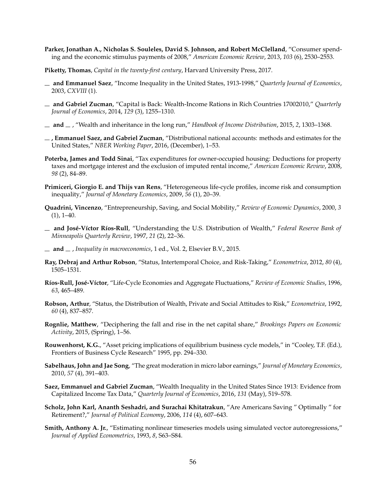- **Parker, Jonathan A., Nicholas S. Souleles, David S. Johnson, and Robert McClelland**, "Consumer spending and the economic stimulus payments of 2008," *American Economic Review*, 2013, *103* (6), 2530–2553.
- **Piketty, Thomas**, *Capital in the twenty-first century*, Harvard University Press, 2017.
- <span id="page-55-0"></span>**and Emmanuel Saez**, "Income Inequality in the United States, 1913-1998," *Quarterly Journal of Economics*, 2003, *CXVIII* (1).
- <span id="page-55-1"></span>**and Gabriel Zucman**, "Capital is Back: Wealth-Income Rations in Rich Countries 17002010," *Quarterly Journal of Economics*, 2014, *129* (3), 1255–1310.
- <span id="page-55-5"></span>**and** , "Wealth and inheritance in the long run," *Handbook of Income Distribution*, 2015, *2*, 1303–1368.
- **, Emmanuel Saez, and Gabriel Zucman**, "Distributional national accounts: methods and estimates for the United States," *NBER Working Paper*, 2016, (December), 1–53.
- **Poterba, James and Todd Sinai**, "Tax expenditures for owner-occupied housing: Deductions for property taxes and mortgage interest and the exclusion of imputed rental income," *American Economic Review*, 2008, *98* (2), 84–89.
- **Primiceri, Giorgio E. and Thijs van Rens**, "Heterogeneous life-cycle profiles, income risk and consumption inequality," *Journal of Monetary Economics*, 2009, *56* (1), 20–39.
- <span id="page-55-3"></span>**Quadrini, Vincenzo**, "Entrepreneurship, Saving, and Social Mobility," *Review of Economic Dynamics*, 2000, *3*  $(1), 1-40.$
- $-$  and José-Víctor Ríos-Rull, "Understanding the U.S. Distribution of Wealth," *Federal Reserve Bank of Minneapolis Quarterly Review*, 1997, *21* (2), 22–36.
- $\equiv$  **and**  $\equiv$  , *Inequality in macroeconomics*, 1 ed., Vol. 2, Elsevier B.V., 2015.
- **Ray, Debraj and Arthur Robson**, "Status, Intertemporal Choice, and Risk-Taking," *Econometrica*, 2012, *80* (4), 1505–1531.
- **R´ıos-Rull, Jos´e-V´ıctor**, "Life-Cycle Economies and Aggregate Fluctuations," *Review of Economic Studies*, 1996, *63*, 465–489.
- **Robson, Arthur**, "Status, the Distribution of Wealth, Private and Social Attitudes to Risk," *Econometrica*, 1992, *60* (4), 837–857.
- **Rognlie, Matthew**, "Deciphering the fall and rise in the net capital share," *Brookings Papers on Economic Activity*, 2015, (Spring), 1–56.
- **Rouwenhorst, K.G.**, "Asset pricing implications of equilibrium business cycle models," in "Cooley, T.F. (Ed.), Frontiers of Business Cycle Research" 1995, pp. 294–330.
- <span id="page-55-4"></span>**Sabelhaus, John and Jae Song**, "The great moderation in micro labor earnings," *Journal of Monetary Economics*, 2010, *57* (4), 391–403.
- <span id="page-55-2"></span>**Saez, Emmanuel and Gabriel Zucman**, "Wealth Inequality in the United States Since 1913: Evidence from Capitalized Income Tax Data," *Quarterly Journal of Economics*, 2016, *131* (May), 519–578.
- **Scholz, John Karl, Ananth Seshadri, and Surachai Khitatrakun**, "Are Americans Saving " Optimally " for Retirement?," *Journal of Political Economy*, 2006, *114* (4), 607–643.
- **Smith, Anthony A. Jr.**, "Estimating nonlinear timeseries models using simulated vector autoregressions," *Journal of Applied Econometrics*, 1993, *8*, S63–S84.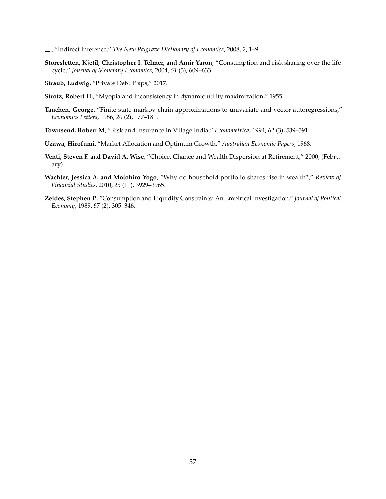, "Indirect Inference," *The New Palgrave Dictionary of Economics*, 2008, *2*, 1–9.

**Storesletten, Kjetil, Christopher I. Telmer, and Amir Yaron**, "Consumption and risk sharing over the life cycle," *Journal of Monetary Economics*, 2004, *51* (3), 609–633.

<span id="page-56-1"></span>**Straub, Ludwig**, "Private Debt Traps," 2017.

- **Strotz, Robert H.**, "Myopia and inconsistency in dynamic utility maximization," 1955.
- **Tauchen, George**, "Finite state markov-chain approximations to univariate and vector autoregressions," *Economics Letters*, 1986, *20* (2), 177–181.
- **Townsend, Robert M**, "Risk and Insurance in Village India," *Econometrica*, 1994, *62* (3), 539–591.
- **Uzawa, Hirofumi**, "Market Allocation and Optimum Growth," *Australian Economic Papers*, 1968.
- <span id="page-56-0"></span>**Venti, Steven F. and David A. Wise**, "Choice, Chance and Wealth Dispersion at Retirement," 2000, (February).
- **Wachter, Jessica A. and Motohiro Yogo**, "Why do household portfolio shares rise in wealth?," *Review of Financial Studies*, 2010, *23* (11), 3929–3965.
- **Zeldes, Stephen P.**, "Consumption and Liquidity Constraints: An Empirical Investigation," *Journal of Political Economy*, 1989, *97* (2), 305–346.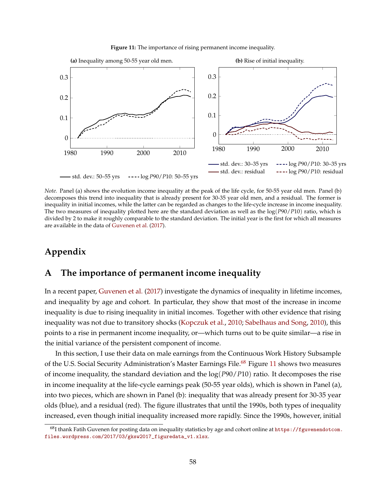<span id="page-57-1"></span>

<span id="page-57-3"></span>

<span id="page-57-0"></span>*Note.* Panel (a) shows the evolution income inequality at the peak of the life cycle, for 50-55 year old men. Panel (b) decomposes this trend into inequality that is already present for 30-35 year old men, and a residual. The former is inequality in initial incomes, while the latter can be regarded as changes to the life-cycle increase in income inequality. The two measures of inequality plotted here are the standard deviation as well as the log(*P*90/*P*10) ratio, which is divided by 2 to make it roughly comparable to the standard deviation. The initial year is the first for which all measures are available in the data of [Guvenen et al.](#page-52-5) [\(2017\)](#page-52-5).

# **Appendix**

# **A The importance of permanent income inequality**

In a recent paper, [Guvenen et al.](#page-52-5) [\(2017\)](#page-52-5) investigate the dynamics of inequality in lifetime incomes, and inequality by age and cohort. In particular, they show that most of the increase in income inequality is due to rising inequality in initial incomes. Together with other evidence that rising inequality was not due to transitory shocks [\(Kopczuk et al.,](#page-54-4) [2010;](#page-54-4) [Sabelhaus and Song,](#page-55-4) [2010\)](#page-55-4), this points to a rise in permanent income inequality, or—which turns out to be quite similar—a rise in the initial variance of the persistent component of income.

In this section, I use their data on male earnings from the Continuous Work History Subsample of the U.S. Social Security Administration's Master Earnings File.<sup>[68](#page-57-2)</sup> Figure [11](#page-57-3) shows two measures of income inequality, the standard deviation and the log(*P*90/*P*10) ratio. It decomposes the rise in income inequality at the life-cycle earnings peak (50-55 year olds), which is shown in Panel (a), into two pieces, which are shown in Panel (b): inequality that was already present for 30-35 year olds (blue), and a residual (red). The figure illustrates that until the 1990s, both types of inequality increased, even though initial inequality increased more rapidly. Since the 1990s, however, initial

<span id="page-57-2"></span><sup>&</sup>lt;sup>68</sup>I thank Fatih Guvenen for posting data on inequality statistics by age and cohort online at [https://fguvenendotcom.](https://fguvenendotcom.files.wordpress.com/2017/03/gksw2017_figuredata_v1.xlsx) [files.wordpress.com/2017/03/gksw2017\\_figuredata\\_v1.xlsx](https://fguvenendotcom.files.wordpress.com/2017/03/gksw2017_figuredata_v1.xlsx).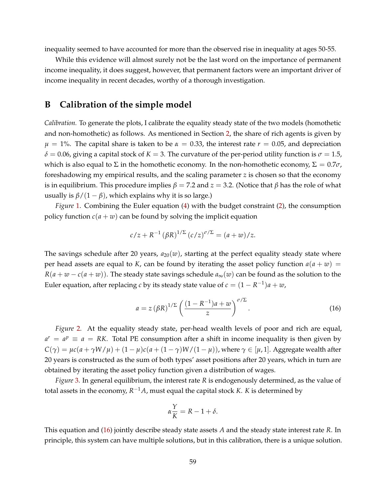inequality seemed to have accounted for more than the observed rise in inequality at ages 50-55.

While this evidence will almost surely not be the last word on the importance of permanent income inequality, it does suggest, however, that permanent factors were an important driver of income inequality in recent decades, worthy of a thorough investigation.

# **B Calibration of the simple model**

*Calibration.* To generate the plots, I calibrate the equality steady state of the two models (homothetic and non-homothetic) as follows. As mentioned in Section [2,](#page-7-1) the share of rich agents is given by *µ* = 1%. The capital share is taken to be *α* = 0.33, the interest rate *r* = 0.05, and depreciation  $\delta$  = 0.06, giving a capital stock of *K* = 3. The curvature of the per-period utility function is  $\sigma$  = 1.5, which is also equal to  $\Sigma$  in the homothetic economy. In the non-homothetic economy,  $\Sigma = 0.7\sigma$ , foreshadowing my empirical results, and the scaling parameter *z* is chosen so that the economy is in equilibrium. This procedure implies  $\beta = 7.2$  and  $z = 3.2$ . (Notice that  $\beta$  has the role of what usually is  $\beta/(1-\beta)$ , which explains why it is so large.)

*Figure* [1.](#page-8-0) Combining the Euler equation [\(4\)](#page-8-1) with the budget constraint [\(2\)](#page-7-2), the consumption policy function  $c(a + w)$  can be found by solving the implicit equation

$$
c/z + R^{-1} (\beta R)^{1/\Sigma} (c/z)^{\sigma/\Sigma} = (a+w)/z.
$$

The savings schedule after 20 years,  $a_{20}(w)$ , starting at the perfect equality steady state where per head assets are equal to *K*, can be found by iterating the asset policy function  $a(a + w)$  =  $R(a + w - c(a + w))$ . The steady state savings schedule  $a_{\infty}(w)$  can be found as the solution to the Euler equation, after replacing *c* by its steady state value of  $c = (1 - R^{-1})a + w$ ,

<span id="page-58-0"></span>
$$
a = z \left(\beta R\right)^{1/\Sigma} \left(\frac{(1 - R^{-1})a + w}{z}\right)^{\sigma/\Sigma}.
$$
\n(16)

*Figure* [2](#page-9-0)*.* At the equality steady state, per-head wealth levels of poor and rich are equal,  $a^r = a^p \equiv a = RK$ . Total PE consumption after a shift in income inequality is then given by  $C(\gamma) = \mu c(a + \gamma W/\mu) + (1 - \mu)c(a + (1 - \gamma)W/(1 - \mu))$ , where  $\gamma \in [\mu, 1]$ . Aggregate wealth after 20 years is constructed as the sum of both types' asset positions after 20 years, which in turn are obtained by iterating the asset policy function given a distribution of wages.

*Figure* [3.](#page-10-0) In general equilibrium, the interest rate *R* is endogenously determined, as the value of total assets in the economy,  $R^{-1}A$ , must equal the capital stock *K*. *K* is determined by

$$
\alpha \frac{Y}{K} = R - 1 + \delta.
$$

This equation and [\(16\)](#page-58-0) jointly describe steady state assets *A* and the steady state interest rate *R*. In principle, this system can have multiple solutions, but in this calibration, there is a unique solution.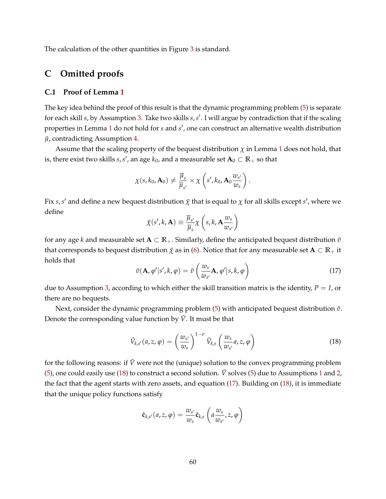The calculation of the other quantities in Figure [3](#page-10-0) is standard.

# **C Omitted proofs**

## **C.1 Proof of Lemma [1](#page-15-1)**

The key idea behind the proof of this result is that the dynamic programming problem [\(5\)](#page-13-0) is separate for each skill *s*, by Assumption [3.](#page-14-1) Take two skills *s*, *s'*. I will argue by contradiction that if the scaling properties in Lemma [1](#page-15-1) do not hold for *s* and *s'*, one can construct an alternative wealth distribution  $\tilde{\mu}$ , contradicting Assumption [4.](#page-14-2)

Assume that the scaling property of the bequest distribution  $\chi$  in Lemma [1](#page-15-1) does not hold, that is, there exist two skills  $s$ ,  $s'$ , an age  $k_0$ , and a measurable set  $\mathbf{A}_0 \subset \mathbb{R}_+$  so that

$$
\chi(s,k_0,\mathbf{A}_0)\neq \frac{\overline{\mu}_s}{\overline{\mu}_{s'}}\times \chi\left(s',k_0,\mathbf{A}_0\frac{w_{s'}}{w_s}\right).
$$

Fix  $s$ , $s'$  and define a new bequest distribution  $\tilde\chi$  that is equal to  $\chi$  for all skills except  $s'$ , where we define

$$
\tilde{\chi}(s',k,\mathbf{A}) \equiv \frac{\overline{\mu}_{s'}}{\overline{\mu}_{s}} \chi\left(s,k,\mathbf{A}\frac{w_{s}}{w_{s'}}\right)
$$

for any age *k* and measurable set **A** ⊂ **R**+. Similarly, define the anticipated bequest distribution *υ*˜ that corresponds to bequest distribution  $\tilde{\chi}$  as in [\(6\)](#page-13-1). Notice that for any measurable set  $\mathbf{A} \subset \mathbb{R}_+$  it holds that

<span id="page-59-1"></span>
$$
\tilde{v}(\mathbf{A}, \varphi' | s', k, \varphi) = \tilde{v}\left(\frac{w_s}{w_{s'}} \mathbf{A}, \varphi' | s, k, \varphi\right)
$$
\n(17)

due to Assumption [3,](#page-14-1) according to which either the skill transition matrix is the identity, *P* = *I*, or there are no bequests.

Next, consider the dynamic programming problem [\(5\)](#page-13-0) with anticipated bequest distribution  $\tilde{v}$ . Denote the corresponding value function by  $\tilde{V}$ . It must be that

<span id="page-59-0"></span>
$$
\tilde{V}_{k,s'}(a,z,\varphi) = \left(\frac{w_{s'}}{w_s}\right)^{1-\sigma} \tilde{V}_{k,s}\left(\frac{w_s}{w_{s'}}a,z,\varphi\right)
$$
\n(18)

for the following reasons: if  $\tilde{V}$  were not the (unique) solution to the convex programming problem [\(5\)](#page-13-0), one could easily use [\(18\)](#page-59-0) to construct a second solution.  $\tilde{V}$  solves (5) due to Assumptions [1](#page-14-3) and [2,](#page-14-0) the fact that the agent starts with zero assets, and equation [\(17\)](#page-59-1). Building on [\(18\)](#page-59-0), it is immediate that the unique policy functions satisfy

$$
\tilde{\mathbf{c}}_{k,s'}(a,z,\varphi)=\frac{w_{s'}}{w_{s}}\tilde{\mathbf{c}}_{k,s}\left(a\frac{w_{s}}{w_{s'}},z,\varphi\right)
$$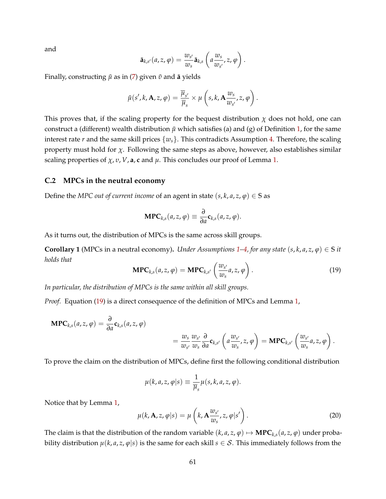and

$$
\tilde{\mathbf{a}}_{k,s'}(a,z,\varphi)=\frac{w_{s'}}{w_s}\tilde{\mathbf{a}}_{k,s}\left(a\frac{w_s}{w_{s'}},z,\varphi\right).
$$

Finally, constructing  $\tilde{\mu}$  as in [\(7\)](#page-13-2) given  $\tilde{\nu}$  and **a** yields

$$
\tilde{\mu}(s',k,\mathbf{A},z,\varphi)=\frac{\overline{\mu}_{s'}}{\overline{\mu}_s}\times\mu\left(s,k,\mathbf{A}\frac{w_s}{w_{s'}},z,\varphi\right).
$$

This proves that, if the scaling property for the bequest distribution  $\chi$  does not hold, one can construct a (different) wealth distribution  $\tilde{\mu}$  which satisfies (a) and (g) of Definition [1,](#page-13-3) for the same interest rate *r* and the same skill prices  $\{w_s\}$ . This contradicts Assumption [4.](#page-14-2) Therefore, the scaling property must hold for  $\chi$ . Following the same steps as above, however, also establishes similar scaling properties of  $\chi$ ,  $v$ ,  $V$ ,  $a$ ,  $c$  and  $\mu$ . This concludes our proof of Lemma [1.](#page-15-1)

### **C.2 MPCs in the neutral economy**

Define the *MPC out of current income* of an agent in state  $(s, k, a, z, \varphi) \in S$  as

$$
\mathbf{MPC}_{k,s}(a,z,\varphi)\equiv\frac{\partial}{\partial a}\mathbf{c}_{k,s}(a,z,\varphi).
$$

As it turns out, the distribution of MPCs is the same across skill groups.

<span id="page-60-2"></span>**Corollary [1](#page-14-3)** (MPCs in a neutral economy). *Under Assumptions* 1[–4,](#page-14-2) *for any state*  $(s, k, a, z, \varphi) \in S$  *it holds that*

<span id="page-60-0"></span>
$$
\mathbf{MPC}_{k,s}(a,z,\varphi) = \mathbf{MPC}_{k,s'}\left(\frac{w_{s'}}{w_s}a,z,\varphi\right).
$$
 (19)

*In particular, the distribution of MPCs is the same within all skill groups.*

*Proof.* Equation [\(19\)](#page-60-0) is a direct consequence of the definition of MPCs and Lemma [1,](#page-15-1)

$$
\mathbf{MPC}_{k,s}(a,z,\varphi) = \frac{\partial}{\partial a} \mathbf{c}_{k,s}(a,z,\varphi)
$$
  
=  $\frac{w_s}{w_{s'}} \frac{w_{s'}}{w_s} \frac{\partial}{\partial a} \mathbf{c}_{k,s'} \left( a \frac{w_{s'}}{w_s}, z, \varphi \right) = \mathbf{MPC}_{k,s'} \left( \frac{w_{s'}}{w_s} a, z, \varphi \right).$ 

To prove the claim on the distribution of MPCs, define first the following conditional distribution

$$
\mu(k, a, z, \varphi|s) \equiv \frac{1}{\overline{\mu}_s} \mu(s, k, a, z, \varphi).
$$

Notice that by Lemma [1,](#page-15-1)

<span id="page-60-1"></span>
$$
\mu(k, \mathbf{A}, z, \varphi | s) = \mu\left(k, \mathbf{A} \frac{w_{s'}}{w_{s}}, z, \varphi | s'\right).
$$
\n(20)

The claim is that the distribution of the random variable  $(k, a, z, \varphi) \mapsto \textbf{MPC}_{k,s}(a, z, \varphi)$  under probability distribution  $\mu(k, a, z, \varphi | s)$  is the same for each skill  $s \in S$ . This immediately follows from the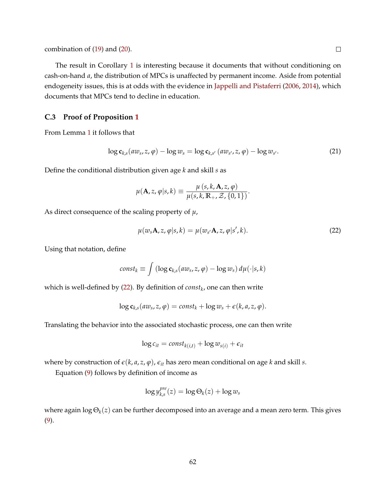combination of [\(19\)](#page-60-0) and [\(20\)](#page-60-1).

The result in Corollary [1](#page-60-2) is interesting because it documents that without conditioning on cash-on-hand *a*, the distribution of MPCs is unaffected by permanent income. Aside from potential endogeneity issues, this is at odds with the evidence in [Jappelli and Pistaferri](#page-53-4) [\(2006,](#page-53-4) [2014\)](#page-53-5), which documents that MPCs tend to decline in education.

## **C.3 Proof of Proposition [1](#page-15-2)**

From Lemma [1](#page-15-1) it follows that

<span id="page-61-1"></span>
$$
\log \mathbf{c}_{k,s}(aw_s, z, \varphi) - \log w_s = \log \mathbf{c}_{k,s'}(aw_{s'}, z, \varphi) - \log w_{s'}.
$$
 (21)

Define the conditional distribution given age *k* and skill *s* as

$$
\mu(\mathbf{A}, z, \varphi | s, k) \equiv \frac{\mu (s, k, \mathbf{A}, z, \varphi)}{\mu (s, k, \mathbb{R}_+, \mathcal{Z}, \{0, 1\})}.
$$

As direct consequence of the scaling property of *µ*,

<span id="page-61-0"></span>
$$
\mu(w_s \mathbf{A}, z, \varphi | s, k) = \mu(w_{s'} \mathbf{A}, z, \varphi | s', k).
$$
\n(22)

Using that notation, define

$$
const_k \equiv \int (\log \mathbf{c}_{k,s}(aw_s, z, \varphi) - \log w_s) d\mu(\cdot|s, k)
$$

which is well-defined by [\(22\)](#page-61-0). By definition of *const<sup>k</sup>* , one can then write

$$
\log \mathbf{c}_{k,s}(aw_s,z,\varphi)=const_k+\log w_s+\epsilon(k,a,z,\varphi).
$$

Translating the behavior into the associated stochastic process, one can then write

$$
\log c_{it} = const_{k(i,t)} + \log w_{s(i)} + \epsilon_{it}
$$

where by construction of  $\epsilon(k, a, z, \varphi)$ ,  $\epsilon_{it}$  has zero mean conditional on age *k* and skill *s*.

Equation [\(9\)](#page-15-3) follows by definition of income as

$$
\log y_{k,s}^{pre}(z) = \log \Theta_k(z) + \log w_s
$$

where again log Θ*k*(*z*) can be further decomposed into an average and a mean zero term. This gives [\(9\)](#page-15-3).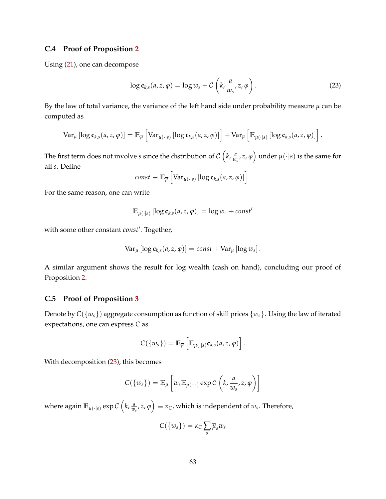### **C.4 Proof of Proposition [2](#page-16-0)**

Using [\(21\)](#page-61-1), one can decompose

<span id="page-62-0"></span>
$$
\log c_{k,s}(a,z,\varphi) = \log w_s + C\left(k, \frac{a}{w_s}, z, \varphi\right). \tag{23}
$$

By the law of total variance, the variance of the left hand side under probability measure  $\mu$  can be computed as

$$
\text{Var}_{\mu}\left[\log \mathbf{c}_{k,s}(a,z,\varphi)\right] = \mathbb{E}_{\overline{\mu}}\left[\text{Var}_{\mu(\cdot|s)}\left[\log \mathbf{c}_{k,s}(a,z,\varphi)\right]\right] + \text{Var}_{\overline{\mu}}\left[\mathbb{E}_{\mu(\cdot|s)}\left[\log \mathbf{c}_{k,s}(a,z,\varphi)\right]\right].
$$

The first term does not involve *s* since the distribution of  $\mathcal{C}\left(k,\frac{a}{w}\right)$  $\left(\frac{a}{w_s}, z, \varphi\right)$  under  $\mu(\cdot | s)$  is the same for all *s*. Define

$$
const \equiv \mathbb{E}_{\overline{\mu}} \left[ \text{Var}_{\mu(\cdot | s)} \left[ \log c_{k,s}(a, z, \varphi) \right] \right].
$$

For the same reason, one can write

$$
\mathbb{E}_{\mu(\cdot|s)}\left[\log \mathbf{c}_{k,s}(a,z,\varphi)\right] = \log w_s + const'
$$

with some other constant *const'*. Together,

$$
\text{Var}_{\mu}\left[\log \mathbf{c}_{k,s}(a,z,\varphi)\right]=const+\text{Var}_{\overline{\mu}}\left[\log w_s\right].
$$

A similar argument shows the result for log wealth (cash on hand), concluding our proof of Proposition [2.](#page-16-0)

### **C.5 Proof of Proposition [3](#page-16-1)**

Denote by  $C({w_s})$  aggregate consumption as function of skill prices  ${w_s}$ . Using the law of iterated expectations, one can express *C* as

$$
C({w_s}) = \mathbb{E}_{\overline{\mu}}\left[\mathbb{E}_{\mu(\cdot|s)}\mathbf{c}_{k,s}(a,z,\varphi)\right].
$$

With decomposition [\(23\)](#page-62-0), this becomes

$$
C({w_s}) = \mathbb{E}_{\overline{\mu}}\left[w_s \mathbb{E}_{\mu(\cdot|s)} \exp C\left(k, \frac{a}{w_s}, z, \varphi\right)\right]
$$

where again  $\mathbb{E}_{\mu(\cdot|s)}\exp\mathcal{C}\left(k,\frac{a}{w}\right)$  $\left(\frac{a}{w_s},z,\varphi\right)\equiv \kappa_C$ , which is independent of  $w_s$ . Therefore,

$$
C({w_s}) = \kappa_C \sum_s \overline{\mu}_s w_s
$$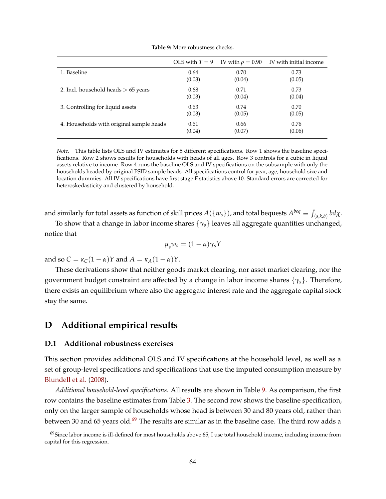<span id="page-63-0"></span>

|                                          | OLS with $T=9$ | IV with $\rho = 0.90$ | IV with initial income |
|------------------------------------------|----------------|-----------------------|------------------------|
| 1. Baseline                              | 0.64           | 0.70                  | 0.73                   |
|                                          | (0.03)         | (0.04)                | (0.05)                 |
| 2. Incl. household heads $> 65$ years    | 0.68           | 0.71                  | 0.73                   |
|                                          | (0.03)         | (0.04)                | (0.04)                 |
| 3. Controlling for liquid assets         | 0.63           | 0.74                  | 0.70                   |
|                                          | (0.03)         | (0.05)                | (0.05)                 |
| 4. Households with original sample heads | 0.61           | 0.66                  | 0.76                   |
|                                          | (0.04)         | (0.07)                | (0.06)                 |

**Table 9:** More robustness checks.

*Note.* This table lists OLS and IV estimates for 5 different specifications. Row 1 shows the baseline specifications. Row 2 shows results for households with heads of all ages. Row 3 controls for a cubic in liquid assets relative to income. Row 4 runs the baseline OLS and IV specifications on the subsample with only the households headed by original PSID sample heads. All specifications control for year, age, household size and location dummies. All IV specifications have first stage F statistics above 10. Standard errors are corrected for heteroskedasticity and clustered by household.

and similarly for total assets as function of skill prices  $A(\{w_s\})$ , and total bequests  $A^{beq}\equiv\int_{(s,k,b)}bd\chi.$ 

To show that a change in labor income shares {*γs*} leaves all aggregate quantities unchanged, notice that

$$
\overline{\mu}_s w_s = (1 - \alpha) \gamma_s Y
$$

and so  $C = \kappa_C(1 - \alpha)Y$  and  $A = \kappa_A(1 - \alpha)Y$ .

These derivations show that neither goods market clearing, nor asset market clearing, nor the government budget constraint are affected by a change in labor income shares {*γs*}. Therefore, there exists an equilibrium where also the aggregate interest rate and the aggregate capital stock stay the same.

# **D Additional empirical results**

#### **D.1 Additional robustness exercises**

This section provides additional OLS and IV specifications at the household level, as well as a set of group-level specifications and specifications that use the imputed consumption measure by [Blundell et al.](#page-50-3) [\(2008\)](#page-50-3).

*Additional household-level specifications.* All results are shown in Table [9.](#page-63-0) As comparison, the first row contains the baseline estimates from Table [3.](#page-26-0) The second row shows the baseline specification, only on the larger sample of households whose head is between 30 and 80 years old, rather than between 30 and 65 years old.<sup>[69](#page-63-1)</sup> The results are similar as in the baseline case. The third row adds a

<span id="page-63-1"></span> $^{69}$ Since labor income is ill-defined for most households above 65, I use total household income, including income from capital for this regression.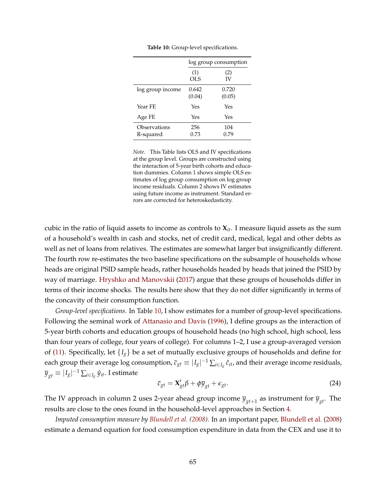<span id="page-64-0"></span>

|                           | log group consumption |                 |  |
|---------------------------|-----------------------|-----------------|--|
|                           | (1)<br><b>OLS</b>     | (2)<br>IV       |  |
| log group income          | 0.642<br>(0.04)       | 0.720<br>(0.05) |  |
| Year FE                   | Yes                   | Yes             |  |
| Age FE                    | Yes                   | Yes             |  |
| Observations<br>R-squared | 256<br>0.73           | 104<br>0.79     |  |

**Table 10:** Group-level specifications.

*Note.* This Table lists OLS and IV specifications at the group level. Groups are constructed using the interaction of 5-year birth cohorts and education dummies. Column 1 shows simple OLS estimates of log group consumption on log group income residuals. Column 2 shows IV estimates using future income as instrument. Standard errors are corrected for heteroskedasticity.

cubic in the ratio of liquid assets to income as controls to **X***it*. I measure liquid assets as the sum of a household's wealth in cash and stocks, net of credit card, medical, legal and other debts as well as net of loans from relatives. The estimates are somewhat larger but insignificantly different. The fourth row re-estimates the two baseline specifications on the subsample of households whose heads are original PSID sample heads, rather households headed by heads that joined the PSID by way of marriage. [Hryshko and Manovskii](#page-53-6) [\(2017\)](#page-53-6) argue that these groups of households differ in terms of their income shocks. The results here show that they do not differ significantly in terms of the concavity of their consumption function.

*Group-level specifications.* In Table [10,](#page-64-0) I show estimates for a number of group-level specifications. Following the seminal work of [Attanasio and Davis](#page-49-1) [\(1996\)](#page-49-1), I define groups as the interaction of 5-year birth cohorts and education groups of household heads (no high school, high school, less than four years of college, four years of college). For columns 1–2, I use a group-averaged version of [\(11\)](#page-20-0). Specifically, let  $\{I_g\}$  be a set of mutually exclusive groups of households and define for each group their average log consumption,  $\bar{c}_{gt} \equiv |I_g|^{-1} \sum_{i \in I_g} \hat{c}_{it}$ , and their average income residuals,  $\overline{y}_{gt} \equiv |I_g|^{-1} \sum_{i \in I_g} \hat{y}_{it}$ . I estimate

$$
\overline{c}_{gt} = \mathbf{X}'_{gt} \beta + \phi \overline{y}_{gt} + \epsilon_{gt}.
$$
\n(24)

The IV approach in column 2 uses 2-year ahead group income  $\overline{y}_{gt+1}$  as instrument for  $\overline{y}_{gt}.$  The results are close to the ones found in the household-level approaches in Section [4.](#page-18-0)

*Imputed consumption measure by [Blundell et al.](#page-50-3) [\(2008\)](#page-50-3).* In an important paper, [Blundell et al.](#page-50-3) [\(2008\)](#page-50-3) estimate a demand equation for food consumption expenditure in data from the CEX and use it to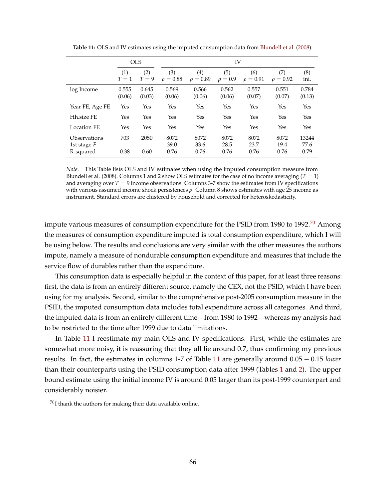<span id="page-65-1"></span>

|                                            |                 | <b>OLS</b>      |                      |                                    | IV                   |                      |                      |                       |
|--------------------------------------------|-----------------|-----------------|----------------------|------------------------------------|----------------------|----------------------|----------------------|-----------------------|
|                                            | (1)<br>$T=1$    | (2)<br>$T=9$    | (3)<br>$\rho = 0.88$ | $\left( 4\right)$<br>$\rho = 0.89$ | (5)<br>$\rho = 0.9$  | (6)<br>$\rho = 0.91$ | (7)<br>$\rho = 0.92$ | (8)<br>ini.           |
| log Income                                 | 0.555<br>(0.06) | 0.645<br>(0.03) | 0.569<br>(0.06)      | 0.566<br>(0.06)                    | 0.562<br>(0.06)      | 0.557<br>(0.07)      | 0.551<br>(0.07)      | 0.784<br>(0.13)       |
| Year FE, Age FE                            | Yes             | Yes             | Yes                  | Yes                                | Yes                  | Yes                  | Yes                  | Yes                   |
| Hh.size FE                                 | Yes             | Yes             | Yes                  | Yes                                | Yes                  | Yes                  | Yes                  | Yes                   |
| <b>Location FE</b>                         | Yes             | Yes             | Yes                  | Yes                                | Yes                  | Yes                  | Yes                  | Yes                   |
| Observations<br>1st stage $F$<br>R-squared | 703<br>0.38     | 2050<br>0.60    | 8072<br>39.0<br>0.76 | 8072<br>33.6<br>0.76               | 8072<br>28.5<br>0.76 | 8072<br>23.7<br>0.76 | 8072<br>19.4<br>0.76 | 13244<br>77.6<br>0.79 |

**Table 11:** OLS and IV estimates using the imputed consumption data from [Blundell et al.](#page-50-3) [\(2008\)](#page-50-3).

*Note.* This Table lists OLS and IV estimates when using the imputed consumption measure from Blundell et al. (2008). Columns 1 and 2 show OLS estimates for the case of no income averaging  $(T = 1)$ and averaging over  $T = 9$  income observations. Columns 3-7 show the estimates from IV specifications with various assumed income shock persistences *ρ*. Column 8 shows estimates with age 25 income as instrument. Standard errors are clustered by household and corrected for heteroskedasticity.

impute various measures of consumption expenditure for the PSID from 1980 to 1992.<sup>[70](#page-65-0)</sup> Among the measures of consumption expenditure imputed is total consumption expenditure, which I will be using below. The results and conclusions are very similar with the other measures the authors impute, namely a measure of nondurable consumption expenditure and measures that include the service flow of durables rather than the expenditure.

This consumption data is especially helpful in the context of this paper, for at least three reasons: first, the data is from an entirely different source, namely the CEX, not the PSID, which I have been using for my analysis. Second, similar to the comprehensive post-2005 consumption measure in the PSID, the imputed consumption data includes total expenditure across all categories. And third, the imputed data is from an entirely different time—from 1980 to 1992—whereas my analysis had to be restricted to the time after 1999 due to data limitations.

In Table [11](#page-65-1) I reestimate my main OLS and IV specifications. First, while the estimates are somewhat more noisy, it is reassuring that they all lie around 0.7, thus confirming my previous results. In fact, the estimates in columns 1-7 of Table [11](#page-65-1) are generally around 0.05 − 0.15 *lower* than their counterparts using the PSID consumption data after 1999 (Tables [1](#page-22-0) and [2\)](#page-24-0). The upper bound estimate using the initial income IV is around 0.05 larger than its post-1999 counterpart and considerably noisier.

<span id="page-65-0"></span> $^{70}{\rm I}$  thank the authors for making their data available online.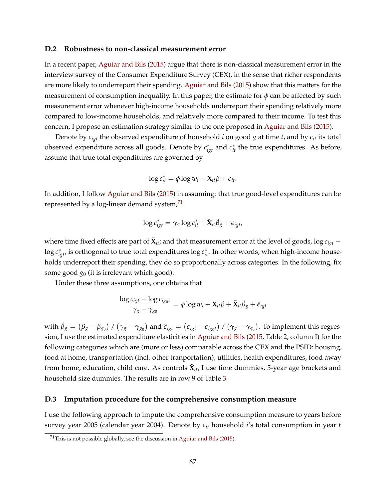#### **D.2 Robustness to non-classical measurement error**

In a recent paper, [Aguiar and Bils](#page-49-2) [\(2015\)](#page-49-2) argue that there is non-classical measurement error in the interview survey of the Consumer Expenditure Survey (CEX), in the sense that richer respondents are more likely to underreport their spending. [Aguiar and Bils](#page-49-2) [\(2015\)](#page-49-2) show that this matters for the measurement of consumption inequality. In this paper, the estimate for *φ* can be affected by such measurement error whenever high-income households underreport their spending relatively more compared to low-income households, and relatively more compared to their income. To test this concern, I propose an estimation strategy similar to the one proposed in [Aguiar and Bils](#page-49-2) [\(2015\)](#page-49-2).

Denote by *cigt* the observed expenditure of household *i* on good *g* at time *t*, and by *cit* its total observed expenditure across all goods. Denote by  $c_{igt}^*$  and  $c_{it}^*$  the true expenditures. As before, assume that true total expenditures are governed by

$$
\log c_{it}^* = \phi \log w_i + \mathbf{X}_{it} \beta + \epsilon_{it}.
$$

In addition, I follow [Aguiar and Bils](#page-49-2) [\(2015\)](#page-49-2) in assuming: that true good-level expenditures can be represented by a log-linear demand system, $71$ 

$$
\log c_{igt}^* = \gamma_g \log c_{it}^* + \tilde{\mathbf{X}}_{it} \tilde{\beta}_g + \epsilon_{igt},
$$

where time fixed effects are part of  $\tilde{\bm{X}}_{it}$ ; and that measurement error at the level of goods,  $\log c_{igt}$   $\log c_{igt}^*$ , is orthogonal to true total expenditures  $\log c_{it}^*$ . In other words, when high-income households underreport their spending, they do so proportionally across categories. In the following, fix some good *g*<sup>0</sup> (it is irrelevant which good).

Under these three assumptions, one obtains that

$$
\frac{\log c_{igt} - \log c_{igot}}{\gamma_g - \gamma_{g_0}} = \phi \log w_i + \mathbf{X}_{it} \beta + \tilde{\mathbf{X}}_{it} \breve{\beta}_g + \breve{\epsilon}_{igt}
$$

with  $\breve{\beta}_g=(\beta_g-\beta_{g_0})$  /  $(\gamma_g-\gamma_{g_0})$  and  $\breve{\epsilon}_{igt}=(\epsilon_{igt}-\epsilon_{ig_0t})$  /  $(\gamma_g-\gamma_{g_0})$ . To implement this regression, I use the estimated expenditure elasticities in [Aguiar and Bils](#page-49-2) [\(2015,](#page-49-2) Table 2, column I) for the following categories which are (more or less) comparable across the CEX and the PSID: housing, food at home, transportation (incl. other tranportation), utilities, health expenditures, food away from home, education, child care. As controls  $\tilde{\mathbf{X}}_{it}$ , I use time dummies, 5-year age brackets and household size dummies. The results are in row 9 of Table [3.](#page-26-0)

#### **D.3 Imputation procedure for the comprehensive consumption measure**

I use the following approach to impute the comprehensive consumption measure to years before survey year 2005 (calendar year 2004). Denote by *cit* household *i*'s total consumption in year *t*

<span id="page-66-0"></span> $71$ This is not possible globally, see the discussion in [Aguiar and Bils](#page-49-2) [\(2015\)](#page-49-2).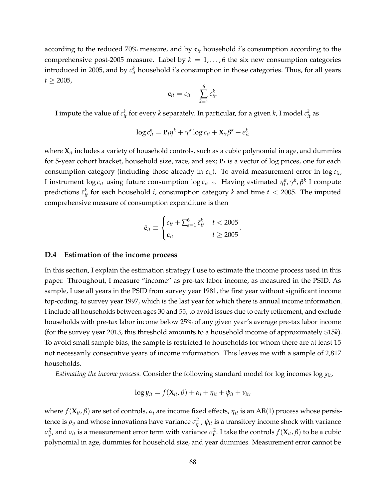according to the reduced 70% measure, and by **c***it* household *i*'s consumption according to the comprehensive post-2005 measure. Label by  $k = 1, ..., 6$  the six new consumption categories introduced in 2005, and by  $c_{it}^k$  household  $i$ 's consumption in those categories. Thus, for all years  $t \ge 2005$ ,

$$
\mathbf{c}_{it}=c_{it}+\sum_{k=1}^6 c_{it}^k.
$$

I impute the value of  $c_{it}^k$  for every  $k$  separately. In particular, for a given  $k$ , I model  $c_{it}^k$  as

$$
\log c_{it}^k = \mathbf{P}_t \eta^k + \gamma^k \log c_{it} + \mathbf{X}_{it} \beta^k + \epsilon_{it}^k
$$

where **X***it* includes a variety of household controls, such as a cubic polynomial in age, and dummies for 5-year cohort bracket, household size, race, and sex; **P***<sup>t</sup>* is a vector of log prices, one for each consumption category (including those already in *cit*). To avoid measurement error in log *cit*, I instrument  $\log c_{it}$  using future consumption  $\log c_{it+2}$ . Having estimated  $\eta_t^k$ ,  $\gamma^k$ ,  $\beta^k$  I compute predictions  $\tilde{c}^k_{it}$  for each household *i*, consumption category *k* and time  $t < 2005$ . The imputed comprehensive measure of consumption expenditure is then

$$
\tilde{\mathbf{c}}_{it} \equiv \begin{cases} c_{it} + \sum_{k=1}^{6} \tilde{c}_{it}^{k} & t < 2005 \\ \mathbf{c}_{it} & t \geq 2005 \end{cases}.
$$

#### <span id="page-67-0"></span>**D.4 Estimation of the income process**

In this section, I explain the estimation strategy I use to estimate the income process used in this paper. Throughout, I measure "income" as pre-tax labor income, as measured in the PSID. As sample, I use all years in the PSID from survey year 1981, the first year without significant income top-coding, to survey year 1997, which is the last year for which there is annual income information. I include all households between ages 30 and 55, to avoid issues due to early retirement, and exclude households with pre-tax labor income below 25% of any given year's average pre-tax labor income (for the survey year 2013, this threshold amounts to a household income of approximately \$15*k*). To avoid small sample bias, the sample is restricted to households for whom there are at least 15 not necessarily consecutive years of income information. This leaves me with a sample of 2,817 households.

*Estimating the income process.* Consider the following standard model for log incomes log *yit*,

$$
\log y_{it} = f(\mathbf{X}_{it}, \beta) + \alpha_i + \eta_{it} + \psi_{it} + \nu_{it},
$$

where  $f(\mathbf{X}_{it}, \beta)$  are set of controls,  $α_i$  are income fixed effects,  $η_{it}$  is an AR(1) process whose persistence is  $\rho_{\eta}$  and whose innovations have variance  $\sigma_{\eta}^2$  ,  $\psi_{it}$  is a transitory income shock with variance  $\sigma_{\psi}^2$ , and  $\nu_{it}$  is a measurement error term with variance  $\sigma_{\nu}^2$ . I take the controls  $f(\mathbf{X}_{it}, \beta)$  to be a cubic polynomial in age, dummies for household size, and year dummies. Measurement error cannot be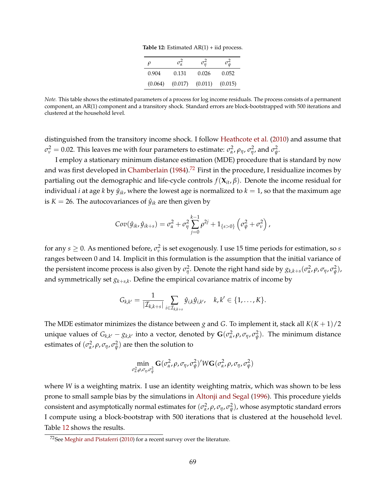|  | <b>Table 12:</b> Estimated $AR(1)$ + iid process. |  |  |  |
|--|---------------------------------------------------|--|--|--|
|--|---------------------------------------------------|--|--|--|

| o       | $\sigma_{\alpha}^2$ | $\sigma_n^2$ | $\sigma_{\psi}^2$ |
|---------|---------------------|--------------|-------------------|
| 0.904   | 0.131               | 0.026        | 0.052             |
| (0.064) | (0.017)             | (0.011)      | (0.015)           |

<span id="page-68-1"></span>*Note.* This table shows the estimated parameters of a process for log income residuals. The process consists of a permanent component, an AR(1) component and a transitory shock. Standard errors are block-bootstrapped with 500 iterations and clustered at the household level.

distinguished from the transitory income shock. I follow [Heathcote et al.](#page-53-0) [\(2010\)](#page-53-0) and assume that *σ*<sub>*ν*</sub> = 0.02. This leaves me with four parameters to estimate: *σ*<sup>2</sup><sub>α</sub>, *ρ*<sub>*η*</sub>, *σ*<sub>*η*</sub><sup>2</sup>, and *σ*<sub>φ</sub><sup>2</sup>.

I employ a stationary minimum distance estimation (MDE) procedure that is standard by now and was first developed in [Chamberlain](#page-51-3)  $(1984)$ .<sup>[72](#page-68-0)</sup> First in the procedure, I residualize incomes by partialing out the demographic and life-cycle controls *f*(**X***it*, *β*). Denote the income residual for individual *i* at age *k* by  $\hat{y}_{ik}$ , where the lowest age is normalized to  $k = 1$ , so that the maximum age is *K* = 26. The autocovariances of  $\hat{y}_{ik}$  are then given by

$$
Cov(\hat{y}_{ik}, \hat{y}_{ik+s}) = \sigma_{\alpha}^2 + \sigma_{\eta}^2 \sum_{j=0}^{k-1} \rho^{2j} + 1_{\{s>0\}} (\sigma_{\psi}^2 + \sigma_{\nu}^2),
$$

for any  $s \geq 0$ . As mentioned before,  $\sigma_v^2$  is set exogenously. I use 15 time periods for estimation, so *s* ranges between 0 and 14. Implicit in this formulation is the assumption that the initial variance of the persistent income process is also given by  $\sigma_\eta^2$ . Denote the right hand side by  $g_{k,k+s}(\sigma_\alpha^2, \rho, \sigma_\eta, \sigma_\psi^2)$ , and symmetrically set *gk*+*s*,*<sup>k</sup>* . Define the empirical covariance matrix of income by

$$
G_{k,k'}=\frac{1}{|\mathcal{I}_{k,k+s}|}\sum_{i\in\mathcal{I}_{k,k+s}}\hat{y}_{i,k}\hat{y}_{i,k'},\quad k,k'\in\{1,\ldots,K\}.
$$

The MDE estimator minimizes the distance between *g* and *G*. To implement it, stack all  $K(K + 1)/2$ unique values of  $G_{k,k'} - g_{k,k'}$  into a vector, denoted by  $G(\sigma_{\alpha}^2, \rho, \sigma_{\eta}, \sigma_{\psi}^2)$ . The minimum distance estimates of  $(\sigma_{\alpha}^2, \rho, \sigma_{\eta}, \sigma_{\psi}^2)$  are then the solution to

$$
\min_{\sigma^2_{\alpha}, \rho, \sigma_{\eta}, \sigma^2_{\psi}} \mathbf{G}(\sigma^2_{\alpha}, \rho, \sigma_{\eta}, \sigma^2_{\psi})' W \mathbf{G}(\sigma^2_{\alpha}, \rho, \sigma_{\eta}, \sigma^2_{\psi})
$$

where *W* is a weighting matrix. I use an identity weighting matrix, which was shown to be less prone to small sample bias by the simulations in [Altonji and Segal](#page-49-3) [\(1996\)](#page-49-3). This procedure yields consistent and asymptotically normal estimates for  $(\sigma^2_\alpha,\rho,\sigma_\eta,\sigma^2_\psi)$ , whose asymptotic standard errors I compute using a block-bootstrap with 500 iterations that is clustered at the household level. Table [12](#page-68-1) shows the results.

<span id="page-68-0"></span> $72$ See [Meghir and Pistaferri](#page-54-5) [\(2010\)](#page-54-5) for a recent survey over the literature.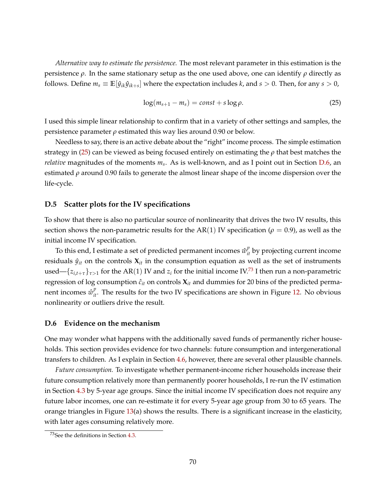*Alternative way to estimate the persistence.* The most relevant parameter in this estimation is the persistence *ρ*. In the same stationary setup as the one used above, one can identify *ρ* directly as follows. Define  $m_s \equiv \mathbb{E}[\hat{y}_{ik}\hat{y}_{ik+s}]$  where the expectation includes *k*, and  $s > 0$ . Then, for any  $s > 0$ ,

<span id="page-69-0"></span>
$$
\log(m_{s+1} - m_s) = const + s \log \rho. \tag{25}
$$

I used this simple linear relationship to confirm that in a variety of other settings and samples, the persistence parameter *ρ* estimated this way lies around 0.90 or below.

Needless to say, there is an active debate about the "right" income process. The simple estimation strategy in [\(25\)](#page-69-0) can be viewed as being focused entirely on estimating the *ρ* that best matches the *relative* magnitudes of the moments *m<sup>s</sup>* . As is well-known, and as I point out in Section [D.6,](#page-69-1) an estimated *ρ* around 0.90 fails to generate the almost linear shape of the income dispersion over the life-cycle.

#### **D.5 Scatter plots for the IV specifications**

To show that there is also no particular source of nonlinearity that drives the two IV results, this section shows the non-parametric results for the AR(1) IV specification ( $\rho = 0.9$ ), as well as the initial income IV specification.

To this end, I estimate a set of predicted permanent incomes  $\hat{w}_{it}^p$  by projecting current income residuals  $\hat{y}_{it}$  on the controls  $\mathbf{X}_{it}$  in the consumption equation as well as the set of instruments used— $\{z_{i,t+\tau}\}_{\tau>1}$  for the AR(1) IV and  $z_i$  for the initial income IV.<sup>[73](#page-69-2)</sup> I then run a non-parametric regression of log consumption  $\hat{c}_{it}$  on controls  $\mathbf{X}_{it}$  and dummies for 20 bins of the predicted permanent incomes  $\hat{w}_{it}^p$ . The results for the two IV specifications are shown in Figure [12.](#page-70-0) No obvious nonlinearity or outliers drive the result.

### <span id="page-69-1"></span>**D.6 Evidence on the mechanism**

One may wonder what happens with the additionally saved funds of permanently richer households. This section provides evidence for two channels: future consumption and intergenerational transfers to children. As I explain in Section [4.6,](#page-30-0) however, there are several other plausible channels.

*Future consumption.* To investigate whether permanent-income richer households increase their future consumption relatively more than permanently poorer households, I re-run the IV estimation in Section [4.3](#page-21-0) by 5-year age groups. Since the initial income IV specification does not require any future labor incomes, one can re-estimate it for every 5-year age group from 30 to 65 years. The orange triangles in Figure [13\(](#page-70-1)a) shows the results. There is a significant increase in the elasticity, with later ages consuming relatively more.

<span id="page-69-2"></span><sup>73</sup>See the definitions in Section [4.3.](#page-21-0)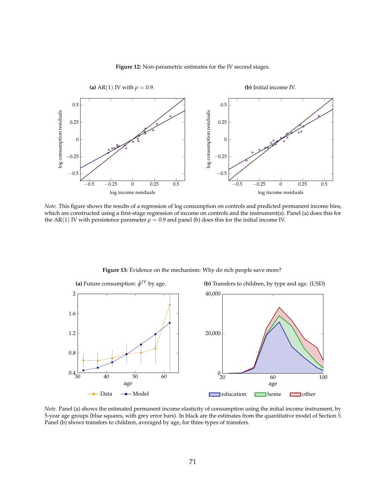<span id="page-70-0"></span>

#### **Figure 12:** Non-parametric estimates for the IV second stages.

*Note.* This figure shows the results of a regression of log consumption on controls and predicted permanent income bins, which are constructed using a first-stage regression of income on controls and the instrument(s). Panel (a) does this for the AR(1) IV with persistence parameter  $\rho = 0.9$  and panel (b) does this for the initial income IV.

<span id="page-70-1"></span>

<span id="page-70-3"></span>**Figure 13:** Evidence on the mechanism: Why do rich people save more?

<span id="page-70-2"></span>*Note.* Panel (a) shows the estimated permanent income elasticity of consumption using the initial income instrument, by 5-year age groups (blue squares, with grey error bars). In black are the estimates from the quantitative model of Section [5.](#page-31-0) Panel (b) shows transfers to children, averaged by age, for three types of transfers.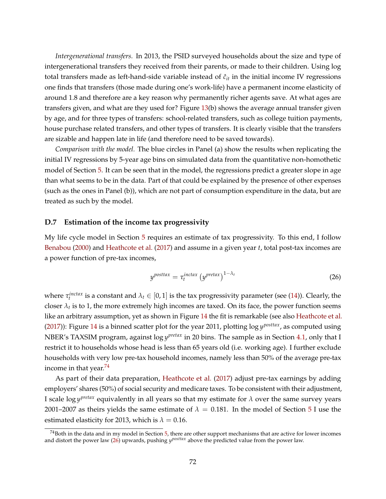*Intergenerational transfers.* In 2013, the PSID surveyed households about the size and type of intergenerational transfers they received from their parents, or made to their children. Using log total transfers made as left-hand-side variable instead of  $\hat{c}_{it}$  in the initial income IV regressions one finds that transfers (those made during one's work-life) have a permanent income elasticity of around 1.8 and therefore are a key reason why permanently richer agents save. At what ages are transfers given, and what are they used for? Figure [13\(](#page-70-1)b) shows the average annual transfer given by age, and for three types of transfers: school-related transfers, such as college tuition payments, house purchase related transfers, and other types of transfers. It is clearly visible that the transfers are sizable and happen late in life (and therefore need to be saved towards).

*Comparison with the model.* The blue circles in Panel (a) show the results when replicating the initial IV regressions by 5-year age bins on simulated data from the quantitative non-homothetic model of Section [5.](#page-31-0) It can be seen that in the model, the regressions predict a greater slope in age than what seems to be in the data. Part of that could be explained by the presence of other expenses (such as the ones in Panel (b)), which are not part of consumption expenditure in the data, but are treated as such by the model.

### **D.7 Estimation of the income tax progressivity**

My life cycle model in Section [5](#page-31-0) requires an estimate of tax progressivity. To this end, I follow [Benabou](#page-50-4) [\(2000\)](#page-50-4) and [Heathcote et al.](#page-53-7) [\(2017\)](#page-53-7) and assume in a given year *t*, total post-tax incomes are a power function of pre-tax incomes,

<span id="page-71-1"></span>
$$
y^{posttax} = \tau_t^{inctax} \left( y^{pretax} \right)^{1-\lambda_t} \tag{26}
$$

where  $\tau_t^{inctax}$  is a constant and  $\lambda_t \in [0,1]$  is the tax progressivity parameter (see [\(14\)](#page-33-0)). Clearly, the closer  $\lambda_t$  is to 1, the more extremely high incomes are taxed. On its face, the power function seems like an arbitrary assumption, yet as shown in Figure [14](#page-72-0) the fit is remarkable (see also [Heathcote et al.](#page-53-7) [\(2017\)](#page-53-7)): Figure [14](#page-72-0) is a binned scatter plot for the year 2011, plotting log *y posttax*, as computed using NBER's TAXSIM program, against log *y pretax* in 20 bins. The sample as in Section [4.1,](#page-18-1) only that I restrict it to households whose head is less than 65 years old (i.e. working age). I further exclude households with very low pre-tax household incomes, namely less than 50% of the average pre-tax income in that year. $74$ 

As part of their data preparation, [Heathcote et al.](#page-53-7) [\(2017\)](#page-53-7) adjust pre-tax earnings by adding employers' shares (50%) of social security and medicare taxes. To be consistent with their adjustment, I scale log *y pretax* equivalently in all years so that my estimate for *λ* over the same survey years 2001–2007 as theirs yields the same estimate of  $\lambda = 0.181$ . In the model of Section [5](#page-31-0) I use the estimated elasticity for 2013, which is  $\lambda = 0.16$ .

<span id="page-71-0"></span> $^{74}$ Both in the data and in my model in Section [5,](#page-31-0) there are other support mechanisms that are active for lower incomes and distort the power law [\(26\)](#page-71-1) upwards, pushing  $y^{posttax}$  above the predicted value from the power law.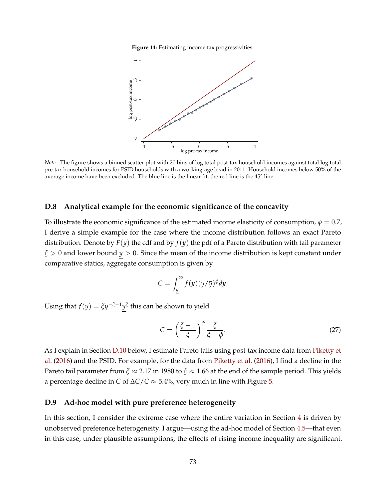**Figure 14:** Estimating income tax progressivities.



*Note.* The figure shows a binned scatter plot with 20 bins of log total post-tax household incomes against total log total pre-tax household incomes for PSID households with a working-age head in 2011. Household incomes below 50% of the average income have been excluded. The blue line is the linear fit, the red line is the 45° line.

#### **D.8 Analytical example for the economic significance of the concavity**

To illustrate the economic significance of the estimated income elasticity of consumption,  $\phi = 0.7$ , I derive a simple example for the case where the income distribution follows an exact Pareto distribution. Denote by  $F(y)$  the cdf and by  $f(y)$  the pdf of a Pareto distribution with tail parameter *ξ* > 0 and lower bound *y* > 0. Since the mean of the income distribution is kept constant under comparative statics, aggregate consumption is given by

$$
C = \int_{\underline{y}}^{\infty} f(y) (y/\overline{y})^{\phi} dy.
$$

Using that  $f(y) = \xi y^{-\xi-1} y^{\xi}$  this can be shown to yield

$$
C = \left(\frac{\xi - 1}{\xi}\right)^{\phi} \frac{\xi}{\xi - \phi}.
$$
 (27)

As I explain in Section [D.10](#page-73-0) below, I estimate Pareto tails using post-tax income data from [Piketty et](#page-55-0) [al.](#page-55-0) [\(2016\)](#page-55-0) and the PSID. For example, for the data from [Piketty et al.](#page-55-0) [\(2016\)](#page-55-0), I find a decline in the Pareto tail parameter from  $\zeta \approx 2.17$  in 1980 to  $\zeta \approx 1.66$  at the end of the sample period. This yields a percentage decline in *C* of ∆*C*/*C* ≈ 5.4%, very much in line with Figure [5.](#page-30-0)

#### **D.9 Ad-hoc model with pure preference heterogeneity**

In this section, I consider the extreme case where the entire variation in Section [4](#page-18-0) is driven by unobserved preference heterogeneity. I argue—using the ad-hoc model of Section [4.5—](#page-29-0)that even in this case, under plausible assumptions, the effects of rising income inequality are significant.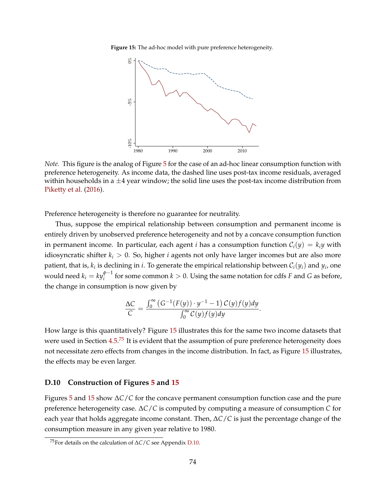<span id="page-73-1"></span>**Figure 15:** The ad-hoc model with pure preference heterogeneity.



*Note.* This figure is the analog of Figure [5](#page-30-0) for the case of an ad-hoc linear consumption function with preference heterogeneity. As income data, the dashed line uses post-tax income residuals, averaged within households in a  $\pm 4$  year window; the solid line uses the post-tax income distribution from [Piketty et al.](#page-55-0) [\(2016\)](#page-55-0).

Preference heterogeneity is therefore no guarantee for neutrality.

Thus, suppose the empirical relationship between consumption and permanent income is entirely driven by unobserved preference heterogeneity and not by a concave consumption function in permanent income. In particular, each agent *i* has a consumption function  $C_i(y) = k_i y$  with idiosyncratic shifter  $k_i > 0$ . So, higher *i* agents not only have larger incomes but are also more patient, that is,  $k_i$  is declining in *i*. To generate the empirical relationship between  $\mathcal{C}_i(y_i)$  and  $y_i$ , one would need  $k_i = ky_i^{\phi-1}$  for some common  $k > 0$ . Using the same notation for cdfs *F* and *G* as before, the change in consumption is now given by

$$
\frac{\Delta C}{C} = \frac{\int_0^\infty (G^{-1}(F(y)) \cdot y^{-1} - 1) C(y) f(y) dy}{\int_0^\infty C(y) f(y) dy}.
$$

How large is this quantitatively? Figure [15](#page-73-1) illustrates this for the same two income datasets that were used in Section [4.5.](#page-29-0)<sup>[75](#page-73-2)</sup> It is evident that the assumption of pure preference heterogeneity does not necessitate zero effects from changes in the income distribution. In fact, as Figure [15](#page-73-1) illustrates, the effects may be even larger.

### <span id="page-73-0"></span>**D.10 Construction of Figures [5](#page-30-0) and [15](#page-73-1)**

Figures [5](#page-30-0) and [15](#page-73-1) show ∆*C*/*C* for the concave permanent consumption function case and the pure preference heterogeneity case. ∆*C*/*C* is computed by computing a measure of consumption *C* for each year that holds aggregate income constant. Then, ∆*C*/*C* is just the percentage change of the consumption measure in any given year relative to 1980.

<span id="page-73-2"></span><sup>75</sup>For details on the calculation of ∆*C*/*C* see Appendix [D.10.](#page-73-0)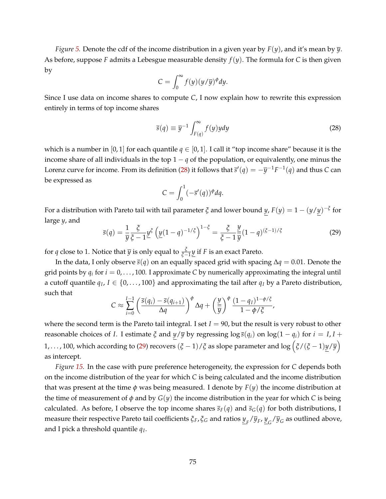*Figure [5.](#page-30-0)* Denote the cdf of the income distribution in a given year by *F*(*y*), and it's mean by *y*. As before, suppose *F* admits a Lebesgue measurable density  $f(y)$ . The formula for *C* is then given by

$$
C = \int_0^\infty f(y)(y/\overline{y})^{\phi} dy.
$$

Since I use data on income shares to compute *C*, I now explain how to rewrite this expression entirely in terms of top income shares

<span id="page-74-0"></span>
$$
\overline{s}(q) \equiv \overline{y}^{-1} \int_{F(q)}^{\infty} f(y) y dy
$$
\n(28)

which is a number in [0, 1] for each quantile  $q \in [0, 1]$ . I call it "top income share" because it is the income share of all individuals in the top  $1 - q$  of the population, or equivalently, one minus the Lorenz curve for income. From its definition [\(28\)](#page-74-0) it follows that  $\bar{s}'(q) = -\bar{y}^{-1}F^{-1}(q)$  and thus *C* can be expressed as

$$
C=\int_0^1(-\overline{s}'(q))^{\phi}dq.
$$

For a distribution with Pareto tail with tail parameter  $\xi$  and lower bound  $y$ ,  $F(y) = 1 - (y/y)^{-\xi}$  for large *y*, and

<span id="page-74-1"></span>
$$
\overline{s}(q) = \frac{1}{\overline{y}} \frac{\xi}{\xi - 1} \underline{y}^{\xi} \left( \underline{y}(1 - q)^{-1/\xi} \right)^{1 - \xi} = \frac{\xi}{\xi - 1} \frac{\underline{y}}{\overline{y}} (1 - q)^{(\xi - 1)/\xi}
$$
(29)

for *q* close to 1. Notice that  $\overline{y}$  is only equal to  $\frac{\xi}{\xi-1}\underline{y}$  if *F* is an exact Pareto.

In the data, I only observe *s*(*q*) on an equally spaced grid with spacing ∆*q* = 0.01. Denote the grid points by *q<sup>i</sup>* for *i* = 0, . . . , 100. I approximate *C* by numerically approximating the integral until a cutoff quantile  $q_I$ ,  $I \in \{0, \ldots, 100\}$  and approximating the tail after  $q_I$  by a Pareto distribution, such that

$$
C \approx \sum_{i=0}^{I-1} \left( \frac{\overline{s}(q_i) - \overline{s}(q_{i+1})}{\Delta q} \right)^{\phi} \Delta q + \left( \frac{y}{\overline{y}} \right)^{\phi} \frac{(1 - q_I)^{1 - \phi/\xi}}{1 - \phi/\xi},
$$

where the second term is the Pareto tail integral. I set  $I = 90$ , but the result is very robust to other reasonable choices of *I*. I estimate *ξ* and  $y/\overline{y}$  by regressing  $\log \overline{s}(q_i)$  on  $\log(1 - q_i)$  for  $i = I, I +$ 1, . . . , 100, which according to [\(29\)](#page-74-1) recovers (*<sup>ξ</sup>* <sup>−</sup> <sup>1</sup>)/*<sup>ξ</sup>* as slope parameter and log *ξ*/(*ξ* − 1)*y*/*y* as intercept.

*Figure [15.](#page-73-1)* In the case with pure preference heterogeneity, the expression for *C* depends both on the income distribution of the year for which *C* is being calculated and the income distribution that was present at the time  $\phi$  was being measured. I denote by  $F(y)$  the income distribution at the time of measurement of  $\phi$  and by  $G(y)$  the income distribution in the year for which *C* is being calculated. As before, I observe the top income shares  $\bar{s}_F(q)$  and  $\bar{s}_G(q)$  for both distributions, I measure their respective Pareto tail coefficients *ξF*, *ξ<sup>G</sup>* and ratios *y F* /*y<sup>F</sup>* , *y G* /*y<sup>G</sup>* as outlined above, and I pick a threshold quantile *q<sup>I</sup>* .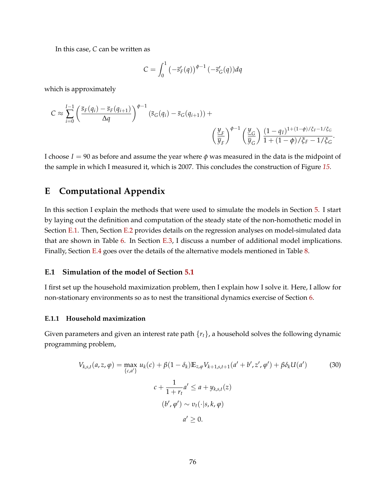In this case, *C* can be written as

$$
C = \int_0^1 \left( -\overline{s}'_F(q) \right)^{\phi-1} \left( -\overline{s}'_G(q) \right) dq
$$

which is approximately

$$
C \approx \sum_{i=0}^{I-1} \left( \frac{\overline{s}_F(q_i) - \overline{s}_F(q_{i+1})}{\Delta q} \right)^{\phi-1} \left( \overline{s}_G(q_i) - \overline{s}_G(q_{i+1}) \right) + \left( \frac{\underline{y}_F}{\overline{y}_F} \right)^{\phi-1} \left( \frac{\underline{y}_G}{\overline{y}_G} \right) \frac{(1 - q_I)^{1 + (1 - \phi)/\xi_F - 1/\xi_G}}{1 + (1 - \phi)/\xi_F - 1/\xi_G}.
$$

I choose  $I = 90$  as before and assume the year where  $\phi$  was measured in the data is the midpoint of the sample in which I measured it, which is 2007. This concludes the construction of Figure *[15](#page-73-1)*.

# **E Computational Appendix**

In this section I explain the methods that were used to simulate the models in Section [5.](#page-31-0) I start by laying out the definition and computation of the steady state of the non-homothetic model in Section [E.1.](#page-75-0) Then, Section [E.2](#page-79-0) provides details on the regression analyses on model-simulated data that are shown in Table [6.](#page-39-0) In Section [E.3,](#page-80-0) I discuss a number of additional model implications. Finally, Section [E.4](#page-88-0) goes over the details of the alternative models mentioned in Table [8.](#page-42-0)

## <span id="page-75-0"></span>**E.1 Simulation of the model of Section [5.1](#page-32-0)**

I first set up the household maximization problem, then I explain how I solve it. Here, I allow for non-stationary environments so as to nest the transitional dynamics exercise of Section [6.](#page-44-0)

### **E.1.1 Household maximization**

Given parameters and given an interest rate path {*rt*}, a household solves the following dynamic programming problem,

<span id="page-75-1"></span>
$$
V_{k,s,t}(a, z, \varphi) = \max_{\{c,a'\}} u_k(c) + \beta(1 - \delta_k) \mathbb{E}_{z,\varphi} V_{k+1,s,t+1}(a' + b', z', \varphi') + \beta \delta_k U(a')
$$
(30)  

$$
c + \frac{1}{1+r_t} a' \le a + y_{k,s,t}(z)
$$

$$
(b', \varphi') \sim v_t(\cdot | s, k, \varphi)
$$

$$
a' \ge 0.
$$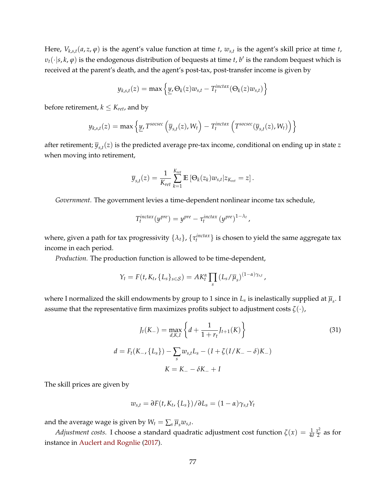Here,  $V_{k,s,t}(a,z,\varphi)$  is the agent's value function at time *t*,  $w_{s,t}$  is the agent's skill price at time *t*,  $v_t(\cdot|s,k,\varphi)$  is the endogenous distribution of bequests at time *t*, *b*' is the random bequest which is received at the parent's death, and the agent's post-tax, post-transfer income is given by

$$
y_{k,s,t}(z) = \max \left\{ \underline{y}, \Theta_k(z) w_{s,t} - T_t^{inctax}(\Theta_k(z) w_{s,t}) \right\}
$$

before retirement,  $k \leq K_{ret}$ , and by

$$
y_{k,s,t}(z) = \max \left\{ \underline{y}, T^{socsec} \left( \overline{y}_{s,t}(z), W_t \right) - T_t^{inctax} \left( T^{socsec}(\overline{y}_{s,t}(z), W_t) \right) \right\}
$$

after retirement; *ys*,*<sup>t</sup>* (*z*) is the predicted average pre-tax income, conditional on ending up in state *z* when moving into retirement,

$$
\overline{y}_{s,t}(z) = \frac{1}{K_{ret}} \sum_{k=1}^{K_{ret}} \mathbb{E} \left[ \Theta_k(z_k) w_{s,t} | z_{K_{ret}} = z \right].
$$

*Government.* The government levies a time-dependent nonlinear income tax schedule,

$$
T_t^{inctax}(y^{pre}) = y^{pre} - \tau_t^{inctax}(y^{pre})^{1-\lambda_t},
$$

where, given a path for tax progressivity  $\{\lambda_t\}$ ,  $\{\tau_t^{interax}\}$  is chosen to yield the same aggregate tax income in each period.

*Production.* The production function is allowed to be time-dependent,

$$
Y_t = F(t, K_t, \{L_s\}_{s \in S}) = AK_t^{\alpha} \prod_s (L_s/\overline{\mu}_s)^{(1-\alpha)\gamma_{s,t}},
$$

where I normalized the skill endowments by group to 1 since in  $L_s$  is inelastically supplied at  $\overline{\mu}_s.$  I assume that the representative firm maximizes profits subject to adjustment costs *ζ*(·),

<span id="page-76-0"></span>
$$
J_t(K_-) = \max_{d,K,I} \left\{ d + \frac{1}{1+r_t} J_{t+1}(K) \right\}
$$
\n
$$
d = F_t(K_-, \{L_s\}) - \sum_s w_{s,t} L_s - (I + \zeta (I/K_- - \delta)K_-)
$$
\n
$$
K = K_- - \delta K_- + I
$$
\n(31)

The skill prices are given by

$$
w_{s,t} = \partial F(t, K_t, \{L_s\}) / \partial L_s = (1 - \alpha) \gamma_{s,t} Y_t
$$

and the average wage is given by  $W_t = \sum_s \overline{\mu}_s w_{s,t}$ .

*Adjustment costs.* I choose a standard quadratic adjustment cost function  $\zeta(x) = \frac{1}{4\delta}$ *x* 2  $\frac{x}{2}$  as for instance in [Auclert and Rognlie](#page-50-0) [\(2017\)](#page-50-0).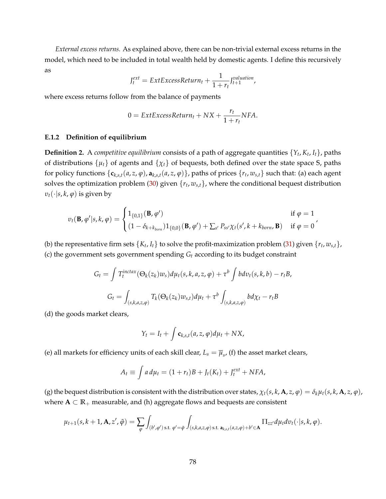*External excess returns.* As explained above, there can be non-trivial external excess returns in the model, which need to be included in total wealth held by domestic agents. I define this recursively as

$$
J_t^{ext} = ExtExcessReturn_t + \frac{1}{1 + r_t} J_{t+1}^{valuation},
$$

where excess returns follow from the balance of payments

$$
0 = ExtExcessReturn_t + Nx + \frac{r_t}{1+r_t}NFA.
$$

### **E.1.2 Definition of equilibrium**

**Definition 2.** A *competitive equilibrium* consists of a path of aggregate quantities {*Y<sup>t</sup>* , *K<sup>t</sup>* , *It*}, paths of distributions {*µt*} of agents and {*χt*} of bequests, both defined over the state space **S**, paths for policy functions  $\{c_{k,s,t}(a,z,\varphi), a_{k,s,t}(a,z,\varphi)\}$ , paths of prices  $\{r_t,w_{s,t}\}$  such that: (a) each agent solves the optimization problem [\(30\)](#page-75-1) given  $\{r_t, w_{s,t}\}$ , where the conditional bequest distribution  $v_t(\cdot|s, k, φ)$  is given by

$$
v_t(\mathbf{B}, \varphi'|s, k, \varphi) = \begin{cases} 1_{\{0,1\}}(\mathbf{B}, \varphi') & \text{if } \varphi = 1\\ (1 - \delta_{k + k_{born}}) 1_{\{0,0\}}(\mathbf{B}, \varphi') + \sum_{s'} P_{ss'} \chi_t(s', k + k_{born}, \mathbf{B}) & \text{if } \varphi = 0 \end{cases}
$$

(b) the representative firm sets  $\{K_t, I_t\}$  to solve the profit-maximization problem [\(31\)](#page-76-0) given  $\{r_t, w_{s,t}\}$ , (c) the government sets government spending *G<sup>t</sup>* according to its budget constraint

$$
G_t = \int T_t^{inctax} (\Theta_k(z_k)w_s) d\mu_t(s, k, a, z, \varphi) + \tau^b \int b dv_t(s, k, b) - r_t B,
$$
  

$$
G_t = \int_{(s, k, a, z, \varphi)} T_k(\Theta_k(z_k)w_{s, t}) d\mu_t + \tau^b \int_{(s, k, a, z, \varphi)} b d\chi_t - r_t B
$$

(d) the goods market clears,

$$
Y_t = I_t + \int \mathbf{c}_{k,s,t}(a,z,\varphi)d\mu_t + NX,
$$

(e) all markets for efficiency units of each skill clear,  $L_s = \overline{\mu}_s$ , (f) the asset market clears,

$$
A_t \equiv \int a d\mu_t = (1 + r_t)B + J_t(K_t) + J_t^{ext} + NFA,
$$

(g) the bequest distribution is consistent with the distribution over states,  $\chi_t(s,k,\mathbf{A},z,\varphi)=\delta_k\mu_t(s,k,\mathbf{A},z,\varphi)$ , where  $A \subset \mathbb{R}_+$  measurable, and (h) aggregate flows and bequests are consistent

$$
\mu_{t+1}(s,k+1,\mathbf{A},z',\tilde{\varphi})=\sum_{\varphi}\int_{(b',\varphi')\text{ s.t. }\varphi'=\tilde{\varphi}}\int_{(s,k,a,z,\varphi)\text{ s.t. }\mathbf{a}_{k,s,t}(a,z,\varphi)+b'\in\mathbf{A}}\Pi_{zz'}d\mu_t dv_t(\cdot|s,k,\varphi).
$$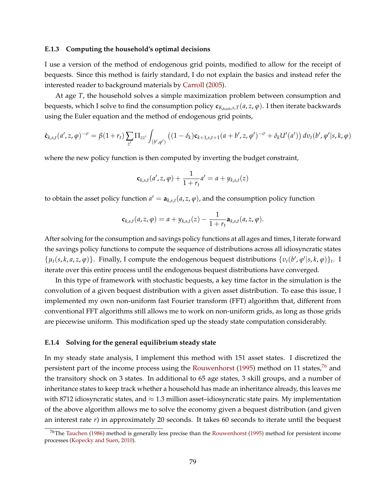#### **E.1.3 Computing the household's optimal decisions**

I use a version of the method of endogenous grid points, modified to allow for the receipt of bequests. Since this method is fairly standard, I do not explain the basics and instead refer the interested reader to background materials by [Carroll](#page-51-0) [\(2005\)](#page-51-0).

At age *T*, the household solves a simple maximization problem between consumption and bequests, which I solve to find the consumption policy  $c_{K_{death},S,T}(a,z,\varphi)$ . I then iterate backwards using the Euler equation and the method of endogenous grid points,

$$
\hat{\mathbf{c}}_{k,s,t}(a',z,\varphi)^{-\sigma} = \beta(1+r_t) \sum_{z'} \Pi_{zz'} \int_{(b',\varphi')} ((1-\delta_k) \mathbf{c}_{k+1,s,t+1}(a+b',z,\varphi')^{-\sigma} + \delta_k U'(a')) \, dv_t(b',\varphi'|s,k,\varphi)
$$

where the new policy function is then computed by inverting the budget constraint,

$$
\mathbf{c}_{k,s,t}(a',z,\varphi) + \frac{1}{1+r_t}a' = a + y_{k,s,t}(z)
$$

to obtain the asset policy function  $a' = a_{k,s,t}(a,z,\varphi)$ , and the consumption policy function

$$
\mathbf{c}_{k,s,t}(a,z,\varphi)=a+y_{k,s,t}(z)-\frac{1}{1+r_t}\mathbf{a}_{k,s,t}(a,z,\varphi).
$$

After solving for the consumption and savings policy functions at all ages and times, I iterate forward the savings policy functions to compute the sequence of distributions across all idiosyncratic states  $\{\mu_t(s, k, a, z, \varphi)\}$ . Finally, I compute the endogenous bequest distributions  $\{v_t(b', \varphi'|s, k, \varphi)\}_t$ . I iterate over this entire process until the endogenous bequest distributions have converged.

In this type of framework with stochastic bequests, a key time factor in the simulation is the convolution of a given bequest distribution with a given asset distribution. To ease this issue, I implemented my own non-uniform fast Fourier transform (FFT) algorithm that, different from conventional FFT algorithms still allows me to work on non-uniform grids, as long as those grids are piecewise uniform. This modification sped up the steady state computation considerably.

#### **E.1.4 Solving for the general equilibrium steady state**

In my steady state analysis, I implement this method with 151 asset states. I discretized the persistent part of the income process using the [Rouwenhorst](#page-55-1) [\(1995\)](#page-55-1) method on 11 states,<sup>[76](#page-78-0)</sup> and the transitory shock on 3 states. In additional to 65 age states, 3 skill groups, and a number of inheritance states to keep track whether a household has made an inheritance already, this leaves me with 8712 idiosyncratic states, and  $\approx 1.3$  million asset–idiosyncratic state pairs. My implementation of the above algorithm allows me to solve the economy given a bequest distribution (and given an interest rate *r*) in approximately 20 seconds. It takes 60 seconds to iterate until the bequest

<span id="page-78-0"></span><sup>76</sup>The [Tauchen](#page-56-0) [\(1986\)](#page-56-0) method is generally less precise than the [Rouwenhorst](#page-55-1) [\(1995\)](#page-55-1) method for persistent income processes [\(Kopecky and Suen,](#page-54-0) [2010\)](#page-54-0).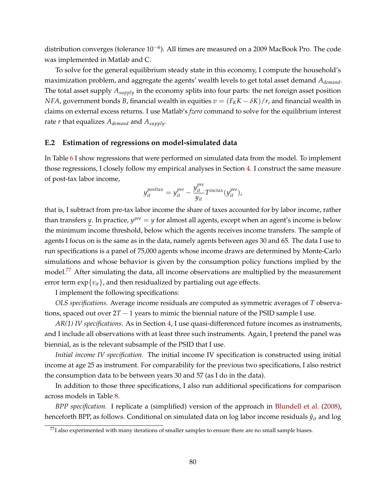distribution converges (tolerance 10−<sup>6</sup> ). All times are measured on a 2009 MacBook Pro. The code was implemented in Matlab and C.

To solve for the general equilibrium steady state in this economy, I compute the household's maximization problem, and aggregate the agents' wealth levels to get total asset demand *Ademand*. The total asset supply *Asupply* in the economy splits into four parts: the net foreign asset position *NFA*, government bonds *B*, financial wealth in equities  $v = (F_KK - \delta K)/r$ , and financial wealth in claims on external excess returns. I use Matlab's *fzero* command to solve for the equilibrium interest rate *r* that equalizes *Ademand* and *Asupply*.

### <span id="page-79-0"></span>**E.2 Estimation of regressions on model-simulated data**

In Table [6](#page-39-0) I show regressions that were performed on simulated data from the model. To implement those regressions, I closely follow my empirical analyses in Section [4.](#page-18-0) I construct the same measure of post-tax labor income,

$$
y_{it}^{posttax} = y_{it}^{pre} - \frac{y_{it}^{pre}}{y_{it}} T^{inctax}(y_{it}^{pre}),
$$

that is, I subtract from pre-tax labor income the share of taxes accounted for by labor income, rather than transfers *y*. In practice,  $y^{pre} = y$  for almost all agents, except when an agent's income is below the minimum income threshold, below which the agents receives income transfers. The sample of agents I focus on is the same as in the data, namely agents between ages 30 and 65. The data I use to run specifications is a panel of 75,000 agents whose income draws are determined by Monte-Carlo simulations and whose behavior is given by the consumption policy functions implied by the model.<sup>[77](#page-79-1)</sup> After simulating the data, all income observations are multiplied by the measurement error term  $\exp\{v_{it}\}$ , and then residualized by partialing out age effects.

I implement the following specifications:

*OLS specifications.* Average income residuals are computed as symmetric averages of *T* observations, spaced out over  $2T - 1$  years to mimic the biennial nature of the PSID sample I use.

*AR(1) IV specifications.* As in Section [4,](#page-18-0) I use quasi-differenced future incomes as instruments, and I include all observations with at least three such instruments. Again, I pretend the panel was biennial, as is the relevant subsample of the PSID that I use.

*Initial income IV specification.* The initial income IV specification is constructed using initial income at age 25 as instrument. For comparability for the previous two specifications, I also restrict the consumption data to be between years 30 and 57 (as I do in the data).

In addition to those three specifications, I also run additional specifications for comparison across models in Table [8.](#page-42-0)

*BPP specification.* I replicate a (simplified) version of the approach in [Blundell et al.](#page-50-1) [\(2008\)](#page-50-1), henceforth BPP, as follows. Conditional on simulated data on log labor income residuals  $\hat{y}_{it}$  and log

<span id="page-79-1"></span> $77$ I also experimented with many iterations of smaller samples to ensure there are no small sample biases.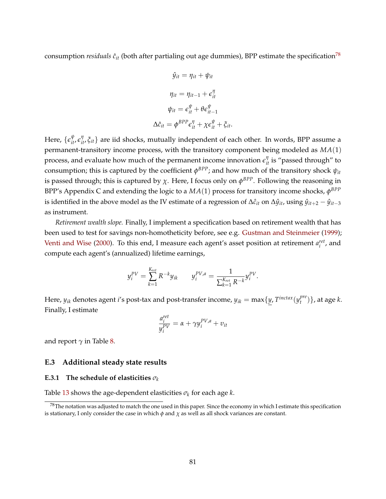consumption *residuals*  $\hat{c}_{it}$  (both after partialing out age dummies), BPP estimate the specification<sup>[78](#page-80-1)</sup>

$$
\hat{y}_{it} = \eta_{it} + \psi_{it}
$$

$$
\eta_{it} = \eta_{it-1} + \epsilon_{it}^{\eta}
$$

$$
\psi_{it} = \epsilon_{it}^{\psi} + \theta \epsilon_{it-1}^{\psi}
$$

$$
\Delta \hat{c}_{it} = \phi^{BPP} \epsilon_{it}^{\eta} + \chi \epsilon_{it}^{\psi} + \xi_{it}.
$$

Here,  $\{\epsilon^\psi_{it}, \epsilon^\eta_{it}, \xi_{it}\}$  are iid shocks, mutually independent of each other. In words, BPP assume a permanent-transitory income process, with the transitory component being modeled as *MA*(1) process, and evaluate how much of the permanent income innovation  $\epsilon_{it}^{\eta}$  is "passed through" to consumption; this is captured by the coefficient  $\phi^{BPP}$ ; and how much of the transitory shock  $\psi_{it}$ is passed through; this is captured by  $\chi$ . Here, I focus only on  $\phi^{BPP}$ . Following the reasoning in BPP's Appendix C and extending the logic to a  $MA(1)$  process for transitory income shocks,  $\phi^{BPP}$ is identified in the above model as the IV estimate of a regression of  $\Delta \hat{c}_{it}$  on  $\Delta \hat{y}_{it}$ , using  $\hat{y}_{it+2} - \hat{y}_{it-3}$ as instrument.

*Retirement wealth slope.* Finally, I implement a specification based on retirement wealth that has been used to test for savings non-homotheticity before, see e.g. [Gustman and Steinmeier](#page-52-0) [\(1999\)](#page-52-0); [Venti and Wise](#page-56-1) [\(2000\)](#page-56-1). To this end, I measure each agent's asset position at retirement  $a_i^{ret}$ , and compute each agent's (annualized) lifetime earnings,

$$
y_i^{PV} = \sum_{k=1}^{K_{ret}} R^{-k} y_{ik} \qquad y_i^{PV,a} = \frac{1}{\sum_{k=1}^{K_{ret}} R^{-k}} y_i^{PV}.
$$

Here,  $y_{ik}$  denotes agent  $i$ 's post-tax and post-transfer income,  $y_{ik} = \max\{y, T^{inctax}(y^{pre}_t) \}$ *t* )}, at age *k*. Finally, I estimate

$$
\frac{a_i^{ret}}{y_i^{PV}} = \alpha + \gamma y_i^{PV,a} + v_{it}
$$

and report  $\gamma$  in Table [8.](#page-42-0)

### <span id="page-80-0"></span>**E.3 Additional steady state results**

### **E.3.1** The schedule of elasticities  $\sigma_k$

Table [13](#page-81-0) shows the age-dependent elasticities  $\sigma_k$  for each age  $k$ .

<span id="page-80-1"></span> $^{78}$ The notation was adjusted to match the one used in this paper. Since the economy in which I estimate this specification is stationary, I only consider the case in which  $\phi$  and  $\chi$  as well as all shock variances are constant.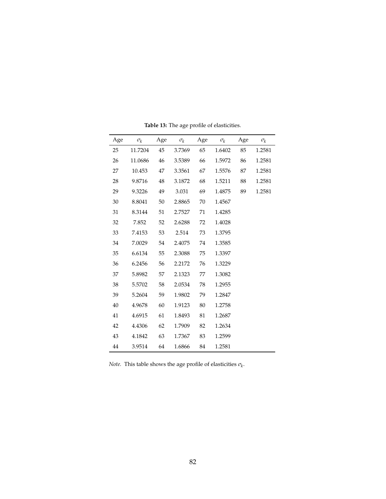<span id="page-81-0"></span>

| Age | $\sigma_k$ | Age | $\sigma_k$ | Age | $\sigma_k$ | Age | $\sigma_k$ |
|-----|------------|-----|------------|-----|------------|-----|------------|
| 25  | 11.7204    | 45  | 3.7369     | 65  | 1.6402     | 85  | 1.2581     |
| 26  | 11.0686    | 46  | 3.5389     | 66  | 1.5972     | 86  | 1.2581     |
| 27  | 10.453     | 47  | 3.3561     | 67  | 1.5576     | 87  | 1.2581     |
| 28  | 9.8716     | 48  | 3.1872     | 68  | 1.5211     | 88  | 1.2581     |
| 29  | 9.3226     | 49  | 3.031      | 69  | 1.4875     | 89  | 1.2581     |
| 30  | 8.8041     | 50  | 2.8865     | 70  | 1.4567     |     |            |
| 31  | 8.3144     | 51  | 2.7527     | 71  | 1.4285     |     |            |
| 32  | 7.852      | 52  | 2.6288     | 72  | 1.4028     |     |            |
| 33  | 7.4153     | 53  | 2.514      | 73  | 1.3795     |     |            |
| 34  | 7.0029     | 54  | 2.4075     | 74  | 1.3585     |     |            |
| 35  | 6.6134     | 55  | 2.3088     | 75  | 1.3397     |     |            |
| 36  | 6.2456     | 56  | 2.2172     | 76  | 1.3229     |     |            |
| 37  | 5.8982     | 57  | 2.1323     | 77  | 1.3082     |     |            |
| 38  | 5.5702     | 58  | 2.0534     | 78  | 1.2955     |     |            |
| 39  | 5.2604     | 59  | 1.9802     | 79  | 1.2847     |     |            |
| 40  | 4.9678     | 60  | 1.9123     | 80  | 1.2758     |     |            |
| 41  | 4.6915     | 61  | 1.8493     | 81  | 1.2687     |     |            |
| 42  | 4.4306     | 62  | 1.7909     | 82  | 1.2634     |     |            |
| 43  | 4.1842     | 63  | 1.7367     | 83  | 1.2599     |     |            |
| 44  | 3.9514     | 64  | 1.6866     | 84  | 1.2581     |     |            |

**Table 13:** The age profile of elasticities.

*Note.* This table shows the age profile of elasticities  $\sigma_k$ .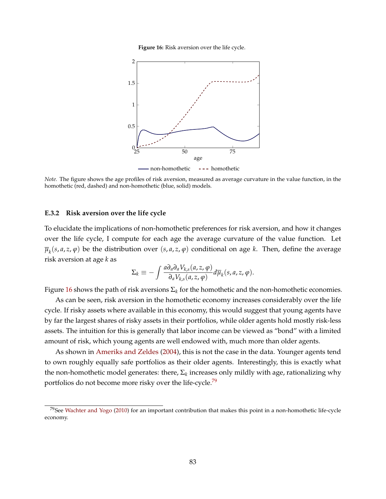**Figure 16:** Risk aversion over the life cycle.

<span id="page-82-1"></span><span id="page-82-0"></span>

*Note.* The figure shows the age profiles of risk aversion, measured as average curvature in the value function, in the homothetic (red, dashed) and non-homothetic (blue, solid) models.

#### **E.3.2 Risk aversion over the life cycle**

To elucidate the implications of non-homothetic preferences for risk aversion, and how it changes over the life cycle, I compute for each age the average curvature of the value function. Let  $\overline{\mu}_k(s,a,z,\varphi)$  be the distribution over  $(s,a,z,\varphi)$  conditional on age *k*. Then, define the average risk aversion at age *k* as

$$
\Sigma_k \equiv -\int \frac{a \partial_a \partial_a V_{k,s}(a,z,\varphi)}{\partial_a V_{k,s}(a,z,\varphi)} d\overline{\mu}_k(s,a,z,\varphi).
$$

Figure [16](#page-82-1) shows the path of risk aversions  $\Sigma_k$  for the homothetic and the non-homothetic economies.

As can be seen, risk aversion in the homothetic economy increases considerably over the life cycle. If risky assets where available in this economy, this would suggest that young agents have by far the largest shares of risky assets in their portfolios, while older agents hold mostly risk-less assets. The intuition for this is generally that labor income can be viewed as "bond" with a limited amount of risk, which young agents are well endowed with, much more than older agents.

As shown in [Ameriks and Zeldes](#page-49-0) [\(2004\)](#page-49-0), this is not the case in the data. Younger agents tend to own roughly equally safe portfolios as their older agents. Interestingly, this is exactly what the non-homothetic model generates: there, Σ*<sup>k</sup>* increases only mildly with age, rationalizing why portfolios do not become more risky over the life-cycle.<sup>[79](#page-82-2)</sup>

<span id="page-82-2"></span> $79$ See [Wachter and Yogo](#page-56-2) [\(2010\)](#page-56-2) for an important contribution that makes this point in a non-homothetic life-cycle economy.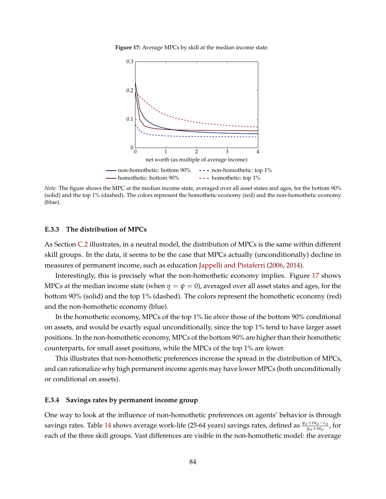**Figure 17:** Average MPCs by skill at the median income state.

<span id="page-83-1"></span><span id="page-83-0"></span>

*Note.* The figure shows the MPC at the median income state, averaged over all asset states and ages, for the bottom 90% (solid) and the top 1% (dashed). The colors represent the homothetic economy (red) and the non-homothetic economy (blue).

#### **E.3.3 The distribution of MPCs**

As Section [C.2](#page-60-0) illustrates, in a neutral model, the distribution of MPCs is the same within different skill groups. In the data, it seems to be the case that MPCs actually (unconditionally) decline in measures of permanent income, such as education [Jappelli and Pistaferri](#page-53-0) [\(2006,](#page-53-0) [2014\)](#page-53-1).

Interestingly, this is precisely what the non-homothetic economy implies. Figure [17](#page-83-1) shows MPCs at the median income state (when  $\eta = \psi = 0$ ), averaged over all asset states and ages, for the bottom 90% (solid) and the top 1% (dashed). The colors represent the homothetic economy (red) and the non-homothetic economy (blue).

In the homothetic economy, MPCs of the top 1% lie *above* those of the bottom 90% conditional on assets, and would be exactly equal unconditionally, since the top 1% tend to have larger asset positions. In the non-homothetic economy, MPCs of the bottom 90% are higher than their homothetic counterparts, for small asset positions, while the MPCs of the top 1% are lower.

This illustrates that non-homothetic preferences increase the spread in the distribution of MPCs, and can rationalize why high permanent income agents may have lower MPCs (both unconditionally or conditional on assets).

#### **E.3.4 Savings rates by permanent income group**

One way to look at the influence of non-homothetic preferences on agents' behavior is through savings rates. Table [14](#page-84-0) shows average work-life (25-64 years) savings rates, defined as *<sup>y</sup>it*+*rait*−*cit yit*+*rait* , for each of the three skill groups. Vast differences are visible in the non-homothetic model: the average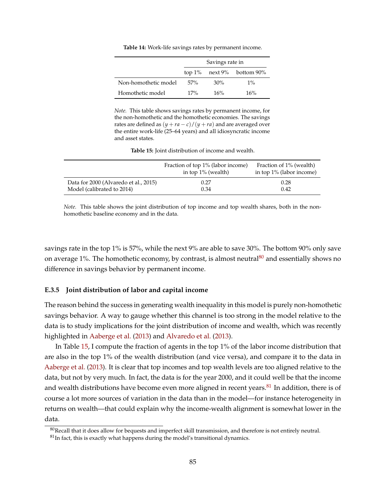|  |  | <b>Table 14:</b> Work-life savings rates by permanent income. |
|--|--|---------------------------------------------------------------|
|--|--|---------------------------------------------------------------|

<span id="page-84-0"></span>

|                      | Savings rate in |     |                                    |  |
|----------------------|-----------------|-----|------------------------------------|--|
|                      |                 |     | top $1\%$ next $9\%$ bottom $90\%$ |  |
| Non-homothetic model | .57%            | 30% | $1\%$                              |  |
| Homothetic model     | 17%             | 16% | 16%                                |  |

*Note.* This table shows savings rates by permanent income, for the non-homothetic and the homothetic economies. The savings rates are defined as  $(y + ra - c)/(y + ra)$  and are averaged over the entire work-life (25–64 years) and all idiosyncratic income and asset states.

**Table 15:** Joint distribution of income and wealth.

<span id="page-84-2"></span>

| Fraction of top 1% (labor income) | Fraction of 1% (wealth)  |
|-----------------------------------|--------------------------|
| in top $1\%$ (wealth)             | in top 1% (labor income) |

Data for 2000 (Alvaredo et al., 2015) 0.27 0.28 Model (calibrated to 2014) 0.34 0.34 0.42

*Note.* This table shows the joint distribution of top income and top wealth shares, both in the nonhomothetic baseline economy and in the data.

savings rate in the top 1% is 57%, while the next 9% are able to save 30%. The bottom 90% only save on average 1%. The homothetic economy, by contrast, is almost neutral  $80$  and essentially shows no difference in savings behavior by permanent income.

#### **E.3.5 Joint distribution of labor and capital income**

The reason behind the success in generating wealth inequality in this model is purely non-homothetic savings behavior. A way to gauge whether this channel is too strong in the model relative to the data is to study implications for the joint distribution of income and wealth, which was recently highlighted in [Aaberge et al.](#page-49-1) [\(2013\)](#page-49-1) and [Alvaredo et al.](#page-49-2) [\(2013\)](#page-49-2).

In Table [15,](#page-84-2) I compute the fraction of agents in the top 1% of the labor income distribution that are also in the top 1% of the wealth distribution (and vice versa), and compare it to the data in [Aaberge et al.](#page-49-1) [\(2013\)](#page-49-1). It is clear that top incomes and top wealth levels are too aligned relative to the data, but not by very much. In fact, the data is for the year 2000, and it could well be that the income and wealth distributions have become even more aligned in recent years.<sup>[81](#page-84-3)</sup> In addition, there is of course a lot more sources of variation in the data than in the model—for instance heterogeneity in returns on wealth—that could explain why the income-wealth alignment is somewhat lower in the data.

<span id="page-84-1"></span> $^{80}\rm{Recall}$  that it does allow for bequests and imperfect skill transmission, and therefore is not entirely neutral.

<span id="page-84-3"></span> $81$ In fact, this is exactly what happens during the model's transitional dynamics.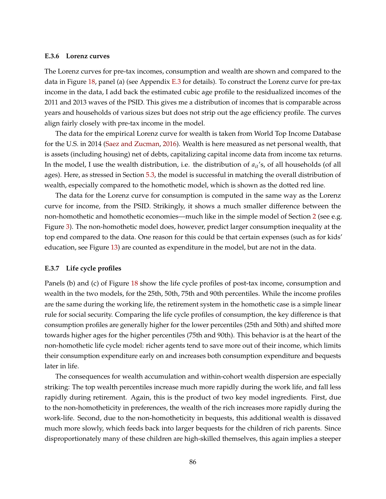#### **E.3.6 Lorenz curves**

The Lorenz curves for pre-tax incomes, consumption and wealth are shown and compared to the data in Figure [18,](#page-86-0) panel (a) (see Appendix [E.3](#page-80-0) for details). To construct the Lorenz curve for pre-tax income in the data, I add back the estimated cubic age profile to the residualized incomes of the 2011 and 2013 waves of the PSID. This gives me a distribution of incomes that is comparable across years and households of various sizes but does not strip out the age efficiency profile. The curves align fairly closely with pre-tax income in the model.

The data for the empirical Lorenz curve for wealth is taken from World Top Income Database for the U.S. in 2014 [\(Saez and Zucman,](#page-55-2) [2016\)](#page-55-2). Wealth is here measured as net personal wealth, that is assets (including housing) net of debts, capitalizing capital income data from income tax returns. In the model, I use the wealth distribution, i.e. the distribution of *ait*'s, of all households (of all ages). Here, as stressed in Section [5.3,](#page-37-0) the model is successful in matching the overall distribution of wealth, especially compared to the homothetic model, which is shown as the dotted red line.

The data for the Lorenz curve for consumption is computed in the same way as the Lorenz curve for income, from the PSID. Strikingly, it shows a much smaller difference between the non-homothetic and homothetic economies—much like in the simple model of Section [2](#page-7-0) (see e.g. Figure [3\)](#page-10-0). The non-homothetic model does, however, predict larger consumption inequality at the top end compared to the data. One reason for this could be that certain expenses (such as for kids' education, see Figure [13\)](#page-70-0) are counted as expenditure in the model, but are not in the data.

#### **E.3.7 Life cycle profiles**

Panels (b) and (c) of Figure [18](#page-86-0) show the life cycle profiles of post-tax income, consumption and wealth in the two models, for the 25th, 50th, 75th and 90th percentiles. While the income profiles are the same during the working life, the retirement system in the homothetic case is a simple linear rule for social security. Comparing the life cycle profiles of consumption, the key difference is that consumption profiles are generally higher for the lower percentiles (25th and 50th) and shifted more towards higher ages for the higher percentiles (75th and 90th). This behavior is at the heart of the non-homothetic life cycle model: richer agents tend to save more out of their income, which limits their consumption expenditure early on and increases both consumption expenditure and bequests later in life.

The consequences for wealth accumulation and within-cohort wealth dispersion are especially striking: The top wealth percentiles increase much more rapidly during the work life, and fall less rapidly during retirement. Again, this is the product of two key model ingredients. First, due to the non-homotheticity in preferences, the wealth of the rich increases more rapidly during the work-life. Second, due to the non-homotheticity in bequests, this additional wealth is dissaved much more slowly, which feeds back into larger bequests for the children of rich parents. Since disproportionately many of these children are high-skilled themselves, this again implies a steeper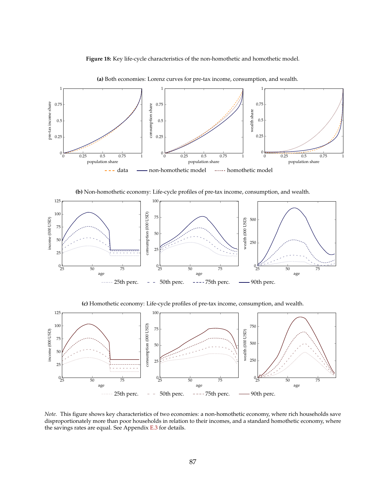**Figure 18:** Key life-cycle characteristics of the non-homothetic and homothetic model.

<span id="page-86-0"></span>

<span id="page-86-1"></span>**(a)** Both economies: Lorenz curves for pre-tax income, consumption, and wealth.

**(b)** Non-homothetic economy: Life-cycle profiles of pre-tax income, consumption, and wealth.



<span id="page-86-2"></span>**(c)** Homothetic economy: Life-cycle profiles of pre-tax income, consumption, and wealth.



<span id="page-86-3"></span>*Note.* This figure shows key characteristics of two economies: a non-homothetic economy, where rich households save disproportionately more than poor households in relation to their incomes, and a standard homothetic economy, where the savings rates are equal. See Appendix [E.3](#page-80-0) for details.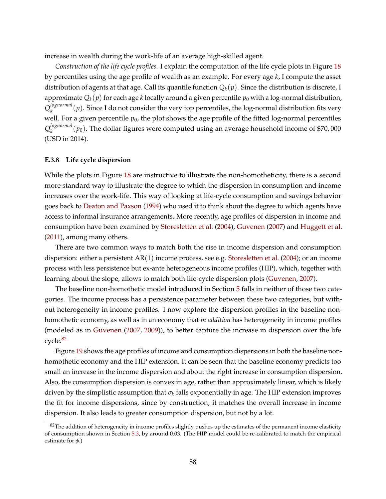increase in wealth during the work-life of an average high-skilled agent.

*Construction of the life cycle profiles.* I explain the computation of the life cycle plots in Figure [18](#page-86-0) by percentiles using the age profile of wealth as an example. For every age *k*, I compute the asset distribution of agents at that age. Call its quantile function  $Q_k(p)$ . Since the distribution is discrete, I approximate  $Q_k(p)$  for each age *k* locally around a given percentile  $p_0$  with a log-normal distribution, *Q lognormal*  $\alpha_k^{lognormal}(p)$ . Since I do not consider the very top percentiles, the log-normal distribution fits very well. For a given percentile  $p_0$ , the plot shows the age profile of the fitted log-normal percentiles *Q lognormal*  $\alpha_k^{lognormal}(p_0)$ . The dollar figures were computed using an average household income of \$70,000 (USD in 2014).

### **E.3.8 Life cycle dispersion**

While the plots in Figure [18](#page-86-0) are instructive to illustrate the non-homotheticity, there is a second more standard way to illustrate the degree to which the dispersion in consumption and income increases over the work-life. This way of looking at life-cycle consumption and savings behavior goes back to [Deaton and Paxson](#page-51-1) [\(1994\)](#page-51-1) who used it to think about the degree to which agents have access to informal insurance arrangements. More recently, age profiles of dispersion in income and consumption have been examined by [Storesletten et al.](#page-56-3) [\(2004\)](#page-56-3), [Guvenen](#page-52-1) [\(2007\)](#page-52-1) and [Huggett et al.](#page-53-2) [\(2011\)](#page-53-2), among many others.

There are two common ways to match both the rise in income dispersion and consumption dispersion: either a persistent  $AR(1)$  income process, see e.g. [Storesletten et al.](#page-56-3) [\(2004\)](#page-56-3); or an income process with less persistence but ex-ante heterogeneous income profiles (HIP), which, together with learning about the slope, allows to match both life-cycle dispersion plots [\(Guvenen,](#page-52-1) [2007\)](#page-52-1).

The baseline non-homothetic model introduced in Section [5](#page-31-0) falls in neither of those two categories. The income process has a persistence parameter between these two categories, but without heterogeneity in income profiles. I now explore the dispersion profiles in the baseline nonhomothetic economy, as well as in an economy that *in addition* has heterogeneity in income profiles (modeled as in [Guvenen](#page-52-1) [\(2007,](#page-52-1) [2009\)](#page-52-2)), to better capture the increase in dispersion over the life  $cycle.<sup>82</sup>$  $cycle.<sup>82</sup>$  $cycle.<sup>82</sup>$ 

Figure [19](#page-88-1) shows the age profiles of income and consumption dispersions in both the baseline nonhomothetic economy and the HIP extension. It can be seen that the baseline economy predicts too small an increase in the income dispersion and about the right increase in consumption dispersion. Also, the consumption dispersion is convex in age, rather than approximately linear, which is likely driven by the simplistic assumption that *σ<sup>k</sup>* falls exponentially in age. The HIP extension improves the fit for income dispersions, since by construction, it matches the overall increase in income dispersion. It also leads to greater consumption dispersion, but not by a lot.

<span id="page-87-0"></span> $82$ The addition of heterogeneity in income profiles slightly pushes up the estimates of the permanent income elasticity of consumption shown in Section [5.3,](#page-37-0) by around 0.03. (The HIP model could be re-calibrated to match the empirical estimate for *φ*.)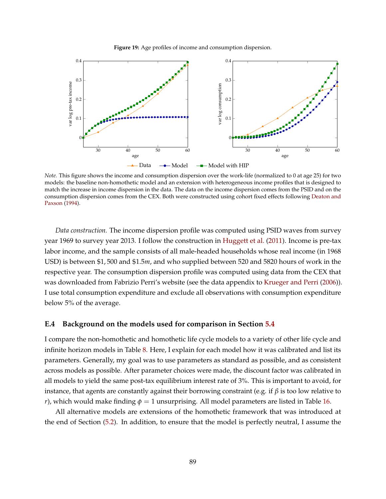**Figure 19:** Age profiles of income and consumption dispersion.

<span id="page-88-1"></span>

<span id="page-88-2"></span>*Note.* This figure shows the income and consumption dispersion over the work-life (normalized to 0 at age 25) for two models: the baseline non-homothetic model and an extension with heterogeneous income profiles that is designed to match the increase in income dispersion in the data. The data on the income dispersion comes from the PSID and on the consumption dispersion comes from the CEX. Both were constructed using cohort fixed effects following [Deaton and](#page-51-1) [Paxson](#page-51-1) [\(1994\)](#page-51-1).

*Data construction.* The income dispersion profile was computed using PSID waves from survey year 1969 to survey year 2013. I follow the construction in [Huggett et al.](#page-53-2) [\(2011\)](#page-53-2). Income is pre-tax labor income, and the sample consists of all male-headed households whose real income (in 1968 USD) is between \$1, 500 and \$1.5*m*, and who supplied between 520 and 5820 hours of work in the respective year. The consumption dispersion profile was computed using data from the CEX that was downloaded from Fabrizio Perri's website (see the data appendix to [Krueger and Perri](#page-54-1) [\(2006\)](#page-54-1)). I use total consumption expenditure and exclude all observations with consumption expenditure below 5% of the average.

#### <span id="page-88-0"></span>**E.4 Background on the models used for comparison in Section [5.4](#page-40-0)**

I compare the non-homothetic and homothetic life cycle models to a variety of other life cycle and infinite horizon models in Table [8.](#page-42-0) Here, I explain for each model how it was calibrated and list its parameters. Generally, my goal was to use parameters as standard as possible, and as consistent across models as possible. After parameter choices were made, the discount factor was calibrated in all models to yield the same post-tax equilibrium interest rate of 3%. This is important to avoid, for instance, that agents are constantly against their borrowing constraint (e.g. if *β* is too low relative to *r*), which would make finding  $\phi = 1$  unsurprising. All model parameters are listed in Table [16.](#page-89-0)

All alternative models are extensions of the homothetic framework that was introduced at the end of Section [\(5.2\)](#page-35-0). In addition, to ensure that the model is perfectly neutral, I assume the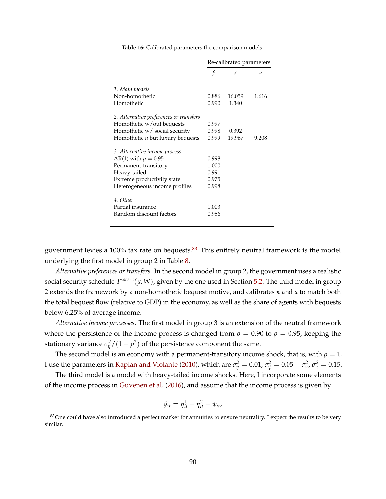<span id="page-89-0"></span>

|                                         | Re-calibrated parameters |        |       |  |
|-----------------------------------------|--------------------------|--------|-------|--|
|                                         | β                        | к      | а     |  |
|                                         |                          |        |       |  |
| 1. Main models                          |                          |        |       |  |
| Non-homothetic                          | 0.886                    | 16.059 | 1.616 |  |
| Homothetic                              | 0.990                    | 1.340  |       |  |
| 2. Alternative preferences or transfers |                          |        |       |  |
| Homothetic w/out bequests               | 0.997                    |        |       |  |
| Homothetic w/ social security           | 0.998                    | 0.392  |       |  |
| Homothetic u but luxury bequests        | 0.999                    | 19.967 | 9.208 |  |
| 3. Alternative income process           |                          |        |       |  |
| AR(1) with $\rho = 0.95$                | 0.998                    |        |       |  |
| Permanent-transitory                    | 1.000                    |        |       |  |
| Heavy-tailed                            | 0.991                    |        |       |  |
| Extreme productivity state              | 0.975                    |        |       |  |
| Heterogeneous income profiles           | 0.998                    |        |       |  |
|                                         |                          |        |       |  |
| 4. Other                                |                          |        |       |  |
| Partial insurance                       | 1.003                    |        |       |  |
| Random discount factors                 | 0.956                    |        |       |  |
|                                         |                          |        |       |  |

**Table 16:** Calibrated parameters the comparison models.

government levies a 100% tax rate on bequests. $83$  This entirely neutral framework is the model underlying the first model in group 2 in Table [8.](#page-42-0)

*Alternative preferences or transfers.* In the second model in group 2, the government uses a realistic social security schedule  $T^{socsec}(y, W)$ , given by the one used in Section [5.2.](#page-35-0) The third model in group 2 extends the framework by a non-homothetic bequest motive, and calibrates *κ* and *a* to match both the total bequest flow (relative to GDP) in the economy, as well as the share of agents with bequests below 6.25% of average income.

*Alternative income processes.* The first model in group 3 is an extension of the neutral framework where the persistence of the income process is changed from  $\rho = 0.90$  to  $\rho = 0.95$ , keeping the stationary variance  $\sigma_{\eta}^2/(1-\rho^2)$  of the persistence component the same.

The second model is an economy with a permanent-transitory income shock, that is, with  $\rho = 1$ . *I* use the parameters in [Kaplan and Violante](#page-53-3) [\(2010\)](#page-53-3), which are  $\sigma_{\eta}^2 = 0.01$ ,  $\sigma_{\psi}^2 = 0.05 - \sigma_{\nu}^2$ ,  $\sigma_{\alpha}^2 = 0.15$ .

The third model is a model with heavy-tailed income shocks. Here, I incorporate some elements of the income process in [Guvenen et al.](#page-52-3) [\(2016\)](#page-52-3), and assume that the income process is given by

$$
\hat{y}_{it} = \eta_{it}^1 + \eta_{it}^2 + \psi_{it},
$$

<span id="page-89-1"></span> $83$ One could have also introduced a perfect market for annuities to ensure neutrality. I expect the results to be very similar.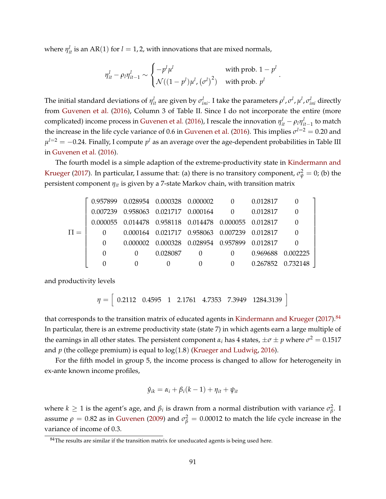where  $\eta_{it}^l$  is an AR(1) for  $l = 1, 2$ , with innovations that are mixed normals,

$$
\eta_{it}^l - \rho_l \eta_{it-1}^l \sim \begin{cases} -p^l \mu^l & \text{with prob. } 1 - p^l \\ \mathcal{N}((1-p^l)\mu^l, (\sigma^l)^2) & \text{with prob. } p^l \end{cases}.
$$

The initial standard deviations of  $\eta^l_{it}$  are given by  $\sigma^l_{ini}$ . I take the parameters  $\rho^l$ ,  $\sigma^l$ ,  $\mu^l$ ,  $\sigma^l_{ini}$  directly from [Guvenen et al.](#page-52-3) [\(2016\)](#page-52-3), Column 3 of Table II. Since I do not incorporate the entire (more complicated) income process in [Guvenen et al.](#page-52-3) [\(2016\)](#page-52-3), I rescale the innovation  $\eta_{it}^l - \rho_l \eta_{it-1}^l$  to match the increase in the life cycle variance of 0.6 in [Guvenen et al.](#page-52-3) [\(2016\)](#page-52-3). This implies  $\sigma^{l=2}=$  0.20 and  $\mu^{l=2}=-0.24.$  Finally, I compute  $p^{l}$  as an average over the age-dependent probabilities in Table III in [Guvenen et al.](#page-52-3) [\(2016\)](#page-52-3).

The fourth model is a simple adaption of the extreme-productivity state in [Kindermann and](#page-54-2) [Krueger](#page-54-2) [\(2017\)](#page-54-2). In particular, I assume that: (a) there is no transitory component,  $\sigma_{\psi}^2=0$ ; (b) the persistent component *ηit* is given by a 7-state Markov chain, with transition matrix

|          | $0.957899$ $0.028954$ $0.000328$ $0.000002$ 0.012817  |          |                   |  |
|----------|-------------------------------------------------------|----------|-------------------|--|
|          | 0.007239 0.958063 0.021717 0.000164 0 0.012817        |          |                   |  |
|          | 0.000055 0.014478 0.958118 0.014478 0.000055 0.012817 |          |                   |  |
|          | 0.000164 0.021717 0.958063 0.007239 0.012817          |          |                   |  |
| $\Omega$ | 0.000002 0.000328 0.028954 0.957899 0.012817          |          |                   |  |
| $\Omega$ | 0.028087                                              | $\Omega$ | 0.969688 0.002225 |  |
| $\Omega$ |                                                       |          | 0.267852 0.732148 |  |

and productivity levels

*η* =  $\begin{bmatrix} 0.2112 & 0.4595 & 1 & 2.1761 & 4.7353 & 7.3949 & 1284.3139 \end{bmatrix}$ 

that corresponds to the transition matrix of educated agents in [Kindermann and Krueger](#page-54-2) [\(2017\)](#page-54-2).<sup>[84](#page-90-0)</sup> In particular, there is an extreme productivity state (state 7) in which agents earn a large multiple of the earnings in all other states. The persistent component  $α<sub>i</sub>$  has 4 states,  $\pm σ \pm p$  where  $σ<sup>2</sup> = 0.1517$ and  $p$  (the college premium) is equal to  $log(1.8)$  [\(Krueger and Ludwig,](#page-54-3) [2016\)](#page-54-3).

For the fifth model in group 5, the income process is changed to allow for heterogeneity in ex-ante known income profiles,

$$
\hat{y}_{ik} = \alpha_i + \beta_i(k-1) + \eta_{it} + \psi_{it}
$$

where  $k \geq 1$  is the agent's age, and  $\beta_i$  is drawn from a normal distribution with variance  $\sigma_{\beta}^2$ *β* . I assume  $\rho = 0.82$  as in [Guvenen](#page-52-2) [\(2009\)](#page-52-2) and  $\sigma_{\beta}^2 = 0.00012$  to match the life cycle increase in the variance of income of 0.3.

<span id="page-90-0"></span> $84$ The results are similar if the transition matrix for uneducated agents is being used here.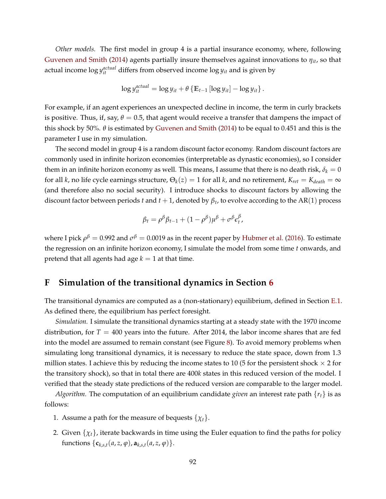*Other models.* The first model in group 4 is a partial insurance economy, where, following [Guvenen and Smith](#page-52-4) [\(2014\)](#page-52-4) agents partially insure themselves against innovations to *ηit*, so that actual income  $\log y_{it}^{actual}$  differs from observed income  $\log y_{it}$  and is given by

$$
\log y_{it}^{actual} = \log y_{it} + \theta \left\{ \mathbb{E}_{t-1} \left[ \log y_{it} \right] - \log y_{it} \right\}.
$$

For example, if an agent experiences an unexpected decline in income, the term in curly brackets is positive. Thus, if, say,  $\theta = 0.5$ , that agent would receive a transfer that dampens the impact of this shock by 50%.  $\theta$  is estimated by [Guvenen and Smith](#page-52-4) [\(2014\)](#page-52-4) to be equal to 0.451 and this is the parameter I use in my simulation.

The second model in group 4 is a random discount factor economy. Random discount factors are commonly used in infinite horizon economies (interpretable as dynastic economies), so I consider them in an infinite horizon economy as well. This means, I assume that there is no death risk,  $\delta_k = 0$ for all *k*, no life cycle earnings structure,  $\Theta_k(z) = 1$  for all *k*, and no retirement,  $K_{ret} = K_{death} = \infty$ (and therefore also no social security). I introduce shocks to discount factors by allowing the discount factor between periods *t* and  $t + 1$ , denoted by  $\beta_t$ , to evolve according to the AR(1) process

$$
\beta_t = \rho^{\beta} \beta_{t-1} + (1 - \rho^{\beta}) \mu^{\beta} + \sigma^{\beta} \epsilon_t^{\beta},
$$

where I pick  $\rho^\beta=0.992$  and  $\sigma^\beta=0.0019$  as in the recent paper by [Hubmer et al.](#page-53-4) [\(2016\)](#page-53-4). To estimate the regression on an infinite horizon economy, I simulate the model from some time *t* onwards, and pretend that all agents had age  $k = 1$  at that time.

# **F Simulation of the transitional dynamics in Section [6](#page-44-0)**

The transitional dynamics are computed as a (non-stationary) equilibrium, defined in Section [E.1.](#page-75-0) As defined there, the equilibrium has perfect foresight.

*Simulation.* I simulate the transitional dynamics starting at a steady state with the 1970 income distribution, for  $T = 400$  years into the future. After 2014, the labor income shares that are fed into the model are assumed to remain constant (see Figure [8\)](#page-45-0). To avoid memory problems when simulating long transitional dynamics, it is necessary to reduce the state space, down from 1.3 million states. I achieve this by reducing the income states to 10 (5 for the persistent shock  $\times$  2 for the transitory shock), so that in total there are 400*k* states in this reduced version of the model. I verified that the steady state predictions of the reduced version are comparable to the larger model.

*Algorithm.* The computation of an equilibrium candidate *given* an interest rate path {*rt*} is as follows:

- 1. Assume a path for the measure of bequests  $\{\chi_t\}$ .
- 2. Given  $\{\chi_t\}$ , iterate backwards in time using the Euler equation to find the paths for policy functions  $\{c_{k,s,t}(a, z, \varphi), a_{k,s,t}(a, z, \varphi)\}.$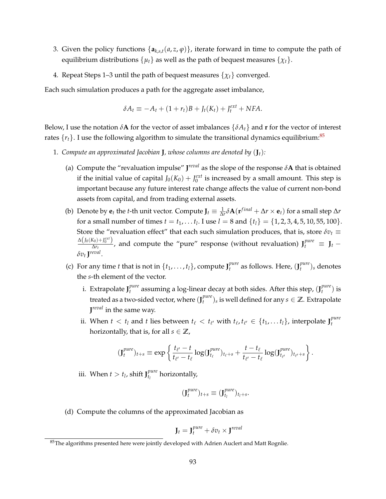- 3. Given the policy functions  $\{a_{k,s,t}(a,z,\varphi)\}\)$ , iterate forward in time to compute the path of equilibrium distributions  $\{\mu_t\}$  as well as the path of bequest measures  $\{\chi_t\}$ .
- 4. Repeat Steps 1–3 until the path of bequest measures  $\{\chi_t\}$  converged.

Each such simulation produces a path for the aggregate asset imbalance,

$$
\delta A_t \equiv -A_t + (1+r_t)B + J_t(K_t) + J_t^{ext} + NFA.
$$

Below, I use the notation  $\delta$ **A** for the vector of asset imbalances  $\{\delta A_t\}$  and **r** for the vector of interest rates  $\{r_t\}$ . I use the following algorithm to simulate the transitional dynamics equilibrium:<sup>[85](#page-92-0)</sup>

- 1. *Compute an approximated Jacobian J, whose columns are denoted by*  $(J_t)$ *:* 
	- (a) Compute the "revaluation impulse"  $J^{reval}$  as the slope of the response  $\delta A$  that is obtained if the initial value of capital  $J_0(K_0) + J_0^{ext}$  is increased by a small amount. This step is important because any future interest rate change affects the value of current non-bond assets from capital, and from trading external assets.
	- (b) Denote by  $e_t$  the *t*-th unit vector. Compute  $J_t \equiv \frac{1}{\Delta r} \delta A(r^{final} + \Delta r \times e_t)$  for a small step  $\Delta r$ for a small number of times  $t = t_1, \ldots t_l$ . I use  $l = 8$  and  $\{t_l\} = \{1, 2, 3, 4, 5, 10, 55, 100\}$ . Store the "revaluation effect" that each such simulation produces, that is, store  $\delta v_t \equiv$  $\Delta\left(J_0(K_0)+J_0^{ext}\right)$  $\frac{X_0+I_0^{ext}}{\Delta r_t}$ , and compute the "pure" response (without revaluation)  $J_t^{pure} \equiv J_t - I_0$ *δv<sup>t</sup>* **J** *reval* .
	- (c) For any time *t* that is not in  $\{t_1, \ldots, t_l\}$ , compute  $J_t^{pure}$ *t* as follows. Here, (**J** *pure*  $\binom{pure}{t}$ <sub>*s*</sub> denotes the *s*-th element of the vector.
		- i. Extrapolate **J** *pure t* assuming a log-linear decay at both sides. After this step, (**J** *pure*  $_t^{pure}$ ) is treated as a two-sided vector, where (**J** *pure*  $\binom{pure}{t}$ <sub>*s*</sub> is well defined for any  $s \in \mathbb{Z}$ . Extrapolate **J** *reval* in the same way.
		- ii. When  $t < t_l$  and  $t$  lies between  $t_\ell < t_{\ell'}$  with  $t_\ell, t_{\ell'} \in \{t_1, \ldots t_l\}$ , interpolate  $J_t^{pure}$ *t* horizontally, that is, for all  $s \in \mathbb{Z}$ ,

$$
(\mathbf{J}_{t}^{pure})_{t+s} \equiv \exp\left\{\frac{t_{\ell'}-t}{t_{\ell'}-t_{\ell}}\log(\mathbf{J}_{t_{\ell}}^{pure})_{t_{\ell}+s} + \frac{t-t_{\ell}}{t_{\ell'}-t_{\ell}}\log(\mathbf{J}_{t_{\ell'}}^{pure})_{t_{\ell'}+s}\right\}.
$$

iii. When  $t > t_l$ , shift  $J_{t_l}^{pure}$ *tl* horizontally,

$$
(\mathbf{J}_t^{pure})_{t+s} \equiv (\mathbf{J}_{t_l}^{pure})_{t_l+s}.
$$

(d) Compute the columns of the approximated Jacobian as

$$
\mathbf{J}_t = \mathbf{J}_t^{pure} + \delta v_t \times \mathbf{J}^{reval}
$$

<span id="page-92-0"></span> $85$ The algorithms presented here were jointly developed with Adrien Auclert and Matt Rognlie.